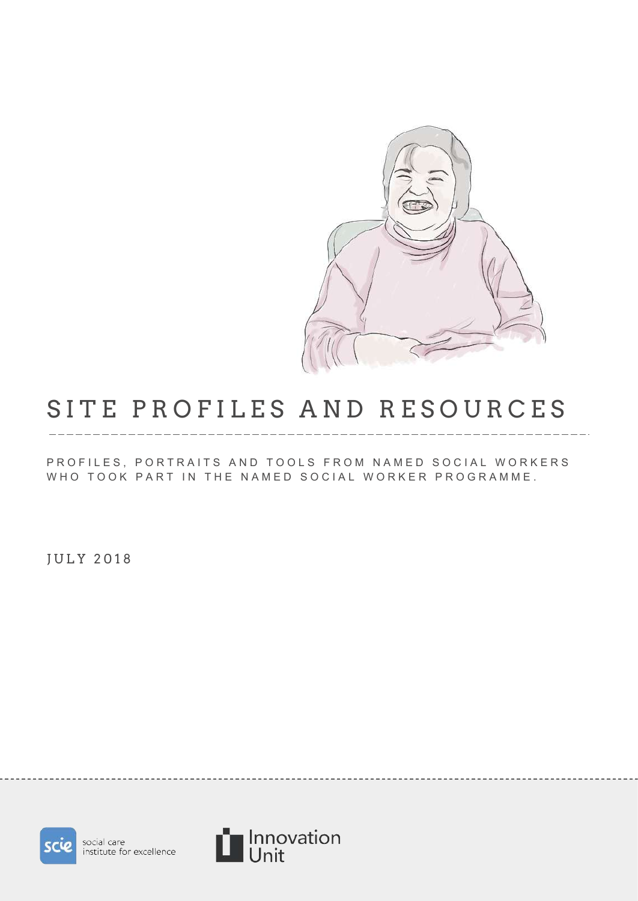

### SITE PROFILES AND RESOURCES

PROFILES, PORTRAITS AND TOOLS FROM NAMED SOCIAL WORKERS WHO TOOK PART IN THE NAMED SOCIAL WORKER PROGRAMME.

J U L Y 2 0 1 8



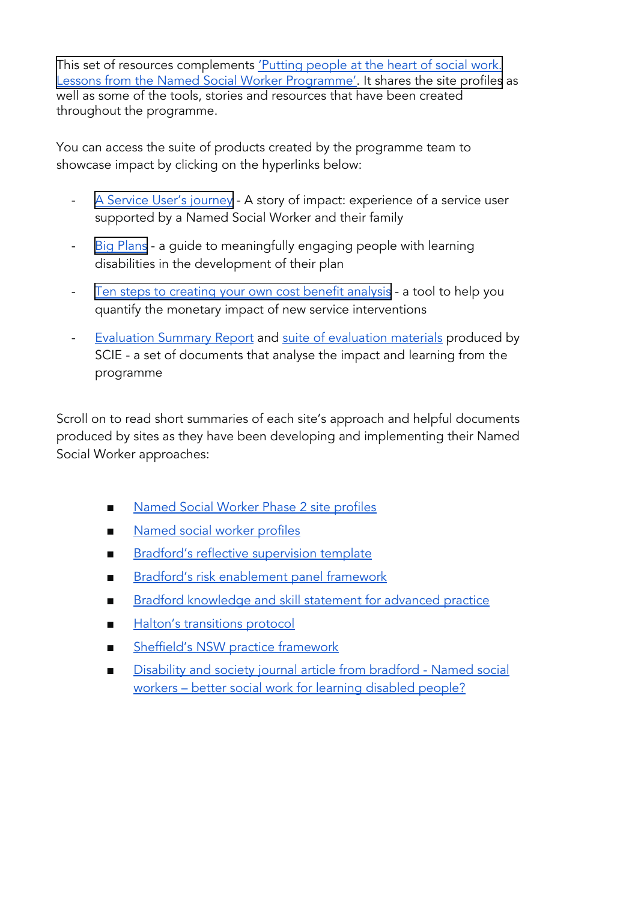This set of resources complements ['Putting people at the heart of social work.](http://innovationunit.tilt.codes/wp-content/uploads/Putting-people-back-at-the-heart-of-social-work-lessons-from-the-Named-Social-Worker-programme-1.pdf) [Lessons from the Named Social Worker Programme'. It shares the site profiles](https://www.innovationunit.org/wp-content/uploads/Putting-people-back-at-the-heart-of-social-work-lessons-from-the-Named-Social-Worker-programme-1.pdf) as well as some of the tools, stories and resources that have been created throughout the programme.

You can access the suite of products created by the programme team to showcase impact by clicking on the hyperlinks below:

- [A Service User's journey](https://www.innovationunit.org/wp-content/uploads/Stories-of-impact-a-service-user-journey-.pdf) A story of impact: experience of a service user supported by a Named Social Worker and their family
- [Big Plans](https://www.innovationunit.org/wp-content/uploads/Big-plans-a-guide-to-meaningfully-engaging-people-with-learning-disabilities-1-1.pdf)  a guide to meaningfully engaging people with learning disabilities in the development of their plan
- [Ten steps to creating your own cost benefit analysis](https://www.innovationunit.org/wp-content/uploads/live-ten-steps-to-creating-your-own-cba.pdf) a tool to help you quantify the monetary impact of new service interventions
- [Evaluation Summary Report](https://www.innovationunit.org/wp-content/uploads/NSW-evaluation-summary-report-1.pdf) and [suite of evaluation materials](https://www.scie.org.uk/social-work/named-social-worker) produced by SCIE - a set of documents that analyse the impact and learning from the programme

Scroll on to read short summaries of each site's approach and helpful documents produced by sites as they have been developing and implementing their Named Social Worker approaches:

- [Named Social Worker Phase 2 site profiles](#page-2-0)
- [Named social worker profiles](#page-9-0)
- **[Bradford's reflective supervision template](#page-14-0)**
- [Bradford's risk enablement panel framework](#page-17-0)
- [Bradford knowledge and skill statement for advanced practice](#page-24-0)
- [Halton's transitions protocol](#page-32-0)
- [Sheffield's NSW practice framework](#page-59-0)
- [Disability and society journal article from bradford Named social](#page-74-0) [workers – better social work for learning disabled people?](#page-74-0)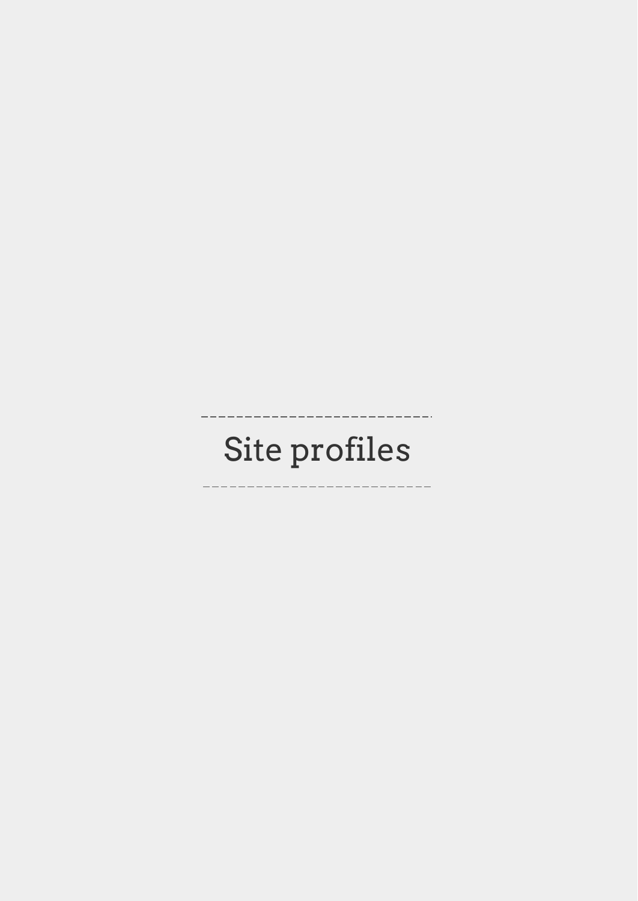# <span id="page-2-0"></span>Site profiles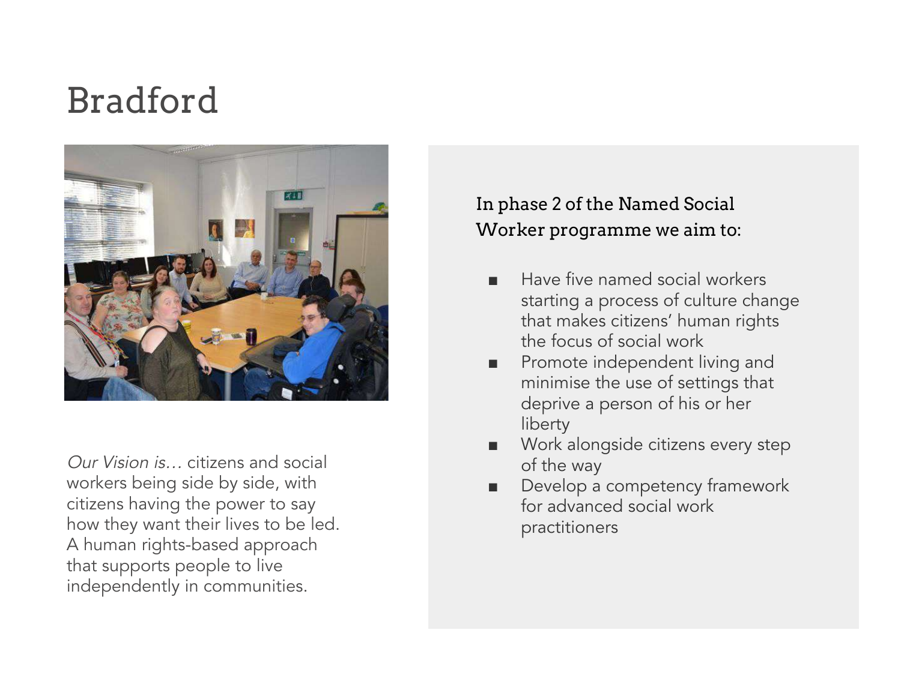## Bradford



Our Vision is… citizens and social workers being side by side, with citizens having the power to say how they want their lives to be led. A human rights-based approach that supports people to live independently in communities.

### In phase 2 of the Named Social Worker programme we aim to:

- Have five named social workers starting a process of culture change that makes citizens' human rights the focus of social work
- Promote independent living and minimise the use of settings that deprive a person of his or her liberty
- Work alongside citizens every step of the way
- Develop a competency framework for advanced social work practitioners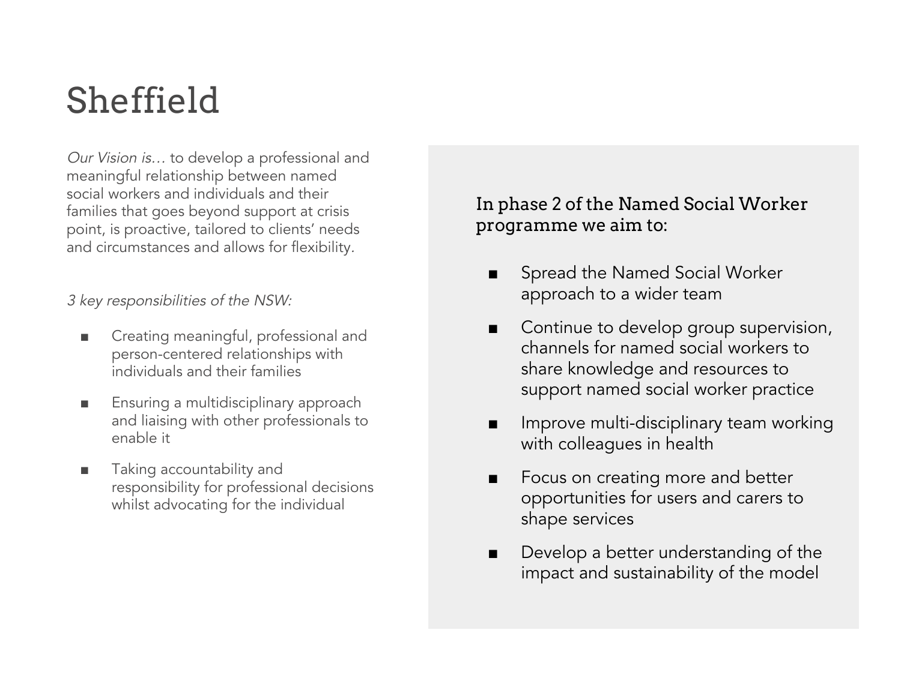## Sheffield

Our Vision is… to develop a professional and meaningful relationship between named social workers and individuals and their families that goes beyond support at crisis point, is proactive, tailored to clients' needs and circumstances and allows for flexibility.

3 key responsibilities of the NSW:

- Creating meaningful, professional and person-centered relationships with individuals and their families
- Ensuring a multidisciplinary approach and liaising with other professionals to enable it
- Taking accountability and responsibility for professional decisions whilst advocating for the individual

#### In phase 2 of the Named Social Worker programme we aim to:

- Spread the Named Social Worker approach to a wider team
- Continue to develop group supervision, channels for named social workers to share knowledge and resources to support named social worker practice
- Improve multi-disciplinary team working with colleagues in health
- Focus on creating more and better opportunities for users and carers to shape services
- Develop a better understanding of the impact and sustainability of the model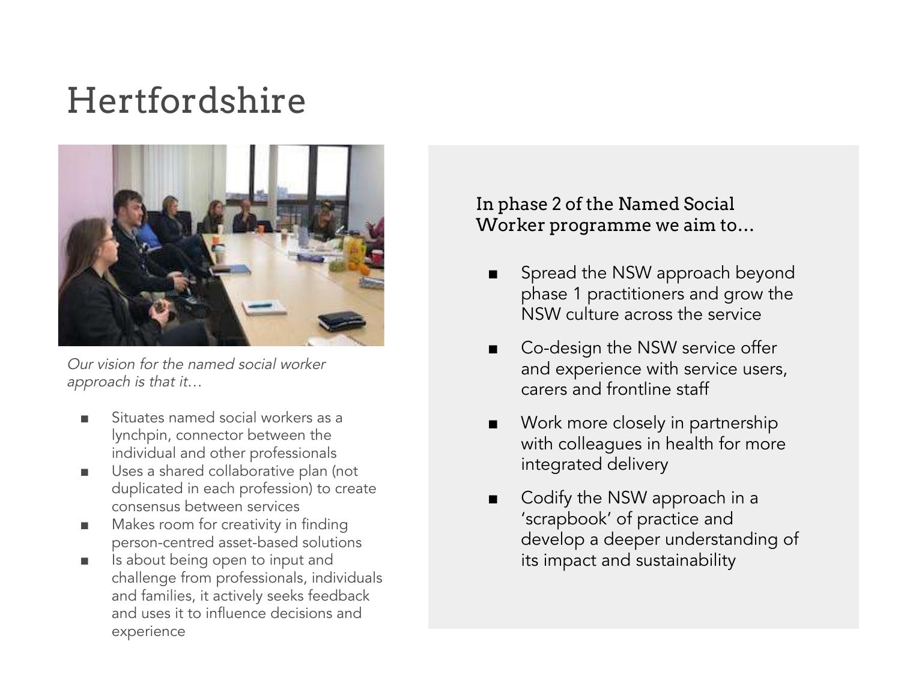## Hertfordshire



Our vision for the named social worker approach is that it…

- Situates named social workers as a lynchpin, connector between the individual and other professionals
- Uses a shared collaborative plan (not duplicated in each profession) to create consensus between services
- Makes room for creativity in finding person-centred asset-based solutions
- Is about being open to input and challenge from professionals, individuals and families, it actively seeks feedback and uses it to influence decisions and experience

In phase 2 of the Named Social Worker programme we aim to…

- Spread the NSW approach beyond phase 1 practitioners and grow the NSW culture across the service
- Co-design the NSW service offer and experience with service users, carers and frontline staff
- Work more closely in partnership with colleagues in health for more integrated delivery
- Codify the NSW approach in a 'scrapbook' of practice and develop a deeper understanding of its impact and sustainability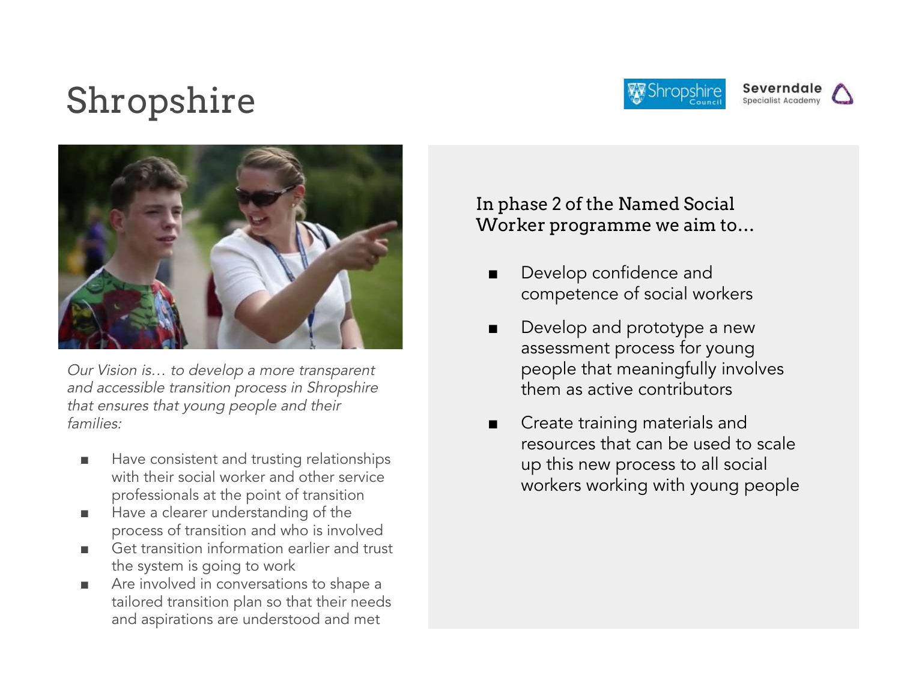## Shropshire







Our Vision is… to develop a more transparent and accessible transition process in Shropshire that ensures that young people and their families:

- Have consistent and trusting relationships with their social worker and other service professionals at the point of transition
- Have a clearer understanding of the process of transition and who is involved
- Get transition information earlier and trust the system is going to work
- Are involved in conversations to shape a tailored transition plan so that their needs and aspirations are understood and met

In phase 2 of the Named Social Worker programme we aim to…

- Develop confidence and competence of social workers
- Develop and prototype a new assessment process for young people that meaningfully involves them as active contributors
- Create training materials and resources that can be used to scale up this new process to all social workers working with young people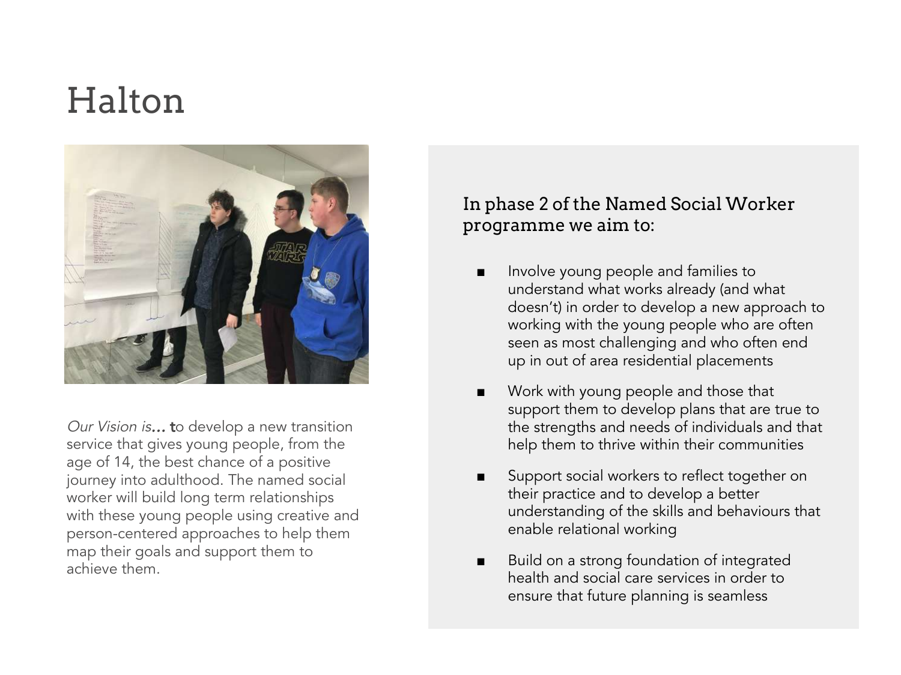## Halton



Our Vision is... to develop a new transition service that gives young people, from the age of 14, the best chance of a positive journey into adulthood. The named social worker will build long term relationships with these young people using creative and person-centered approaches to help them map their goals and support them to achieve them.

#### In phase 2 of the Named Social Worker programme we aim to:

- Involve young people and families to understand what works already (and what doesn't) in order to develop a new approach to working with the young people who are often seen as most challenging and who often end up in out of area residential placements
- Work with young people and those that support them to develop plans that are true to the strengths and needs of individuals and that help them to thrive within their communities
- Support social workers to reflect together on their practice and to develop a better understanding of the skills and behaviours that enable relational working
- Build on a strong foundation of integrated health and social care services in order to ensure that future planning is seamless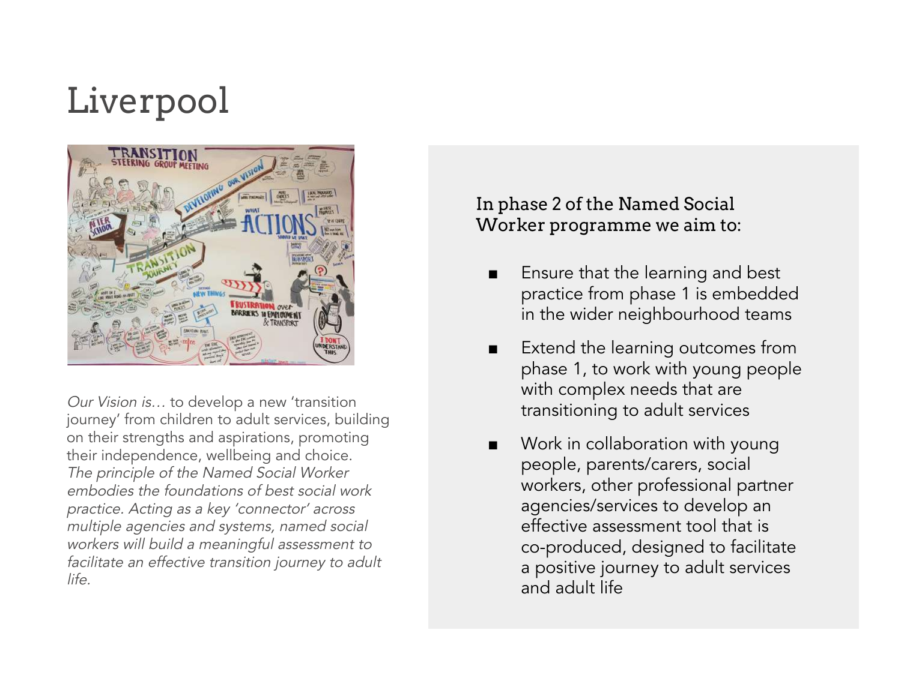## Liverpool



Our Vision is… to develop a new 'transition journey' from children to adult services, building on their strengths and aspirations, promoting their independence, wellbeing and choice. The principle of the Named Social Worker embodies the foundations of best social work practice. Acting as a key 'connector' across multiple agencies and systems, named social workers will build a meaningful assessment to facilitate an effective transition journey to adult life.

#### In phase 2 of the Named Social Worker programme we aim to:

- Ensure that the learning and best practice from phase 1 is embedded in the wider neighbourhood teams
- Extend the learning outcomes from phase 1, to work with young people with complex needs that are transitioning to adult services
- Work in collaboration with young people, parents/carers, social workers, other professional partner agencies/services to develop an effective assessment tool that is co-produced, designed to facilitate a positive journey to adult services and adult life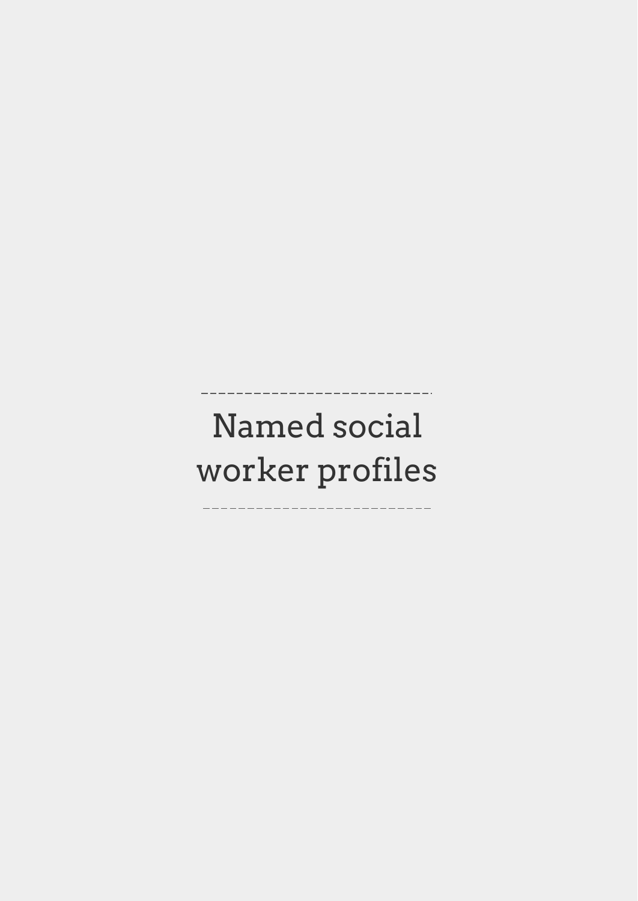# <span id="page-9-0"></span>Named social worker profiles

------------------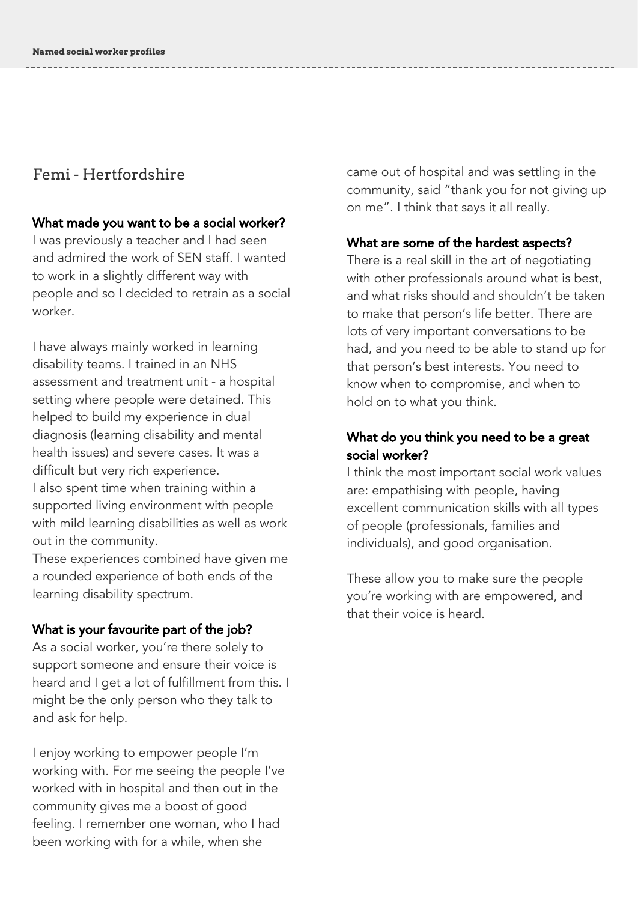#### Femi - Hertfordshire

#### What made you want to be a social worker?

I was previously a teacher and I had seen and admired the work of SEN staff. I wanted to work in a slightly different way with people and so I decided to retrain as a social worker.

I have always mainly worked in learning disability teams. I trained in an NHS assessment and treatment unit - a hospital setting where people were detained. This helped to build my experience in dual diagnosis (learning disability and mental health issues) and severe cases. It was a difficult but very rich experience.

I also spent time when training within a supported living environment with people with mild learning disabilities as well as work out in the community.

These experiences combined have given me a rounded experience of both ends of the learning disability spectrum.

#### What is your favourite part of the job?

As a social worker, you're there solely to support someone and ensure their voice is heard and I get a lot of fulfillment from this. I might be the only person who they talk to and ask for help.

I enjoy working to empower people I'm working with. For me seeing the people I've worked with in hospital and then out in the community gives me a boost of good feeling. I remember one woman, who I had been working with for a while, when she

came out of hospital and was settling in the community, said "thank you for not giving up on me". I think that says it all really.

#### What are some of the hardest aspects?

There is a real skill in the art of negotiating with other professionals around what is best, and what risks should and shouldn't be taken to make that person's life better. There are lots of very important conversations to be had, and you need to be able to stand up for that person's best interests. You need to know when to compromise, and when to hold on to what you think.

#### What do you think you need to be a great social worker?

I think the most important social work values are: empathising with people, having excellent communication skills with all types of people (professionals, families and individuals), and good organisation.

These allow you to make sure the people you're working with are empowered, and that their voice is heard.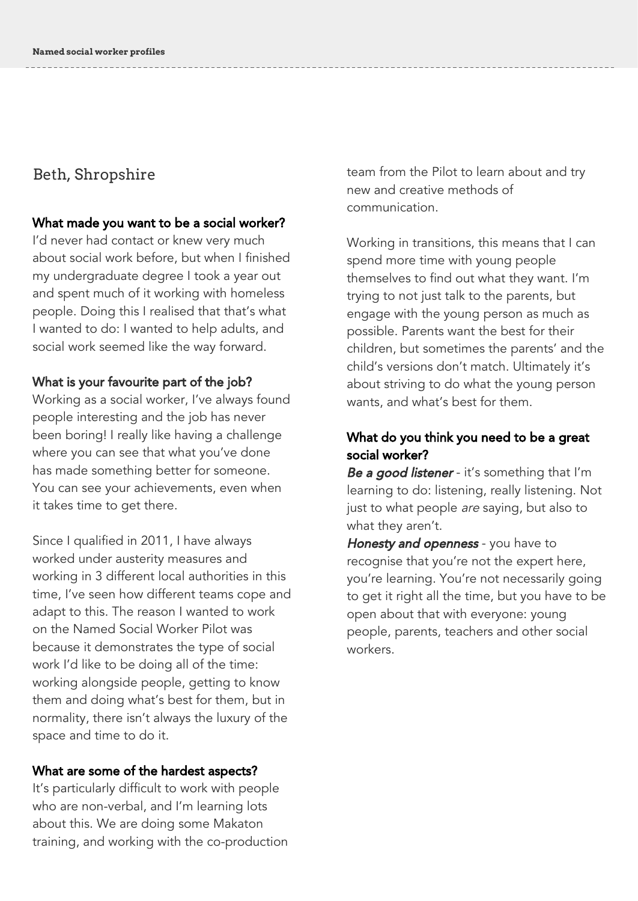#### Beth, Shropshire

#### What made you want to be a social worker?

I'd never had contact or knew very much about social work before, but when I finished my undergraduate degree I took a year out and spent much of it working with homeless people. Doing this I realised that that's what I wanted to do: I wanted to help adults, and social work seemed like the way forward.

#### What is your favourite part of the job?

Working as a social worker, I've always found people interesting and the job has never been boring! I really like having a challenge where you can see that what you've done has made something better for someone. You can see your achievements, even when it takes time to get there.

Since I qualified in 2011, I have always worked under austerity measures and working in 3 different local authorities in this time, I've seen how different teams cope and adapt to this. The reason I wanted to work on the Named Social Worker Pilot was because it demonstrates the type of social work I'd like to be doing all of the time: working alongside people, getting to know them and doing what's best for them, but in normality, there isn't always the luxury of the space and time to do it.

#### What are some of the hardest aspects?

It's particularly difficult to work with people who are non-verbal, and I'm learning lots about this. We are doing some Makaton training, and working with the co-production team from the Pilot to learn about and try new and creative methods of communication.

Working in transitions, this means that I can spend more time with young people themselves to find out what they want. I'm trying to not just talk to the parents, but engage with the young person as much as possible. Parents want the best for their children, but sometimes the parents' and the child's versions don't match. Ultimately it's about striving to do what the young person wants, and what's best for them.

#### What do you think you need to be a great social worker?

Be a good listener - it's something that I'm learning to do: listening, really listening. Not just to what people are saying, but also to what they aren't.

Honesty and openness - you have to recognise that you're not the expert here, you're learning. You're not necessarily going to get it right all the time, but you have to be open about that with everyone: young people, parents, teachers and other social workers.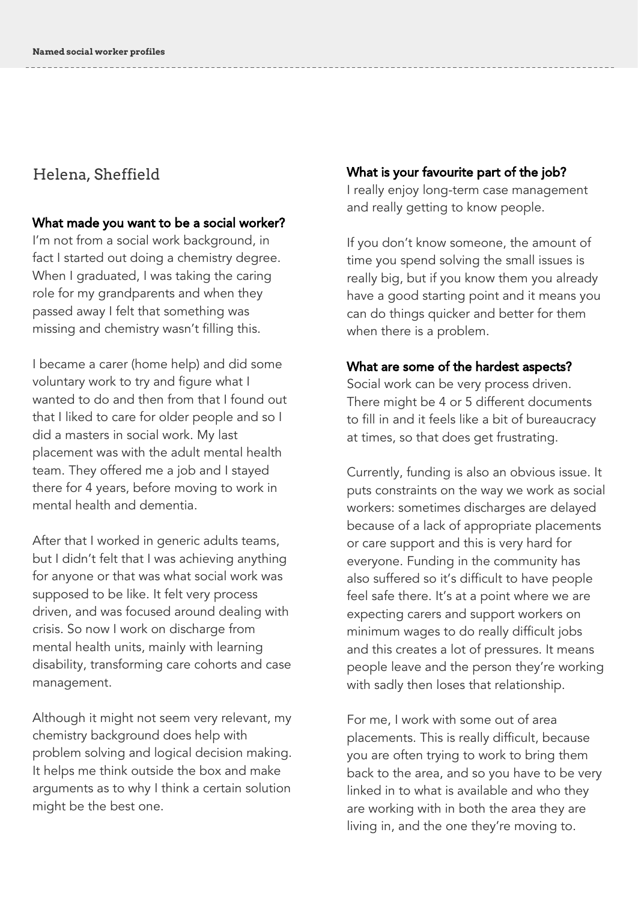#### Helena, Sheffield

#### What made you want to be a social worker?

I'm not from a social work background, in fact I started out doing a chemistry degree. When I graduated, I was taking the caring role for my grandparents and when they passed away I felt that something was missing and chemistry wasn't filling this.

I became a carer (home help) and did some voluntary work to try and figure what I wanted to do and then from that I found out that I liked to care for older people and so I did a masters in social work. My last placement was with the adult mental health team. They offered me a job and I stayed there for 4 years, before moving to work in mental health and dementia.

After that I worked in generic adults teams, but I didn't felt that I was achieving anything for anyone or that was what social work was supposed to be like. It felt very process driven, and was focused around dealing with crisis. So now I work on discharge from mental health units, mainly with learning disability, transforming care cohorts and case management.

Although it might not seem very relevant, my chemistry background does help with problem solving and logical decision making. It helps me think outside the box and make arguments as to why I think a certain solution might be the best one.

#### What is your favourite part of the job?

I really enjoy long-term case management and really getting to know people.

If you don't know someone, the amount of time you spend solving the small issues is really big, but if you know them you already have a good starting point and it means you can do things quicker and better for them when there is a problem.

#### What are some of the hardest aspects?

Social work can be very process driven. There might be 4 or 5 different documents to fill in and it feels like a bit of bureaucracy at times, so that does get frustrating.

Currently, funding is also an obvious issue. It puts constraints on the way we work as social workers: sometimes discharges are delayed because of a lack of appropriate placements or care support and this is very hard for everyone. Funding in the community has also suffered so it's difficult to have people feel safe there. It's at a point where we are expecting carers and support workers on minimum wages to do really difficult jobs and this creates a lot of pressures. It means people leave and the person they're working with sadly then loses that relationship.

For me, I work with some out of area placements. This is really difficult, because you are often trying to work to bring them back to the area, and so you have to be very linked in to what is available and who they are working with in both the area they are living in, and the one they're moving to.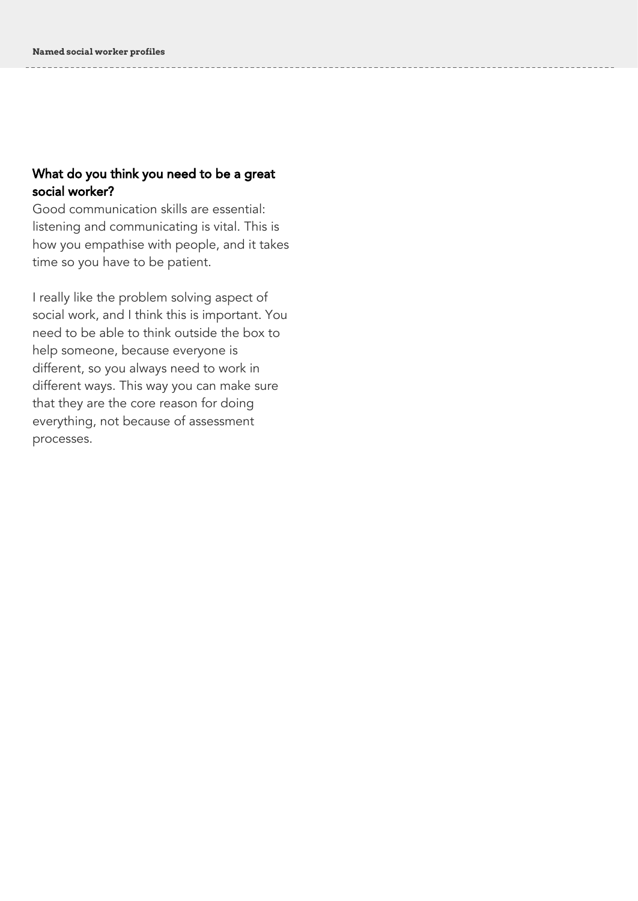#### What do you think you need to be a great social worker?

Good communication skills are essential: listening and communicating is vital. This is how you empathise with people, and it takes time so you have to be patient.

I really like the problem solving aspect of social work, and I think this is important. You need to be able to think outside the box to help someone, because everyone is different, so you always need to work in different ways. This way you can make sure that they are the core reason for doing everything, not because of assessment processes.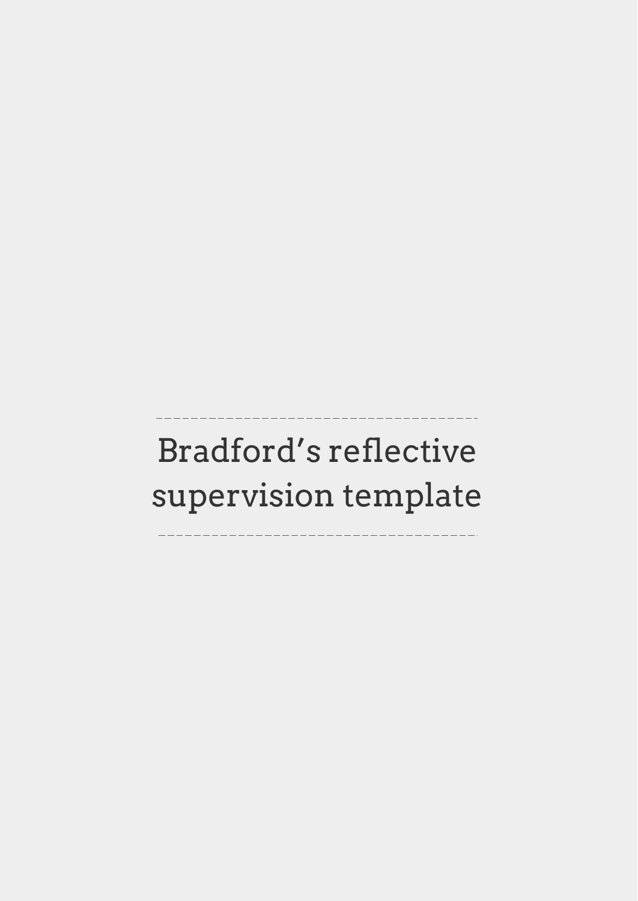# <span id="page-14-0"></span>Bradford's reflective supervision template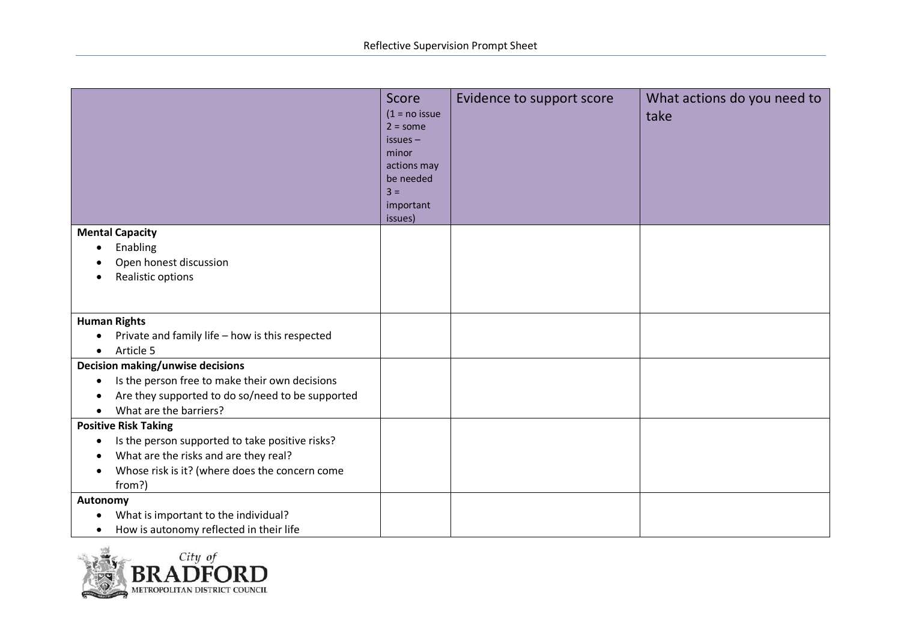|                                                               | <b>Score</b><br>$(1 = no issue$<br>$2 = some$<br>$issues -$<br>minor<br>actions may<br>be needed<br>$3 =$<br>important<br>issues) | Evidence to support score | What actions do you need to<br>take |  |
|---------------------------------------------------------------|-----------------------------------------------------------------------------------------------------------------------------------|---------------------------|-------------------------------------|--|
| <b>Mental Capacity</b>                                        |                                                                                                                                   |                           |                                     |  |
| Enabling<br>$\bullet$                                         |                                                                                                                                   |                           |                                     |  |
| Open honest discussion                                        |                                                                                                                                   |                           |                                     |  |
| Realistic options                                             |                                                                                                                                   |                           |                                     |  |
|                                                               |                                                                                                                                   |                           |                                     |  |
| <b>Human Rights</b>                                           |                                                                                                                                   |                           |                                     |  |
| Private and family life - how is this respected<br>$\bullet$  |                                                                                                                                   |                           |                                     |  |
| Article 5<br>$\bullet$                                        |                                                                                                                                   |                           |                                     |  |
| Decision making/unwise decisions                              |                                                                                                                                   |                           |                                     |  |
| Is the person free to make their own decisions<br>$\bullet$   |                                                                                                                                   |                           |                                     |  |
| Are they supported to do so/need to be supported<br>$\bullet$ |                                                                                                                                   |                           |                                     |  |
| What are the barriers?                                        |                                                                                                                                   |                           |                                     |  |
| <b>Positive Risk Taking</b>                                   |                                                                                                                                   |                           |                                     |  |
| Is the person supported to take positive risks?<br>$\bullet$  |                                                                                                                                   |                           |                                     |  |
| What are the risks and are they real?                         |                                                                                                                                   |                           |                                     |  |
| Whose risk is it? (where does the concern come<br>$\bullet$   |                                                                                                                                   |                           |                                     |  |
| from?)                                                        |                                                                                                                                   |                           |                                     |  |
| Autonomy                                                      |                                                                                                                                   |                           |                                     |  |
| What is important to the individual?                          |                                                                                                                                   |                           |                                     |  |
| How is autonomy reflected in their life                       |                                                                                                                                   |                           |                                     |  |

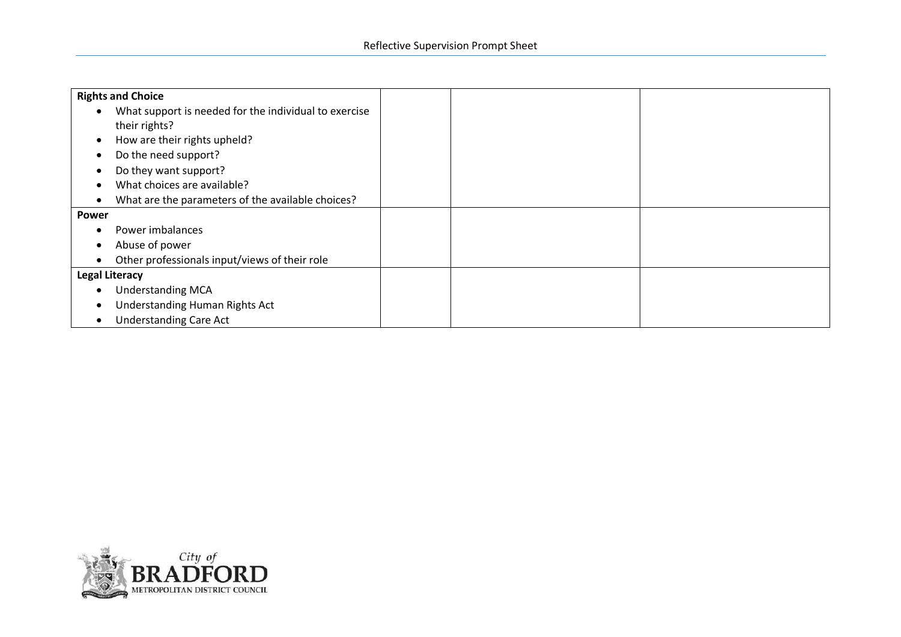| <b>Rights and Choice</b>                              |  |  |
|-------------------------------------------------------|--|--|
| What support is needed for the individual to exercise |  |  |
| their rights?                                         |  |  |
| How are their rights upheld?                          |  |  |
| Do the need support?                                  |  |  |
| Do they want support?                                 |  |  |
| What choices are available?                           |  |  |
| What are the parameters of the available choices?     |  |  |
| <b>Power</b>                                          |  |  |
| Power imbalances                                      |  |  |
| Abuse of power                                        |  |  |
| Other professionals input/views of their role         |  |  |
| <b>Legal Literacy</b>                                 |  |  |
| <b>Understanding MCA</b>                              |  |  |
| Understanding Human Rights Act                        |  |  |
| <b>Understanding Care Act</b>                         |  |  |

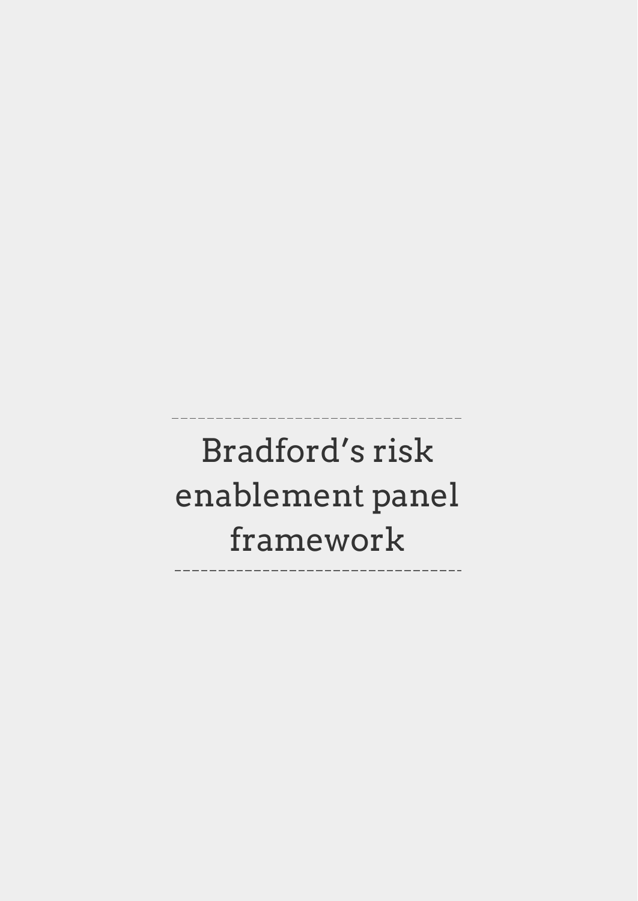<span id="page-17-0"></span>Bradford's risk enablement panel framework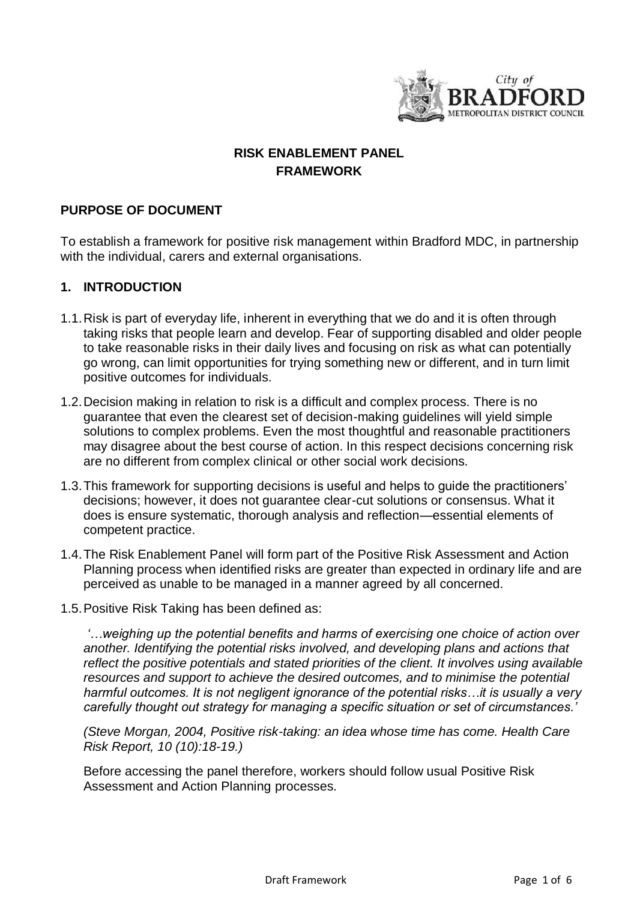

#### **RISK ENABLEMENT PANEL FRAMEWORK**

#### **PURPOSE OF DOCUMENT**

To establish a framework for positive risk management within Bradford MDC, in partnership with the individual, carers and external organisations.

#### **1. INTRODUCTION**

- 1.1.Risk is part of everyday life, inherent in everything that we do and it is often through taking risks that people learn and develop. Fear of supporting disabled and older people to take reasonable risks in their daily lives and focusing on risk as what can potentially go wrong, can limit opportunities for trying something new or different, and in turn limit positive outcomes for individuals.
- 1.2.Decision making in relation to risk is a difficult and complex process. There is no guarantee that even the clearest set of decision-making guidelines will yield simple solutions to complex problems. Even the most thoughtful and reasonable practitioners may disagree about the best course of action. In this respect decisions concerning risk are no different from complex clinical or other social work decisions.
- 1.3.This framework for supporting decisions is useful and helps to guide the practitioners' decisions; however, it does not guarantee clear-cut solutions or consensus. What it does is ensure systematic, thorough analysis and reflection—essential elements of competent practice.
- 1.4.The Risk Enablement Panel will form part of the Positive Risk Assessment and Action Planning process when identified risks are greater than expected in ordinary life and are perceived as unable to be managed in a manner agreed by all concerned.
- 1.5.Positive Risk Taking has been defined as:

*'…weighing up the potential benefits and harms of exercising one choice of action over another. Identifying the potential risks involved, and developing plans and actions that reflect the positive potentials and stated priorities of the client. It involves using available resources and support to achieve the desired outcomes, and to minimise the potential harmful outcomes. It is not negligent ignorance of the potential risks…it is usually a very carefully thought out strategy for managing a specific situation or set of circumstances.'*

*(Steve Morgan, 2004, Positive risk-taking: an idea whose time has come. Health Care Risk Report, 10 (10):18-19.)*

Before accessing the panel therefore, workers should follow usual Positive Risk Assessment and Action Planning processes.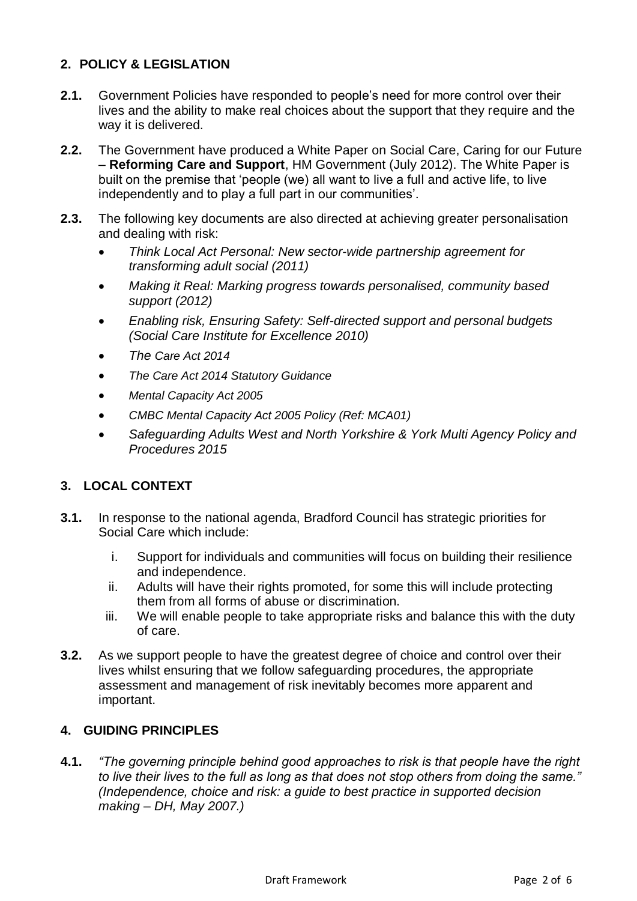#### **2. POLICY & LEGISLATION**

- **2.1.** Government Policies have responded to people's need for more control over their lives and the ability to make real choices about the support that they require and the way it is delivered.
- **2.2.** The Government have produced a White Paper on Social Care, Caring for our Future – **Reforming Care and Support**, HM Government (July 2012). The White Paper is built on the premise that 'people (we) all want to live a full and active life, to live independently and to play a full part in our communities'.
- **2.3.** The following key documents are also directed at achieving greater personalisation and dealing with risk:
	- *Think Local Act Personal: New sector-wide partnership agreement for transforming adult social (2011)*
	- *Making it Real: Marking progress towards personalised, community based support (2012)*
	- *Enabling risk, Ensuring Safety: Self-directed support and personal budgets (Social Care Institute for Excellence 2010)*
	- *The Care Act 2014*
	- *The Care Act 2014 Statutory Guidance*
	- *Mental Capacity Act 2005*
	- *CMBC Mental Capacity Act 2005 Policy (Ref: MCA01)*
	- *Safeguarding Adults West and North Yorkshire & York Multi Agency Policy and Procedures 2015*

#### **3. LOCAL CONTEXT**

- **3.1.** In response to the national agenda, Bradford Council has strategic priorities for Social Care which include:
	- i. Support for individuals and communities will focus on building their resilience and independence.
	- ii. Adults will have their rights promoted, for some this will include protecting them from all forms of abuse or discrimination.
	- iii. We will enable people to take appropriate risks and balance this with the duty of care.
- **3.2.** As we support people to have the greatest degree of choice and control over their lives whilst ensuring that we follow safeguarding procedures, the appropriate assessment and management of risk inevitably becomes more apparent and important.

#### **4. GUIDING PRINCIPLES**

**4.1.** *"The governing principle behind good approaches to risk is that people have the right to live their lives to the full as long as that does not stop others from doing the same." (Independence, choice and risk: a guide to best practice in supported decision making – DH, May 2007.)*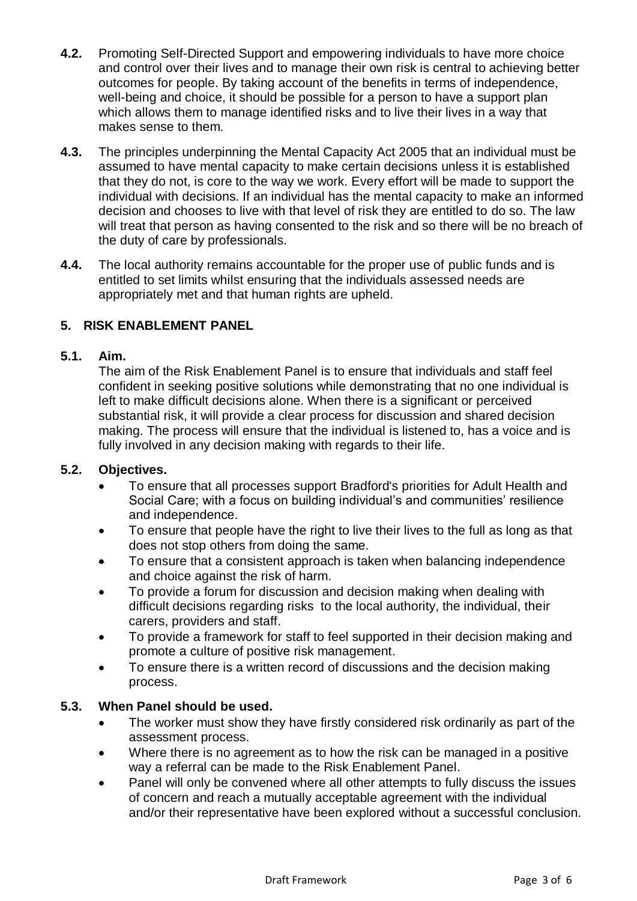- **4.2.** Promoting Self-Directed Support and empowering individuals to have more choice and control over their lives and to manage their own risk is central to achieving better outcomes for people. By taking account of the benefits in terms of independence, well-being and choice, it should be possible for a person to have a support plan which allows them to manage identified risks and to live their lives in a way that makes sense to them.
- **4.3.** The principles underpinning the Mental Capacity Act 2005 that an individual must be assumed to have mental capacity to make certain decisions unless it is established that they do not, is core to the way we work. Every effort will be made to support the individual with decisions. If an individual has the mental capacity to make an informed decision and chooses to live with that level of risk they are entitled to do so. The law will treat that person as having consented to the risk and so there will be no breach of the duty of care by professionals.
- **4.4.** The local authority remains accountable for the proper use of public funds and is entitled to set limits whilst ensuring that the individuals assessed needs are appropriately met and that human rights are upheld.

#### **5. RISK ENABLEMENT PANEL**

#### **5.1. Aim.**

The aim of the Risk Enablement Panel is to ensure that individuals and staff feel confident in seeking positive solutions while demonstrating that no one individual is left to make difficult decisions alone. When there is a significant or perceived substantial risk, it will provide a clear process for discussion and shared decision making. The process will ensure that the individual is listened to, has a voice and is fully involved in any decision making with regards to their life.

#### **5.2. Objectives.**

- To ensure that all processes support Bradford's priorities for Adult Health and Social Care; with a focus on building individual's and communities' resilience and independence.
- To ensure that people have the right to live their lives to the full as long as that does not stop others from doing the same.
- To ensure that a consistent approach is taken when balancing independence and choice against the risk of harm.
- To provide a forum for discussion and decision making when dealing with difficult decisions regarding risks to the local authority, the individual, their carers, providers and staff.
- To provide a framework for staff to feel supported in their decision making and promote a culture of positive risk management.
- To ensure there is a written record of discussions and the decision making process.

#### **5.3. When Panel should be used.**

- The worker must show they have firstly considered risk ordinarily as part of the assessment process.
- Where there is no agreement as to how the risk can be managed in a positive way a referral can be made to the Risk Enablement Panel.
- Panel will only be convened where all other attempts to fully discuss the issues of concern and reach a mutually acceptable agreement with the individual and/or their representative have been explored without a successful conclusion.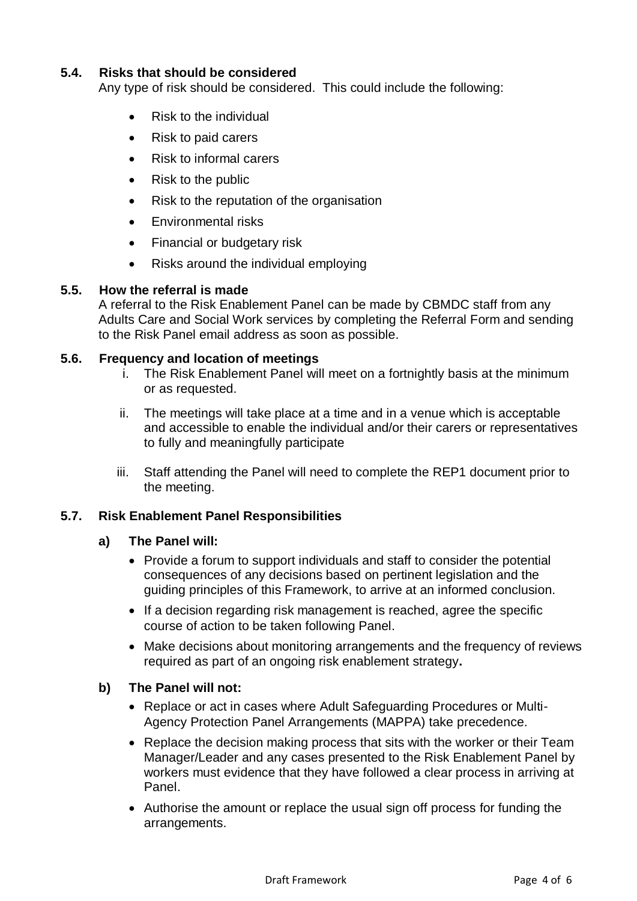#### **5.4. Risks that should be considered**

Any type of risk should be considered. This could include the following:

- Risk to the individual
- Risk to paid carers
- Risk to informal carers
- Risk to the public
- Risk to the reputation of the organisation
- **•** Environmental risks
- Financial or budgetary risk
- Risks around the individual employing

#### **5.5. How the referral is made**

A referral to the Risk Enablement Panel can be made by CBMDC staff from any Adults Care and Social Work services by completing the Referral Form and sending to the Risk Panel email address as soon as possible.

#### **5.6. Frequency and location of meetings**

- i. The Risk Enablement Panel will meet on a fortnightly basis at the minimum or as requested.
- ii. The meetings will take place at a time and in a venue which is acceptable and accessible to enable the individual and/or their carers or representatives to fully and meaningfully participate
- iii. Staff attending the Panel will need to complete the REP1 document prior to the meeting.

#### **5.7. Risk Enablement Panel Responsibilities**

#### **a) The Panel will:**

- Provide a forum to support individuals and staff to consider the potential consequences of any decisions based on pertinent legislation and the guiding principles of this Framework, to arrive at an informed conclusion.
- If a decision regarding risk management is reached, agree the specific course of action to be taken following Panel.
- Make decisions about monitoring arrangements and the frequency of reviews required as part of an ongoing risk enablement strategy**.**

#### **b) The Panel will not:**

- Replace or act in cases where Adult Safeguarding Procedures or Multi-Agency Protection Panel Arrangements (MAPPA) take precedence.
- Replace the decision making process that sits with the worker or their Team Manager/Leader and any cases presented to the Risk Enablement Panel by workers must evidence that they have followed a clear process in arriving at Panel.
- Authorise the amount or replace the usual sign off process for funding the arrangements.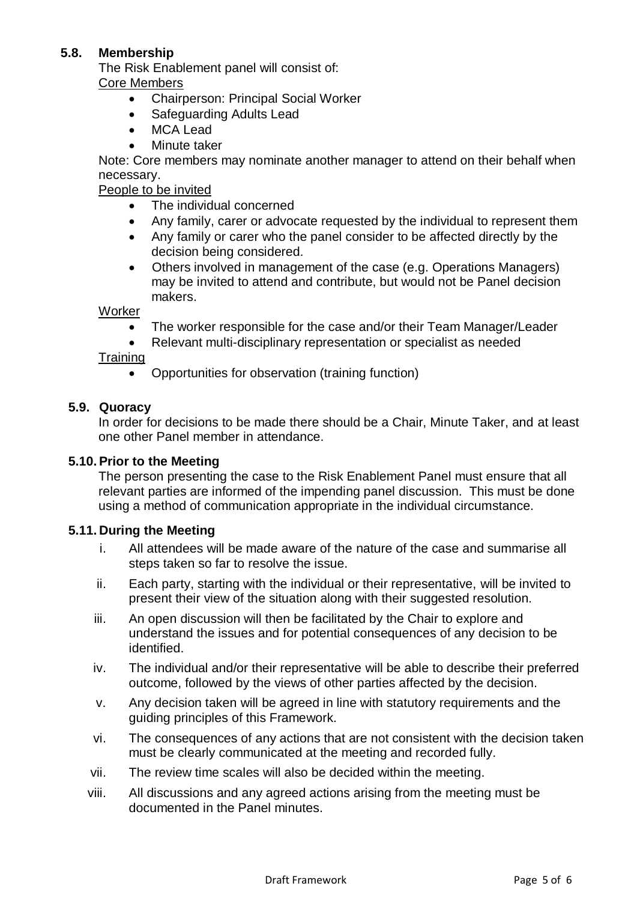#### **5.8. Membership**

The Risk Enablement panel will consist of:

#### Core Members

- Chairperson: Principal Social Worker
- Safeguarding Adults Lead
- MCA Lead
- Minute taker

Note: Core members may nominate another manager to attend on their behalf when necessary.

#### People to be invited

- The individual concerned
- Any family, carer or advocate requested by the individual to represent them
- Any family or carer who the panel consider to be affected directly by the decision being considered.
- Others involved in management of the case (e.g. Operations Managers) may be invited to attend and contribute, but would not be Panel decision makers.

#### **Worker**

- The worker responsible for the case and/or their Team Manager/Leader
- Relevant multi-disciplinary representation or specialist as needed

#### **Training**

Opportunities for observation (training function)

#### **5.9. Quoracy**

In order for decisions to be made there should be a Chair, Minute Taker, and at least one other Panel member in attendance.

#### **5.10. Prior to the Meeting**

The person presenting the case to the Risk Enablement Panel must ensure that all relevant parties are informed of the impending panel discussion. This must be done using a method of communication appropriate in the individual circumstance.

#### **5.11. During the Meeting**

- i. All attendees will be made aware of the nature of the case and summarise all steps taken so far to resolve the issue.
- ii. Each party, starting with the individual or their representative, will be invited to present their view of the situation along with their suggested resolution.
- iii. An open discussion will then be facilitated by the Chair to explore and understand the issues and for potential consequences of any decision to be identified.
- iv. The individual and/or their representative will be able to describe their preferred outcome, followed by the views of other parties affected by the decision.
- v. Any decision taken will be agreed in line with statutory requirements and the guiding principles of this Framework.
- vi. The consequences of any actions that are not consistent with the decision taken must be clearly communicated at the meeting and recorded fully.
- vii. The review time scales will also be decided within the meeting.
- viii. All discussions and any agreed actions arising from the meeting must be documented in the Panel minutes.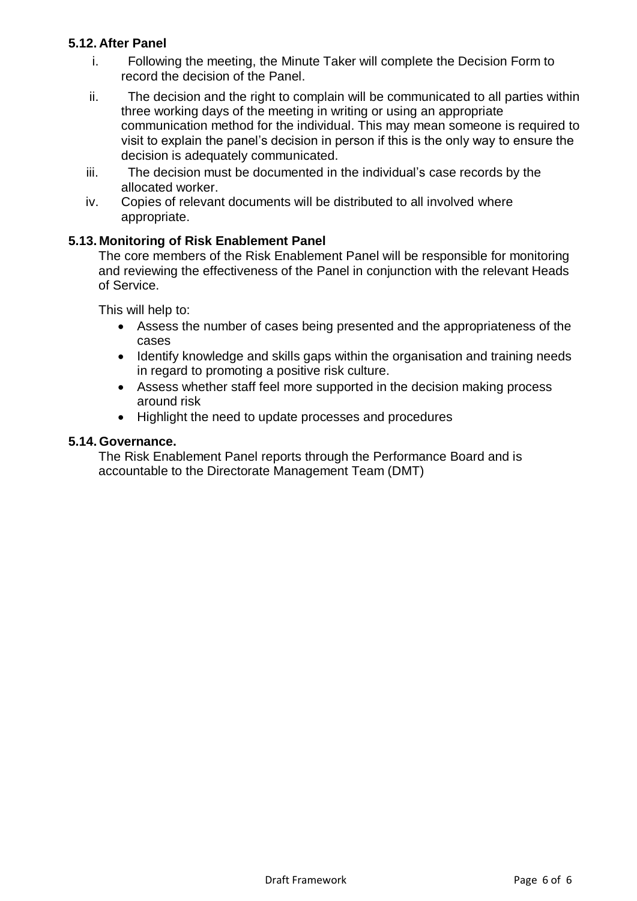#### **5.12. After Panel**

- i. Following the meeting, the Minute Taker will complete the Decision Form to record the decision of the Panel.
- ii. The decision and the right to complain will be communicated to all parties within three working days of the meeting in writing or using an appropriate communication method for the individual. This may mean someone is required to visit to explain the panel's decision in person if this is the only way to ensure the decision is adequately communicated.
- iii. The decision must be documented in the individual's case records by the allocated worker.
- iv. Copies of relevant documents will be distributed to all involved where appropriate.

#### **5.13. Monitoring of Risk Enablement Panel**

The core members of the Risk Enablement Panel will be responsible for monitoring and reviewing the effectiveness of the Panel in conjunction with the relevant Heads of Service.

This will help to:

- Assess the number of cases being presented and the appropriateness of the cases
- Identify knowledge and skills gaps within the organisation and training needs in regard to promoting a positive risk culture.
- Assess whether staff feel more supported in the decision making process around risk
- Highlight the need to update processes and procedures

#### **5.14. Governance.**

The Risk Enablement Panel reports through the Performance Board and is accountable to the Directorate Management Team (DMT)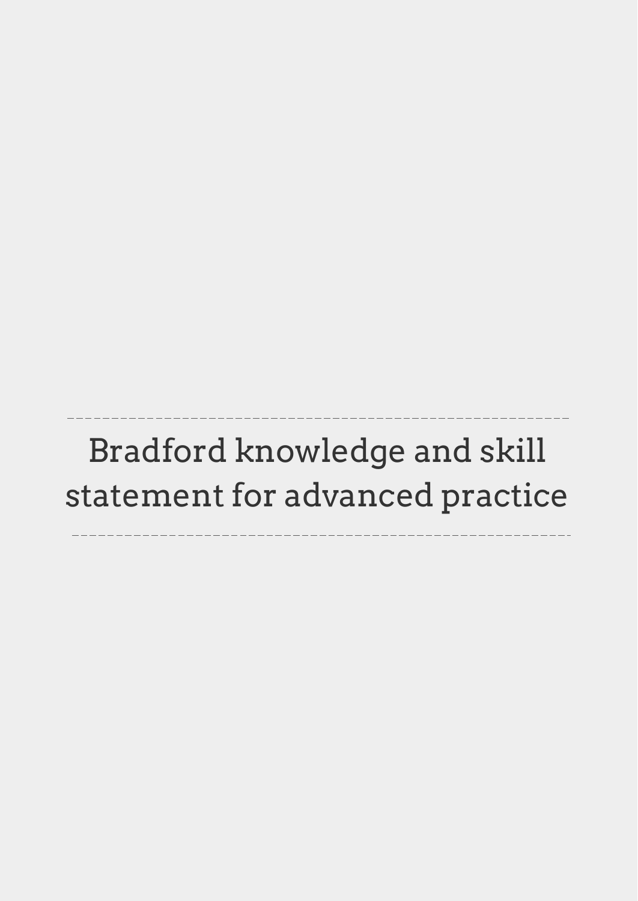# <span id="page-24-0"></span>Bradford knowledge and skill statement for advanced practice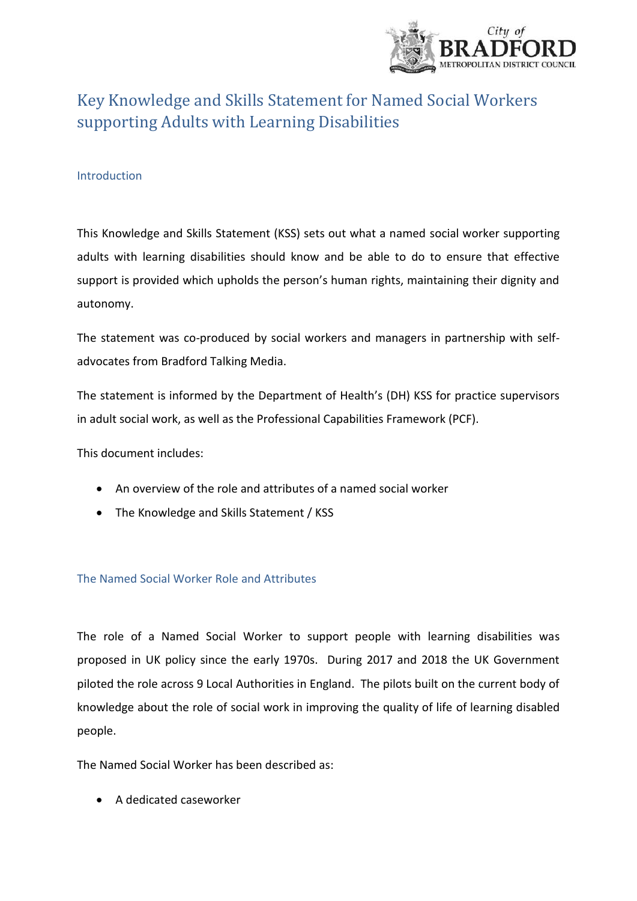

### Key Knowledge and Skills Statement for Named Social Workers supporting Adults with Learning Disabilities

#### Introduction

This Knowledge and Skills Statement (KSS) sets out what a named social worker supporting adults with learning disabilities should know and be able to do to ensure that effective support is provided which upholds the person's human rights, maintaining their dignity and autonomy.

The statement was co-produced by social workers and managers in partnership with selfadvocates from Bradford Talking Media.

The statement is informed by the Department of Health's (DH) KSS for practice supervisors in adult social work, as well as the Professional Capabilities Framework (PCF).

This document includes:

- An overview of the role and attributes of a named social worker
- The Knowledge and Skills Statement / KSS

#### The Named Social Worker Role and Attributes

The role of a Named Social Worker to support people with learning disabilities was proposed in UK policy since the early 1970s. During 2017 and 2018 the UK Government piloted the role across 9 Local Authorities in England. The pilots built on the current body of knowledge about the role of social work in improving the quality of life of learning disabled people.

The Named Social Worker has been described as:

• A dedicated caseworker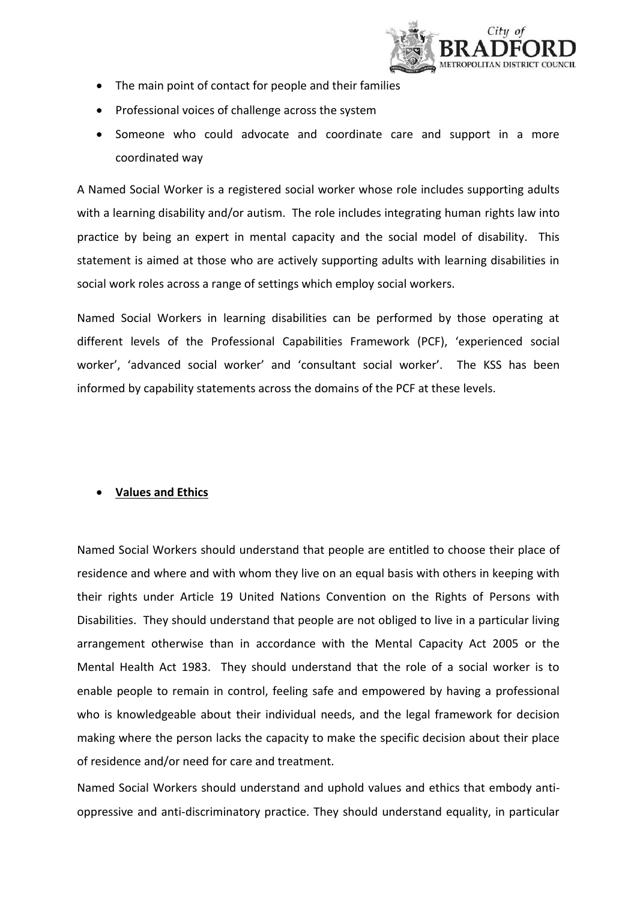

- The main point of contact for people and their families
- Professional voices of challenge across the system
- Someone who could advocate and coordinate care and support in a more coordinated way

A Named Social Worker is a registered social worker whose role includes supporting adults with a learning disability and/or autism. The role includes integrating human rights law into practice by being an expert in mental capacity and the social model of disability. This statement is aimed at those who are actively supporting adults with learning disabilities in social work roles across a range of settings which employ social workers.

Named Social Workers in learning disabilities can be performed by those operating at different levels of the Professional Capabilities Framework (PCF), 'experienced social worker', 'advanced social worker' and 'consultant social worker'. The KSS has been informed by capability statements across the domains of the PCF at these levels.

#### • **Values and Ethics**

Named Social Workers should understand that people are entitled to choose their place of residence and where and with whom they live on an equal basis with others in keeping with their rights under Article 19 United Nations Convention on the Rights of Persons with Disabilities. They should understand that people are not obliged to live in a particular living arrangement otherwise than in accordance with the Mental Capacity Act 2005 or the Mental Health Act 1983. They should understand that the role of a social worker is to enable people to remain in control, feeling safe and empowered by having a professional who is knowledgeable about their individual needs, and the legal framework for decision making where the person lacks the capacity to make the specific decision about their place of residence and/or need for care and treatment.

Named Social Workers should understand and uphold values and ethics that embody antioppressive and anti-discriminatory practice. They should understand equality, in particular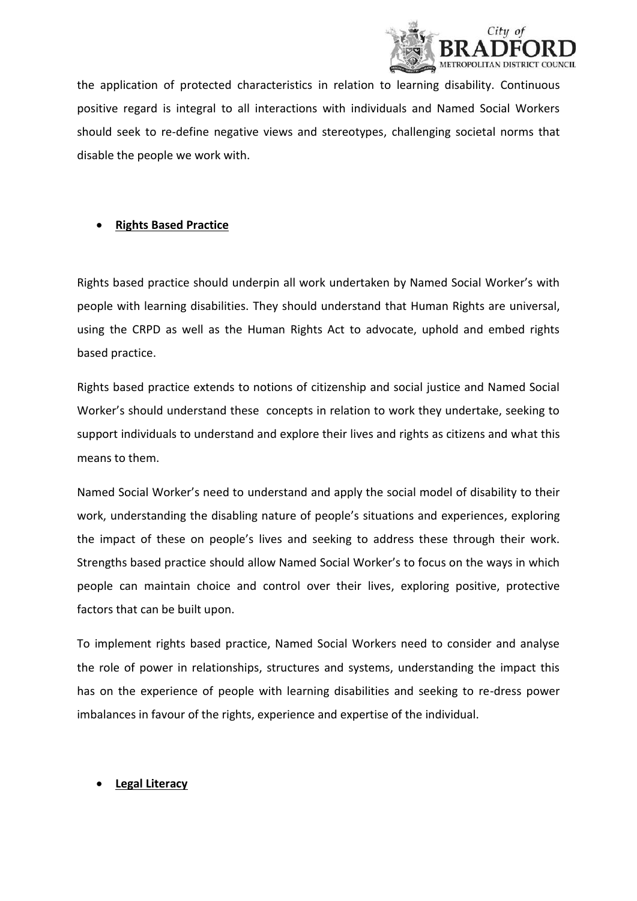

the application of protected characteristics in relation to learning disability. Continuous positive regard is integral to all interactions with individuals and Named Social Workers should seek to re-define negative views and stereotypes, challenging societal norms that disable the people we work with.

#### • **Rights Based Practice**

Rights based practice should underpin all work undertaken by Named Social Worker's with people with learning disabilities. They should understand that Human Rights are universal, using the CRPD as well as the Human Rights Act to advocate, uphold and embed rights based practice.

Rights based practice extends to notions of citizenship and social justice and Named Social Worker's should understand these concepts in relation to work they undertake, seeking to support individuals to understand and explore their lives and rights as citizens and what this means to them.

Named Social Worker's need to understand and apply the social model of disability to their work, understanding the disabling nature of people's situations and experiences, exploring the impact of these on people's lives and seeking to address these through their work. Strengths based practice should allow Named Social Worker's to focus on the ways in which people can maintain choice and control over their lives, exploring positive, protective factors that can be built upon.

To implement rights based practice, Named Social Workers need to consider and analyse the role of power in relationships, structures and systems, understanding the impact this has on the experience of people with learning disabilities and seeking to re-dress power imbalances in favour of the rights, experience and expertise of the individual.

#### • **Legal Literacy**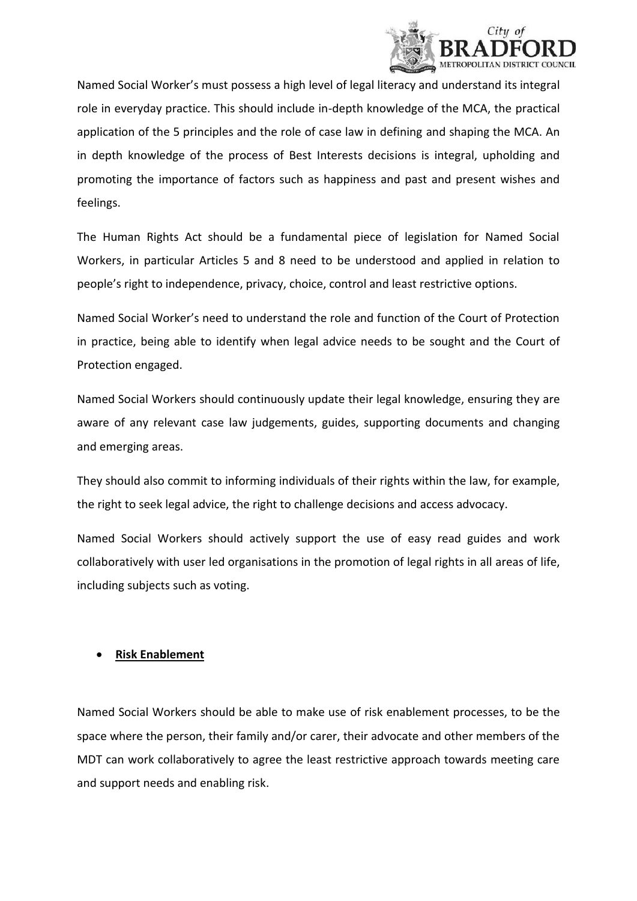

Named Social Worker's must possess a high level of legal literacy and understand its integral role in everyday practice. This should include in-depth knowledge of the MCA, the practical application of the 5 principles and the role of case law in defining and shaping the MCA. An in depth knowledge of the process of Best Interests decisions is integral, upholding and promoting the importance of factors such as happiness and past and present wishes and feelings.

The Human Rights Act should be a fundamental piece of legislation for Named Social Workers, in particular Articles 5 and 8 need to be understood and applied in relation to people's right to independence, privacy, choice, control and least restrictive options.

Named Social Worker's need to understand the role and function of the Court of Protection in practice, being able to identify when legal advice needs to be sought and the Court of Protection engaged.

Named Social Workers should continuously update their legal knowledge, ensuring they are aware of any relevant case law judgements, guides, supporting documents and changing and emerging areas.

They should also commit to informing individuals of their rights within the law, for example, the right to seek legal advice, the right to challenge decisions and access advocacy.

Named Social Workers should actively support the use of easy read guides and work collaboratively with user led organisations in the promotion of legal rights in all areas of life, including subjects such as voting.

#### • **Risk Enablement**

Named Social Workers should be able to make use of risk enablement processes, to be the space where the person, their family and/or carer, their advocate and other members of the MDT can work collaboratively to agree the least restrictive approach towards meeting care and support needs and enabling risk.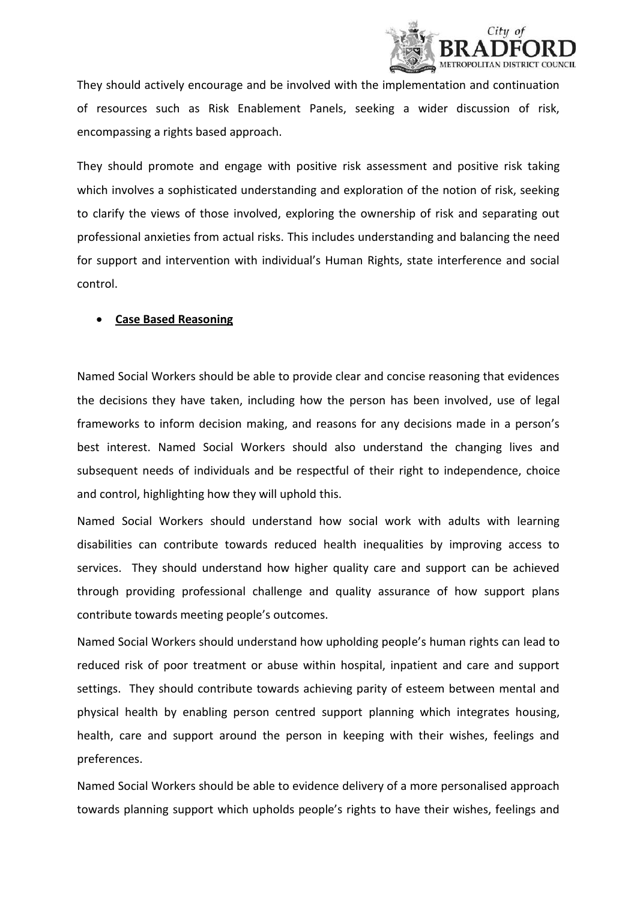

They should actively encourage and be involved with the implementation and continuation of resources such as Risk Enablement Panels, seeking a wider discussion of risk, encompassing a rights based approach.

They should promote and engage with positive risk assessment and positive risk taking which involves a sophisticated understanding and exploration of the notion of risk, seeking to clarify the views of those involved, exploring the ownership of risk and separating out professional anxieties from actual risks. This includes understanding and balancing the need for support and intervention with individual's Human Rights, state interference and social control.

#### • **Case Based Reasoning**

Named Social Workers should be able to provide clear and concise reasoning that evidences the decisions they have taken, including how the person has been involved, use of legal frameworks to inform decision making, and reasons for any decisions made in a person's best interest. Named Social Workers should also understand the changing lives and subsequent needs of individuals and be respectful of their right to independence, choice and control, highlighting how they will uphold this.

Named Social Workers should understand how social work with adults with learning disabilities can contribute towards reduced health inequalities by improving access to services. They should understand how higher quality care and support can be achieved through providing professional challenge and quality assurance of how support plans contribute towards meeting people's outcomes.

Named Social Workers should understand how upholding people's human rights can lead to reduced risk of poor treatment or abuse within hospital, inpatient and care and support settings. They should contribute towards achieving parity of esteem between mental and physical health by enabling person centred support planning which integrates housing, health, care and support around the person in keeping with their wishes, feelings and preferences.

Named Social Workers should be able to evidence delivery of a more personalised approach towards planning support which upholds people's rights to have their wishes, feelings and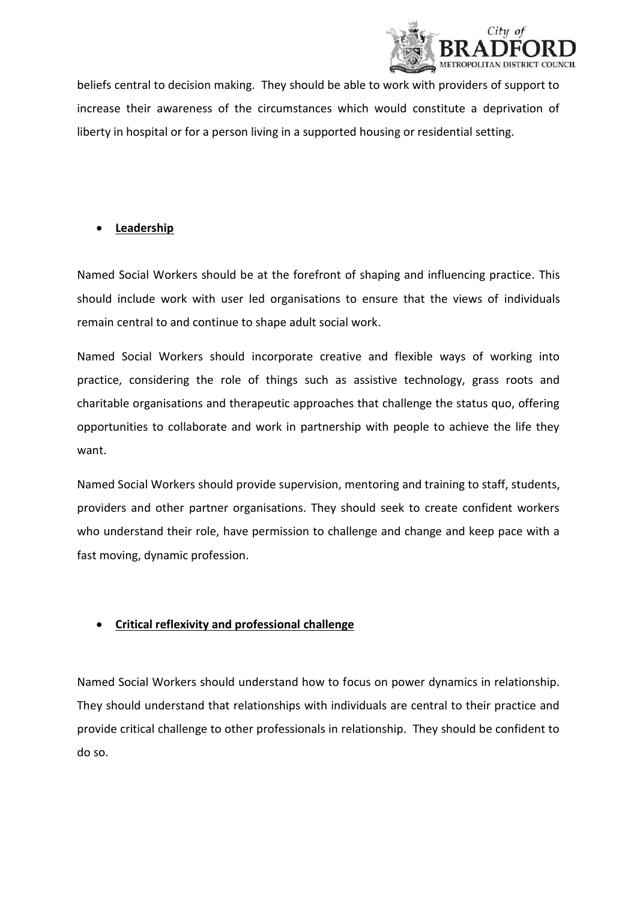

beliefs central to decision making. They should be able to work with providers of support to increase their awareness of the circumstances which would constitute a deprivation of liberty in hospital or for a person living in a supported housing or residential setting.

#### • **Leadership**

Named Social Workers should be at the forefront of shaping and influencing practice. This should include work with user led organisations to ensure that the views of individuals remain central to and continue to shape adult social work.

Named Social Workers should incorporate creative and flexible ways of working into practice, considering the role of things such as assistive technology, grass roots and charitable organisations and therapeutic approaches that challenge the status quo, offering opportunities to collaborate and work in partnership with people to achieve the life they want.

Named Social Workers should provide supervision, mentoring and training to staff, students, providers and other partner organisations. They should seek to create confident workers who understand their role, have permission to challenge and change and keep pace with a fast moving, dynamic profession.

#### • **Critical reflexivity and professional challenge**

Named Social Workers should understand how to focus on power dynamics in relationship. They should understand that relationships with individuals are central to their practice and provide critical challenge to other professionals in relationship. They should be confident to do so.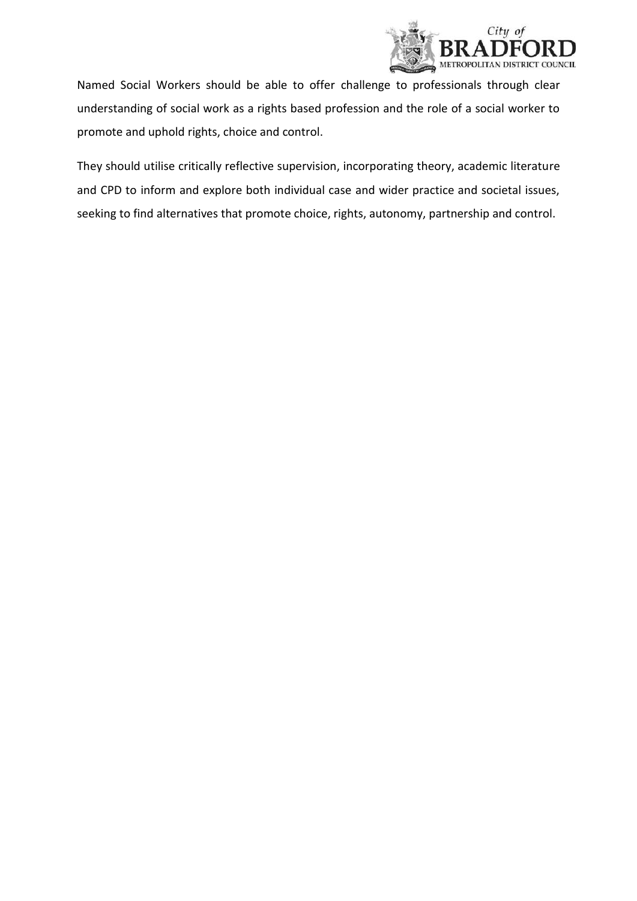

Named Social Workers should be able to offer challenge to professionals through clear understanding of social work as a rights based profession and the role of a social worker to promote and uphold rights, choice and control.

They should utilise critically reflective supervision, incorporating theory, academic literature and CPD to inform and explore both individual case and wider practice and societal issues, seeking to find alternatives that promote choice, rights, autonomy, partnership and control.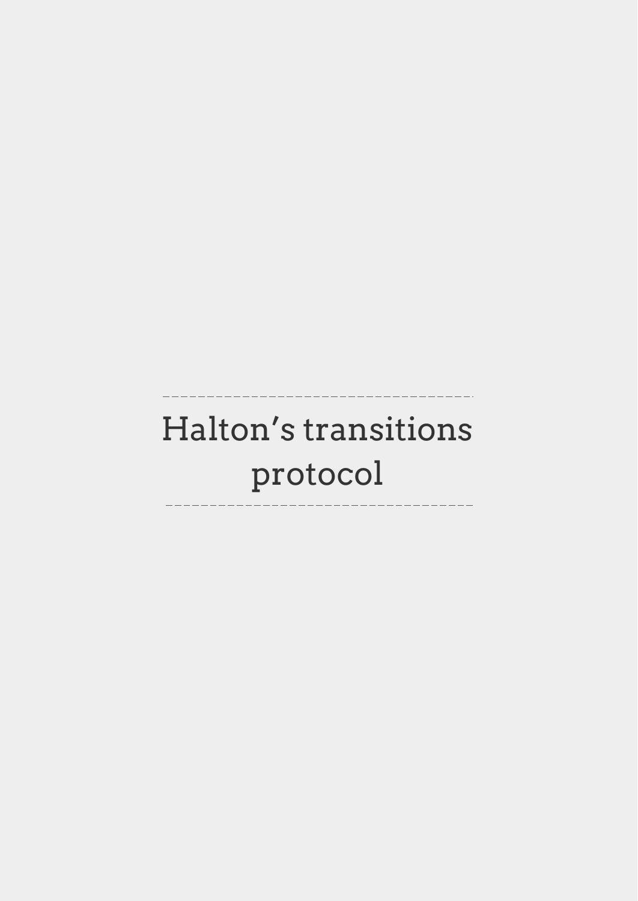# <span id="page-32-0"></span>Halton's transitions protocol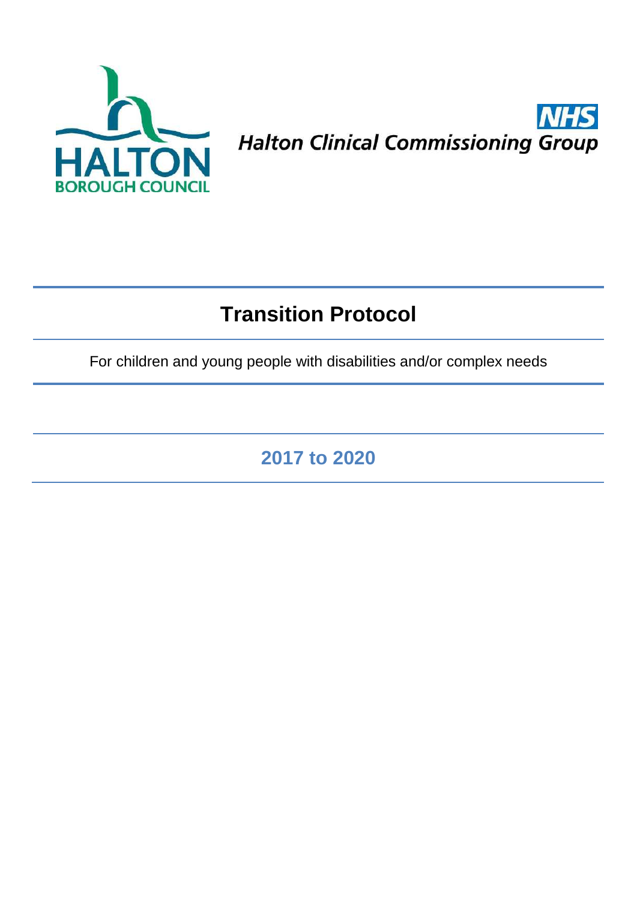

**Halton Clinical Commissioning Group** 

### **Transition Protocol**

For children and young people with disabilities and/or complex needs

**2017 to 2020**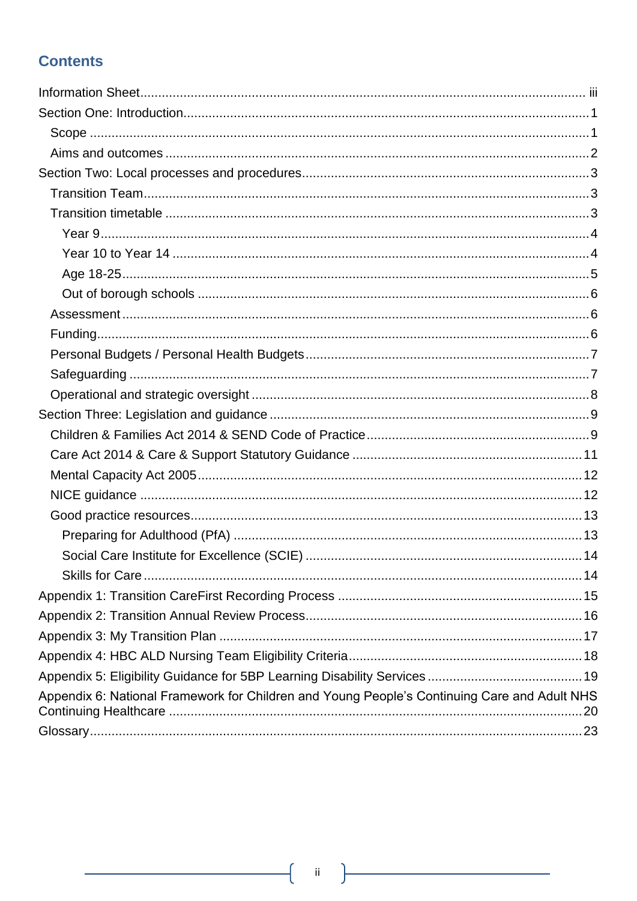#### **Contents**

| Appendix 6: National Framework for Children and Young People's Continuing Care and Adult NHS |  |
|----------------------------------------------------------------------------------------------|--|
|                                                                                              |  |

J

 $\{$ 

<u> 1980 - Johann Barbara, martxa a</u>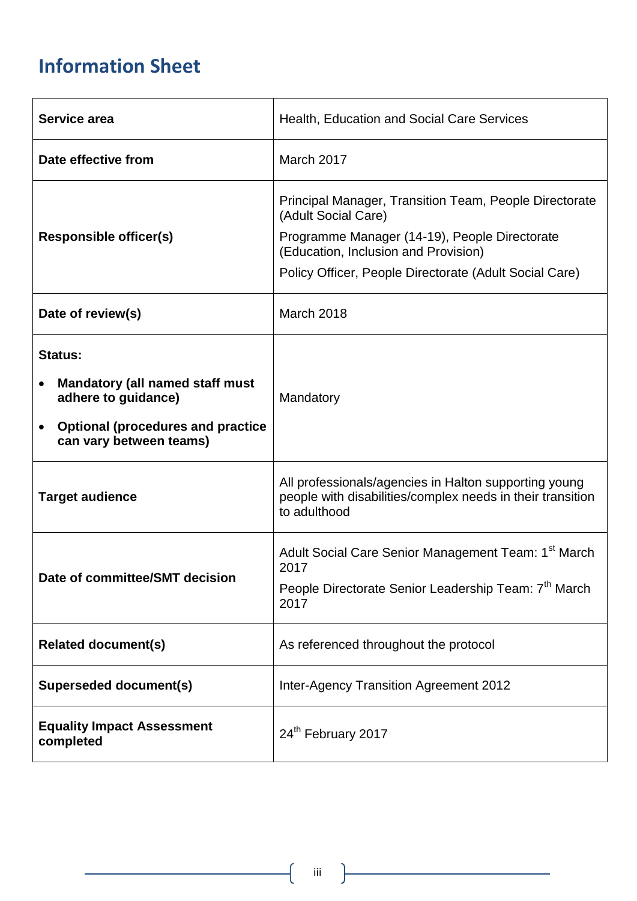### <span id="page-35-0"></span>**Information Sheet**

| Service area                                                                                                                                                 | Health, Education and Social Care Services                                                                                                                                                                                       |  |
|--------------------------------------------------------------------------------------------------------------------------------------------------------------|----------------------------------------------------------------------------------------------------------------------------------------------------------------------------------------------------------------------------------|--|
| Date effective from                                                                                                                                          | March 2017                                                                                                                                                                                                                       |  |
| <b>Responsible officer(s)</b>                                                                                                                                | Principal Manager, Transition Team, People Directorate<br>(Adult Social Care)<br>Programme Manager (14-19), People Directorate<br>(Education, Inclusion and Provision)<br>Policy Officer, People Directorate (Adult Social Care) |  |
| Date of review(s)                                                                                                                                            | <b>March 2018</b>                                                                                                                                                                                                                |  |
| Status:<br><b>Mandatory (all named staff must</b><br>$\bullet$<br>adhere to guidance)<br><b>Optional (procedures and practice</b><br>can vary between teams) | Mandatory                                                                                                                                                                                                                        |  |
| <b>Target audience</b>                                                                                                                                       | All professionals/agencies in Halton supporting young<br>people with disabilities/complex needs in their transition<br>to adulthood                                                                                              |  |
| Date of committee/SMT decision                                                                                                                               | Adult Social Care Senior Management Team: 1st March<br>2017<br>People Directorate Senior Leadership Team: 7 <sup>th</sup> March<br>2017                                                                                          |  |
| <b>Related document(s)</b>                                                                                                                                   | As referenced throughout the protocol                                                                                                                                                                                            |  |
| <b>Superseded document(s)</b>                                                                                                                                | <b>Inter-Agency Transition Agreement 2012</b>                                                                                                                                                                                    |  |
| <b>Equality Impact Assessment</b><br>completed                                                                                                               | 24 <sup>th</sup> February 2017                                                                                                                                                                                                   |  |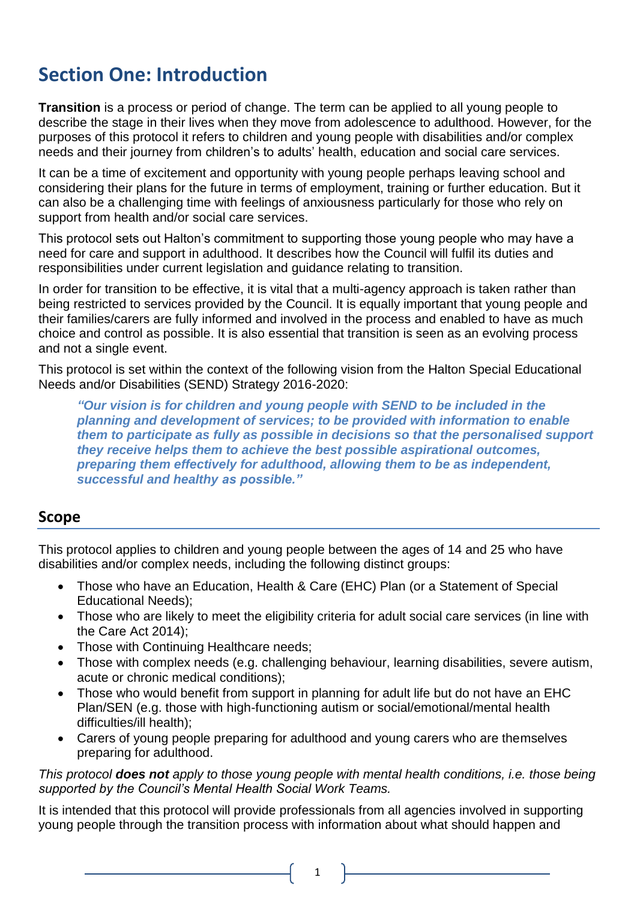# **Section One: Introduction**

**Transition** is a process or period of change. The term can be applied to all young people to describe the stage in their lives when they move from adolescence to adulthood. However, for the purposes of this protocol it refers to children and young people with disabilities and/or complex needs and their journey from children's to adults' health, education and social care services.

It can be a time of excitement and opportunity with young people perhaps leaving school and considering their plans for the future in terms of employment, training or further education. But it can also be a challenging time with feelings of anxiousness particularly for those who rely on support from health and/or social care services.

This protocol sets out Halton's commitment to supporting those young people who may have a need for care and support in adulthood. It describes how the Council will fulfil its duties and responsibilities under current legislation and guidance relating to transition.

In order for transition to be effective, it is vital that a multi-agency approach is taken rather than being restricted to services provided by the Council. It is equally important that young people and their families/carers are fully informed and involved in the process and enabled to have as much choice and control as possible. It is also essential that transition is seen as an evolving process and not a single event.

This protocol is set within the context of the following vision from the Halton Special Educational Needs and/or Disabilities (SEND) Strategy 2016-2020:

*"Our vision is for children and young people with SEND to be included in the planning and development of services; to be provided with information to enable them to participate as fully as possible in decisions so that the personalised support they receive helps them to achieve the best possible aspirational outcomes, preparing them effectively for adulthood, allowing them to be as independent, successful and healthy as possible."*

### **Scope**

This protocol applies to children and young people between the ages of 14 and 25 who have disabilities and/or complex needs, including the following distinct groups:

- Those who have an Education, Health & Care (EHC) Plan (or a Statement of Special Educational Needs);
- Those who are likely to meet the eligibility criteria for adult social care services (in line with the Care Act 2014);
- Those with Continuing Healthcare needs;
- Those with complex needs (e.g. challenging behaviour, learning disabilities, severe autism, acute or chronic medical conditions);
- Those who would benefit from support in planning for adult life but do not have an EHC Plan/SEN (e.g. those with high-functioning autism or social/emotional/mental health difficulties/ill health);
- Carers of young people preparing for adulthood and young carers who are themselves preparing for adulthood.

*This protocol does not apply to those young people with mental health conditions, i.e. those being supported by the Council's Mental Health Social Work Teams.*

It is intended that this protocol will provide professionals from all agencies involved in supporting young people through the transition process with information about what should happen and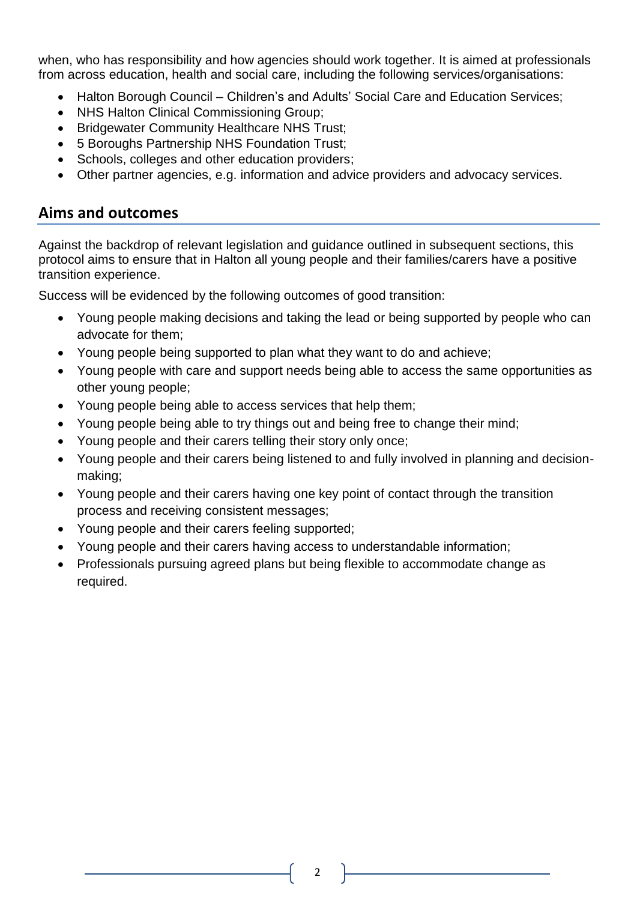when, who has responsibility and how agencies should work together. It is aimed at professionals from across education, health and social care, including the following services/organisations:

- Halton Borough Council Children's and Adults' Social Care and Education Services;
- NHS Halton Clinical Commissioning Group;
- Bridgewater Community Healthcare NHS Trust:
- 5 Boroughs Partnership NHS Foundation Trust;
- Schools, colleges and other education providers:
- Other partner agencies, e.g. information and advice providers and advocacy services.

### **Aims and outcomes**

Against the backdrop of relevant legislation and guidance outlined in subsequent sections, this protocol aims to ensure that in Halton all young people and their families/carers have a positive transition experience.

Success will be evidenced by the following outcomes of good transition:

- Young people making decisions and taking the lead or being supported by people who can advocate for them;
- Young people being supported to plan what they want to do and achieve;
- Young people with care and support needs being able to access the same opportunities as other young people;
- Young people being able to access services that help them;
- Young people being able to try things out and being free to change their mind;
- Young people and their carers telling their story only once:
- Young people and their carers being listened to and fully involved in planning and decisionmaking;
- Young people and their carers having one key point of contact through the transition process and receiving consistent messages;
- Young people and their carers feeling supported;
- Young people and their carers having access to understandable information;
- Professionals pursuing agreed plans but being flexible to accommodate change as required.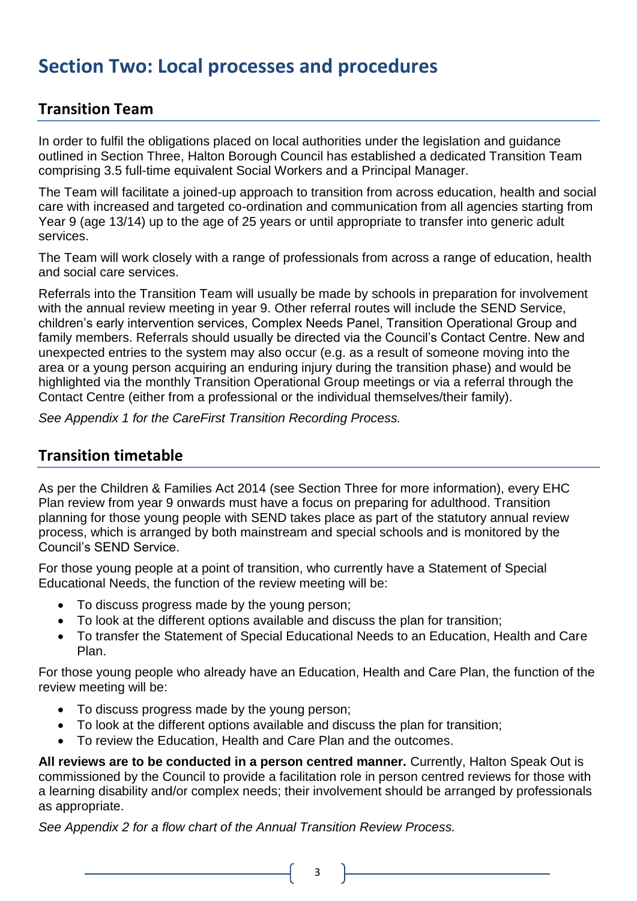# **Section Two: Local processes and procedures**

### **Transition Team**

In order to fulfil the obligations placed on local authorities under the legislation and guidance outlined in Section Three, Halton Borough Council has established a dedicated Transition Team comprising 3.5 full-time equivalent Social Workers and a Principal Manager.

The Team will facilitate a joined-up approach to transition from across education, health and social care with increased and targeted co-ordination and communication from all agencies starting from Year 9 (age 13/14) up to the age of 25 years or until appropriate to transfer into generic adult services.

The Team will work closely with a range of professionals from across a range of education, health and social care services.

Referrals into the Transition Team will usually be made by schools in preparation for involvement with the annual review meeting in year 9. Other referral routes will include the SEND Service, children's early intervention services, Complex Needs Panel, Transition Operational Group and family members. Referrals should usually be directed via the Council's Contact Centre. New and unexpected entries to the system may also occur (e.g. as a result of someone moving into the area or a young person acquiring an enduring injury during the transition phase) and would be highlighted via the monthly Transition Operational Group meetings or via a referral through the Contact Centre (either from a professional or the individual themselves/their family).

*See Appendix 1 for the CareFirst Transition Recording Process.*

### **Transition timetable**

As per the Children & Families Act 2014 (see Section Three for more information), every EHC Plan review from year 9 onwards must have a focus on preparing for adulthood. Transition planning for those young people with SEND takes place as part of the statutory annual review process, which is arranged by both mainstream and special schools and is monitored by the Council's SEND Service.

For those young people at a point of transition, who currently have a Statement of Special Educational Needs, the function of the review meeting will be:

- To discuss progress made by the young person;
- To look at the different options available and discuss the plan for transition;
- To transfer the Statement of Special Educational Needs to an Education, Health and Care Plan.

For those young people who already have an Education, Health and Care Plan, the function of the review meeting will be:

- To discuss progress made by the young person;
- To look at the different options available and discuss the plan for transition;
- To review the Education, Health and Care Plan and the outcomes.

**All reviews are to be conducted in a person centred manner.** Currently, Halton Speak Out is commissioned by the Council to provide a facilitation role in person centred reviews for those with a learning disability and/or complex needs; their involvement should be arranged by professionals as appropriate.

*See Appendix 2 for a flow chart of the Annual Transition Review Process.*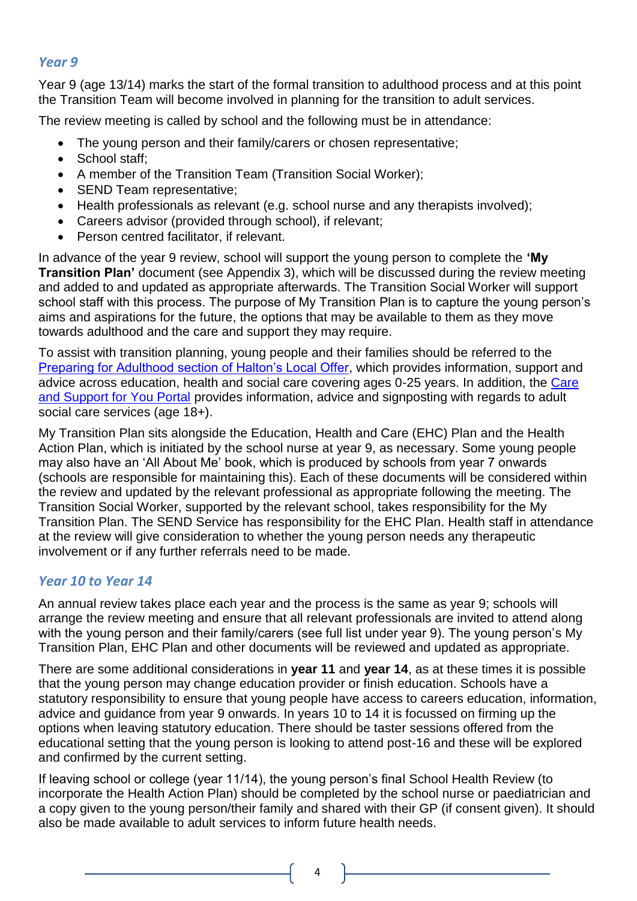#### *Year 9*

Year 9 (age 13/14) marks the start of the formal transition to adulthood process and at this point the Transition Team will become involved in planning for the transition to adult services.

The review meeting is called by school and the following must be in attendance:

- The young person and their family/carers or chosen representative;
- School staff:
- A member of the Transition Team (Transition Social Worker);
- SEND Team representative;
- Health professionals as relevant (e.g. school nurse and any therapists involved);
- Careers advisor (provided through school), if relevant;
- Person centred facilitator, if relevant.

In advance of the year 9 review, school will support the young person to complete the **'My Transition Plan'** document (see Appendix 3), which will be discussed during the review meeting and added to and updated as appropriate afterwards. The Transition Social Worker will support school staff with this process. The purpose of My Transition Plan is to capture the young person's aims and aspirations for the future, the options that may be available to them as they move towards adulthood and the care and support they may require.

To assist with transition planning, young people and their families should be referred to the [Preparing for Adulthood section of Halton's Local Offer](https://localoffer.haltonchildrenstrust.co.uk/preparing-adulthood/), which provides information, support and advice across education, health and social care covering ages 0-25 years. In addition, the [Care](https://careandsupportforyou.halton.gov.uk/home.aspx)  [and Support for You Portal](https://careandsupportforyou.halton.gov.uk/home.aspx) provides information, advice and signposting with regards to adult social care services (age 18+).

My Transition Plan sits alongside the Education, Health and Care (EHC) Plan and the Health Action Plan, which is initiated by the school nurse at year 9, as necessary. Some young people may also have an 'All About Me' book, which is produced by schools from year 7 onwards (schools are responsible for maintaining this). Each of these documents will be considered within the review and updated by the relevant professional as appropriate following the meeting. The Transition Social Worker, supported by the relevant school, takes responsibility for the My Transition Plan. The SEND Service has responsibility for the EHC Plan. Health staff in attendance at the review will give consideration to whether the young person needs any therapeutic involvement or if any further referrals need to be made.

#### *Year 10 to Year 14*

An annual review takes place each year and the process is the same as year 9; schools will arrange the review meeting and ensure that all relevant professionals are invited to attend along with the young person and their family/carers (see full list under year 9). The young person's My Transition Plan, EHC Plan and other documents will be reviewed and updated as appropriate.

There are some additional considerations in **year 11** and **year 14**, as at these times it is possible that the young person may change education provider or finish education. Schools have a statutory responsibility to ensure that young people have access to careers education, information, advice and guidance from year 9 onwards. In years 10 to 14 it is focussed on firming up the options when leaving statutory education. There should be taster sessions offered from the educational setting that the young person is looking to attend post-16 and these will be explored and confirmed by the current setting.

If leaving school or college (year 11/14), the young person's final School Health Review (to incorporate the Health Action Plan) should be completed by the school nurse or paediatrician and a copy given to the young person/their family and shared with their GP (if consent given). It should also be made available to adult services to inform future health needs.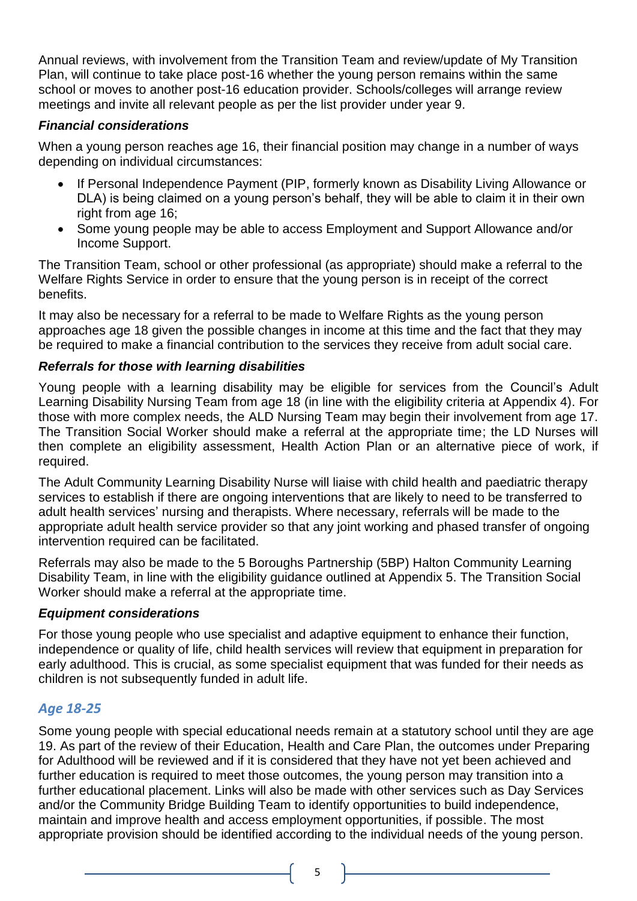Annual reviews, with involvement from the Transition Team and review/update of My Transition Plan, will continue to take place post-16 whether the young person remains within the same school or moves to another post-16 education provider. Schools/colleges will arrange review meetings and invite all relevant people as per the list provider under year 9.

#### *Financial considerations*

When a young person reaches age 16, their financial position may change in a number of ways depending on individual circumstances:

- If Personal Independence Payment (PIP, formerly known as Disability Living Allowance or DLA) is being claimed on a young person's behalf, they will be able to claim it in their own right from age 16;
- Some young people may be able to access Employment and Support Allowance and/or Income Support.

The Transition Team, school or other professional (as appropriate) should make a referral to the Welfare Rights Service in order to ensure that the young person is in receipt of the correct benefits.

It may also be necessary for a referral to be made to Welfare Rights as the young person approaches age 18 given the possible changes in income at this time and the fact that they may be required to make a financial contribution to the services they receive from adult social care.

#### *Referrals for those with learning disabilities*

Young people with a learning disability may be eligible for services from the Council's Adult Learning Disability Nursing Team from age 18 (in line with the eligibility criteria at Appendix 4). For those with more complex needs, the ALD Nursing Team may begin their involvement from age 17. The Transition Social Worker should make a referral at the appropriate time; the LD Nurses will then complete an eligibility assessment, Health Action Plan or an alternative piece of work, if required.

The Adult Community Learning Disability Nurse will liaise with child health and paediatric therapy services to establish if there are ongoing interventions that are likely to need to be transferred to adult health services' nursing and therapists. Where necessary, referrals will be made to the appropriate adult health service provider so that any joint working and phased transfer of ongoing intervention required can be facilitated.

Referrals may also be made to the 5 Boroughs Partnership (5BP) Halton Community Learning Disability Team, in line with the eligibility guidance outlined at Appendix 5. The Transition Social Worker should make a referral at the appropriate time.

#### *Equipment considerations*

For those young people who use specialist and adaptive equipment to enhance their function, independence or quality of life, child health services will review that equipment in preparation for early adulthood. This is crucial, as some specialist equipment that was funded for their needs as children is not subsequently funded in adult life.

#### *Age 18-25*

Some young people with special educational needs remain at a statutory school until they are age 19. As part of the review of their Education, Health and Care Plan, the outcomes under Preparing for Adulthood will be reviewed and if it is considered that they have not yet been achieved and further education is required to meet those outcomes, the young person may transition into a further educational placement. Links will also be made with other services such as Day Services and/or the Community Bridge Building Team to identify opportunities to build independence, maintain and improve health and access employment opportunities, if possible. The most appropriate provision should be identified according to the individual needs of the young person.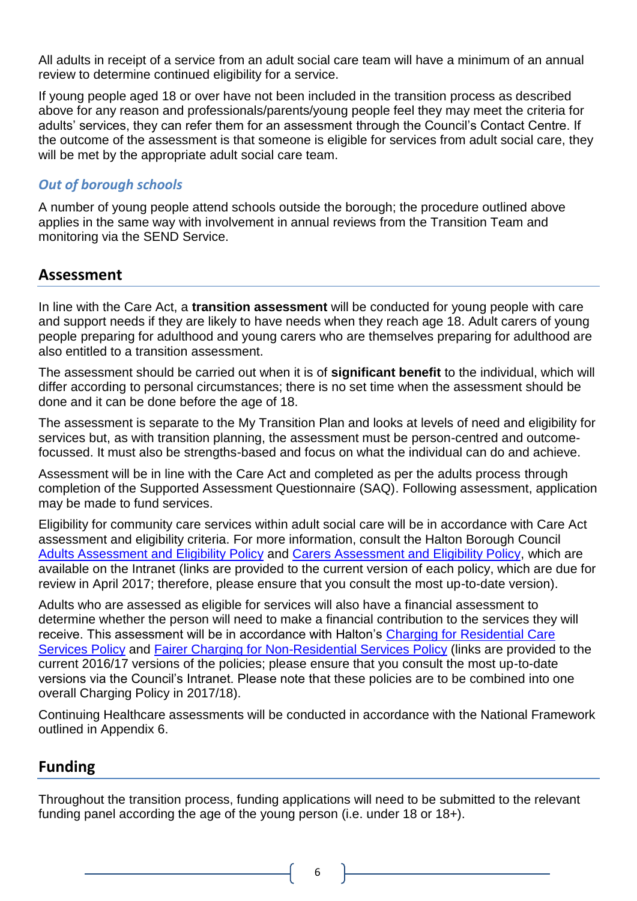All adults in receipt of a service from an adult social care team will have a minimum of an annual review to determine continued eligibility for a service.

If young people aged 18 or over have not been included in the transition process as described above for any reason and professionals/parents/young people feel they may meet the criteria for adults' services, they can refer them for an assessment through the Council's Contact Centre. If the outcome of the assessment is that someone is eligible for services from adult social care, they will be met by the appropriate adult social care team.

#### *Out of borough schools*

A number of young people attend schools outside the borough; the procedure outlined above applies in the same way with involvement in annual reviews from the Transition Team and monitoring via the SEND Service.

#### **Assessment**

In line with the Care Act, a **transition assessment** will be conducted for young people with care and support needs if they are likely to have needs when they reach age 18. Adult carers of young people preparing for adulthood and young carers who are themselves preparing for adulthood are also entitled to a transition assessment.

The assessment should be carried out when it is of **significant benefit** to the individual, which will differ according to personal circumstances; there is no set time when the assessment should be done and it can be done before the age of 18.

The assessment is separate to the My Transition Plan and looks at levels of need and eligibility for services but, as with transition planning, the assessment must be person-centred and outcomefocussed. It must also be strengths-based and focus on what the individual can do and achieve.

Assessment will be in line with the Care Act and completed as per the adults process through completion of the Supported Assessment Questionnaire (SAQ). Following assessment, application may be made to fund services.

Eligibility for community care services within adult social care will be in accordance with Care Act assessment and eligibility criteria. For more information, consult the Halton Borough Council [Adults Assessment and Eligibility Policy](http://hbc/services/policystrategy/Lists/Policy/DispForm.aspx?ID=555&Source=http%3A%2F%2Fhbc%2Fservices%2Fpolicystrategy%2FLists%2FPolicy%2FIntranet%2Easpx%3FView%3D%7B39797AC4%2DF095%2D46F4%2D8065%2D634611C2C459%7D%26FilterField1%3DLinkTitle%26FilterValue1%3DAdults%2520Assessment%2520and%2520Eligibility%2520Policy&ContentTypeId=0x0100CE0950F2ABD5A54B9644836EEC1F11A6&InitialTabId=Ribbon%2EListForm%2EDisplay&VisibilityContext=WSSTabPersistence) and [Carers Assessment and Eligibility Policy,](http://hbc/services/policystrategy/Lists/Policy/DispForm.aspx?ID=556&Source=http%3A%2F%2Fhbc%2Fservices%2Fpolicystrategy%2FLists%2FPolicy%2FIntranet%2Easpx%3FView%3D%7B39797AC4%2DF095%2D46F4%2D8065%2D634611C2C459%7D%26FilterField1%3DLinkTitle%26FilterValue1%3DCarer%2527s%2520Assessment%2520and%2520Eligibility%2520policy&ContentTypeId=0x0100CE0950F2ABD5A54B9644836EEC1F11A6) which are available on the Intranet (links are provided to the current version of each policy, which are due for review in April 2017; therefore, please ensure that you consult the most up-to-date version).

Adults who are assessed as eligible for services will also have a financial assessment to determine whether the person will need to make a financial contribution to the services they will receive. This assessment will be in accordance with Halton's [Charging for Residential Care](http://hbc/services/policystrategy/Lists/Policy/DispForm.aspx?ID=610&Source=http%3A%2F%2Fhbc%2Fservices%2Fpolicystrategy%2FLists%2FPolicy%2FIntranet%2Easpx%3FView%3D%7B39797AC4%2DF095%2D46F4%2D8065%2D634611C2C459%7D%26FilterField1%3DLinkTitle%26FilterValue1%3DCharging%2520for%2520Residential%2520Care%2520Services%25202016%252F17&ContentTypeId=0x0100CE0950F2ABD5A54B9644836EEC1F11A6&InitialTabId=Ribbon%2EListForm%2EDisplay&VisibilityContext=WSSTabPersistence)  [Services Policy](http://hbc/services/policystrategy/Lists/Policy/DispForm.aspx?ID=610&Source=http%3A%2F%2Fhbc%2Fservices%2Fpolicystrategy%2FLists%2FPolicy%2FIntranet%2Easpx%3FView%3D%7B39797AC4%2DF095%2D46F4%2D8065%2D634611C2C459%7D%26FilterField1%3DLinkTitle%26FilterValue1%3DCharging%2520for%2520Residential%2520Care%2520Services%25202016%252F17&ContentTypeId=0x0100CE0950F2ABD5A54B9644836EEC1F11A6&InitialTabId=Ribbon%2EListForm%2EDisplay&VisibilityContext=WSSTabPersistence) and [Fairer Charging for Non-Residential Services Policy](http://hbc/services/policystrategy/Lists/Policy/DispForm.aspx?ID=609&Source=http%3A%2F%2Fhbc%2Fservices%2Fpolicystrategy%2FLists%2FPolicy%2FIntranet%2Easpx%3FView%3D%7B39797AC4%2DF095%2D46F4%2D8065%2D634611C2C459%7D%26FilterField1%3DLinkTitle%26FilterValue1%3DFairer%2520Charging%2520for%2520Non%252DResidential%2520Services%25202016%252F17&ContentTypeId=0x0100CE0950F2ABD5A54B9644836EEC1F11A6) (links are provided to the current 2016/17 versions of the policies; please ensure that you consult the most up-to-date versions via the Council's Intranet. Please note that these policies are to be combined into one overall Charging Policy in 2017/18).

Continuing Healthcare assessments will be conducted in accordance with the National Framework outlined in Appendix 6.

### **Funding**

Throughout the transition process, funding applications will need to be submitted to the relevant funding panel according the age of the young person (i.e. under 18 or 18+).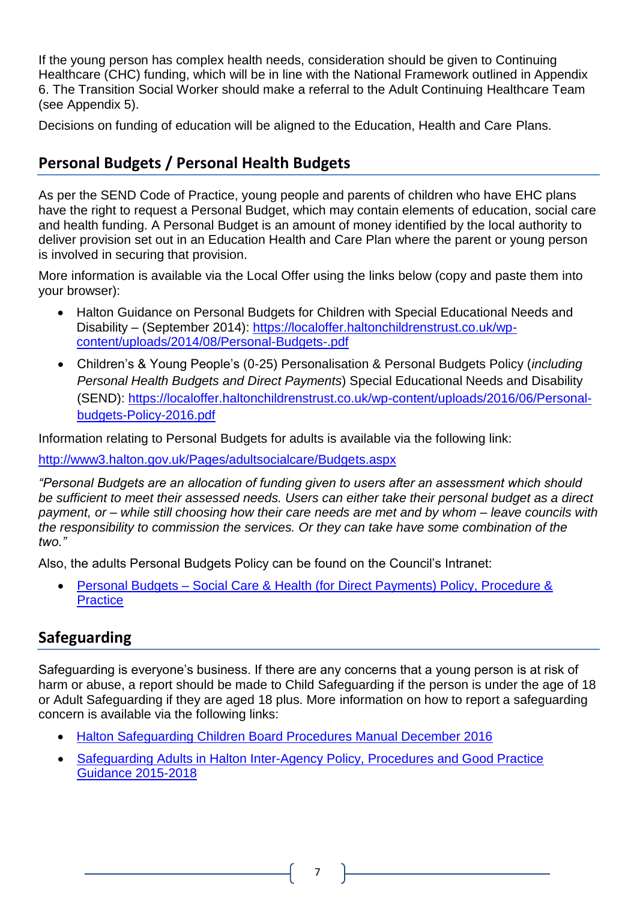If the young person has complex health needs, consideration should be given to Continuing Healthcare (CHC) funding, which will be in line with the National Framework outlined in Appendix 6. The Transition Social Worker should make a referral to the Adult Continuing Healthcare Team (see Appendix 5).

Decisions on funding of education will be aligned to the Education, Health and Care Plans.

# **Personal Budgets / Personal Health Budgets**

As per the SEND Code of Practice, young people and parents of children who have EHC plans have the right to request a Personal Budget, which may contain elements of education, social care and health funding. A Personal Budget is an amount of money identified by the local authority to deliver provision set out in an Education Health and Care Plan where the parent or young person is involved in securing that provision.

More information is available via the Local Offer using the links below (copy and paste them into your browser):

- Halton Guidance on Personal Budgets for Children with Special Educational Needs and Disability – (September 2014): [https://localoffer.haltonchildrenstrust.co.uk/wp](https://localoffer.haltonchildrenstrust.co.uk/wp-content/uploads/2014/08/Personal-Budgets-.pdf)[content/uploads/2014/08/Personal-Budgets-.pdf](https://localoffer.haltonchildrenstrust.co.uk/wp-content/uploads/2014/08/Personal-Budgets-.pdf)
- Children's & Young People's (0-25) Personalisation & Personal Budgets Policy (*including Personal Health Budgets and Direct Payments*) Special Educational Needs and Disability (SEND): [https://localoffer.haltonchildrenstrust.co.uk/wp-content/uploads/2016/06/Personal](https://localoffer.haltonchildrenstrust.co.uk/wp-content/uploads/2016/06/Personal-budgets-Policy-2016.pdf)[budgets-Policy-2016.pdf](https://localoffer.haltonchildrenstrust.co.uk/wp-content/uploads/2016/06/Personal-budgets-Policy-2016.pdf)

Information relating to Personal Budgets for adults is available via the following link:

<http://www3.halton.gov.uk/Pages/adultsocialcare/Budgets.aspx>

*"Personal Budgets are an allocation of funding given to users after an assessment which should be sufficient to meet their assessed needs. Users can either take their personal budget as a direct payment, or – while still choosing how their care needs are met and by whom – leave councils with the responsibility to commission the services. Or they can take have some combination of the two."*

Also, the adults Personal Budgets Policy can be found on the Council's Intranet:

 Personal Budgets – [Social Care & Health \(for Direct Payments\) Policy, Procedure &](http://hbc/services/policystrategy/Policy%20Documents/Policy%20and%20Strategy/Adult%20Social%20Care/Personal%20Budgets%20-%20Social%20Care%20and%20Health%20Feb%202016.doc)  **[Practice](http://hbc/services/policystrategy/Policy%20Documents/Policy%20and%20Strategy/Adult%20Social%20Care/Personal%20Budgets%20-%20Social%20Care%20and%20Health%20Feb%202016.doc)** 

# **Safeguarding**

Safeguarding is everyone's business. If there are any concerns that a young person is at risk of harm or abuse, a report should be made to Child Safeguarding if the person is under the age of 18 or Adult Safeguarding if they are aged 18 plus. More information on how to report a safeguarding concern is available via the following links:

- [Halton Safeguarding Children Board Procedures Manual December 2016](http://www.proceduresonline.com/pancheshire/halton/index.html)
- [Safeguarding Adults in Halton Inter-Agency Policy, Procedures and Good Practice](http://www3.halton.gov.uk/Pages/health/PDF/safeguard/Safeguardguidance.pdf)  [Guidance 2015-2018](http://www3.halton.gov.uk/Pages/health/PDF/safeguard/Safeguardguidance.pdf)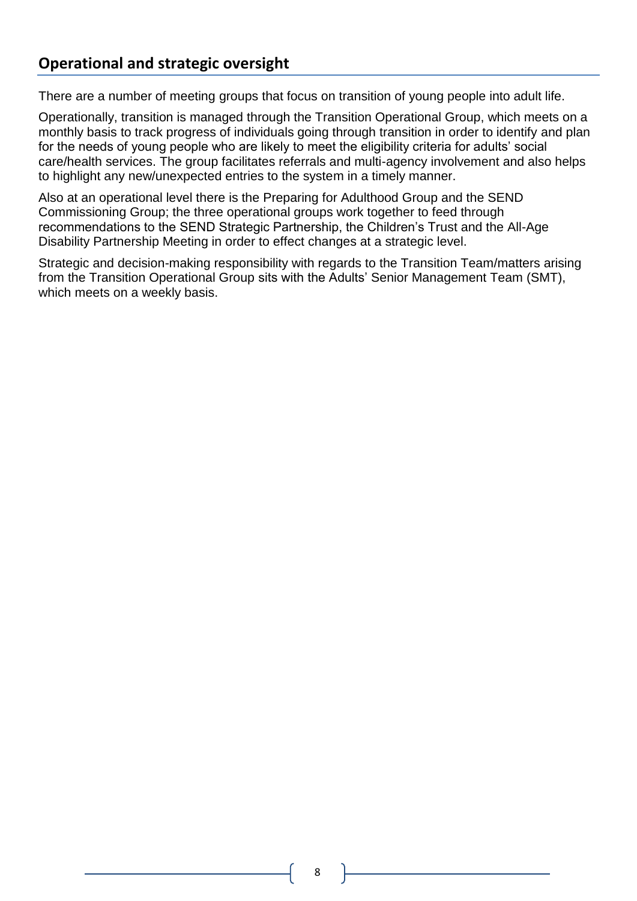## **Operational and strategic oversight**

There are a number of meeting groups that focus on transition of young people into adult life.

Operationally, transition is managed through the Transition Operational Group, which meets on a monthly basis to track progress of individuals going through transition in order to identify and plan for the needs of young people who are likely to meet the eligibility criteria for adults' social care/health services. The group facilitates referrals and multi-agency involvement and also helps to highlight any new/unexpected entries to the system in a timely manner.

Also at an operational level there is the Preparing for Adulthood Group and the SEND Commissioning Group; the three operational groups work together to feed through recommendations to the SEND Strategic Partnership, the Children's Trust and the All-Age Disability Partnership Meeting in order to effect changes at a strategic level.

Strategic and decision-making responsibility with regards to the Transition Team/matters arising from the Transition Operational Group sits with the Adults' Senior Management Team (SMT), which meets on a weekly basis.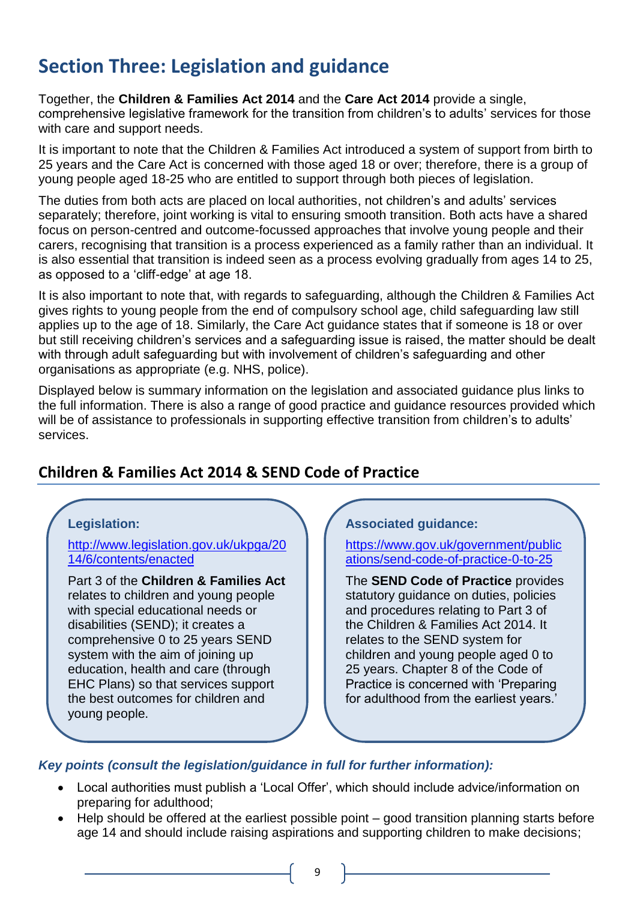# **Section Three: Legislation and guidance**

Together, the **Children & Families Act 2014** and the **Care Act 2014** provide a single, comprehensive legislative framework for the transition from children's to adults' services for those with care and support needs.

It is important to note that the Children & Families Act introduced a system of support from birth to 25 years and the Care Act is concerned with those aged 18 or over; therefore, there is a group of young people aged 18-25 who are entitled to support through both pieces of legislation.

The duties from both acts are placed on local authorities, not children's and adults' services separately; therefore, joint working is vital to ensuring smooth transition. Both acts have a shared focus on person-centred and outcome-focussed approaches that involve young people and their carers, recognising that transition is a process experienced as a family rather than an individual. It is also essential that transition is indeed seen as a process evolving gradually from ages 14 to 25, as opposed to a 'cliff-edge' at age 18.

It is also important to note that, with regards to safeguarding, although the Children & Families Act gives rights to young people from the end of compulsory school age, child safeguarding law still applies up to the age of 18. Similarly, the Care Act guidance states that if someone is 18 or over but still receiving children's services and a safeguarding issue is raised, the matter should be dealt with through adult safeguarding but with involvement of children's safeguarding and other organisations as appropriate (e.g. NHS, police).

Displayed below is summary information on the legislation and associated guidance plus links to the full information. There is also a range of good practice and guidance resources provided which will be of assistance to professionals in supporting effective transition from children's to adults' services.

# **Children & Families Act 2014 & SEND Code of Practice**

#### **Legislation:**

[http://www.legislation.gov.uk/ukpga/20](http://www.legislation.gov.uk/ukpga/2014/6/contents/enacted) [14/6/contents/enacted](http://www.legislation.gov.uk/ukpga/2014/6/contents/enacted)

Part 3 of the **Children & Families Act** relates to children and young people with special educational needs or disabilities (SEND); it creates a comprehensive 0 to 25 years SEND system with the aim of joining up education, health and care (through EHC Plans) so that services support the best outcomes for children and young people.

#### **Associated guidance:**

[https://www.gov.uk/government/public](https://www.gov.uk/government/publications/send-code-of-practice-0-to-25) [ations/send-code-of-practice-0-to-25](https://www.gov.uk/government/publications/send-code-of-practice-0-to-25)

The **SEND Code of Practice** provides statutory guidance on duties, policies and procedures relating to Part 3 of the Children & Families Act 2014. It relates to the SEND system for children and young people aged 0 to 25 years. Chapter 8 of the Code of Practice is concerned with 'Preparing for adulthood from the earliest years.'

#### *Key points (consult the legislation/guidance in full for further information):*

- Local authorities must publish a 'Local Offer', which should include advice/information on preparing for adulthood;
- Help should be offered at the earliest possible point good transition planning starts before age 14 and should include raising aspirations and supporting children to make decisions;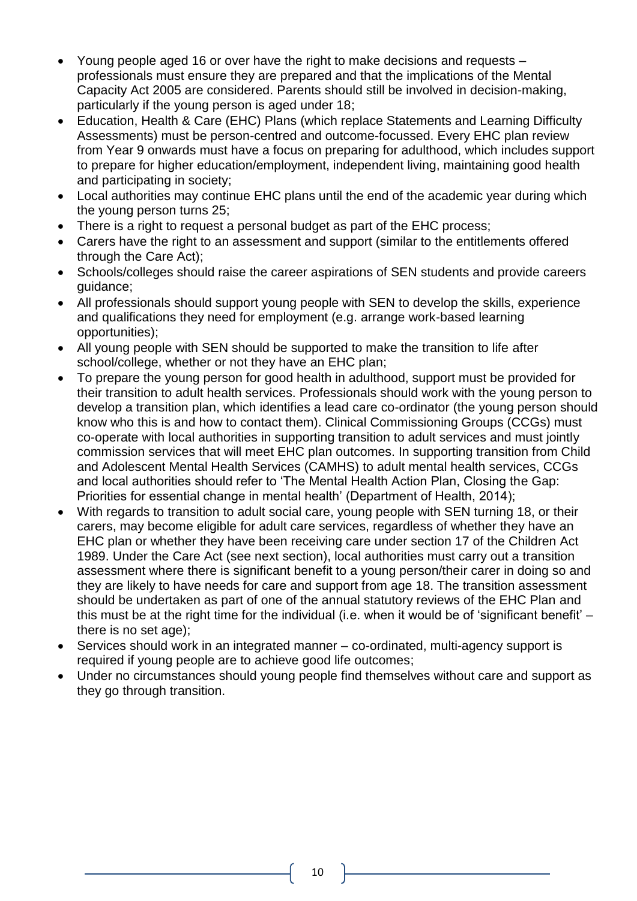- Young people aged 16 or over have the right to make decisions and requests professionals must ensure they are prepared and that the implications of the Mental Capacity Act 2005 are considered. Parents should still be involved in decision-making, particularly if the young person is aged under 18;
- Education, Health & Care (EHC) Plans (which replace Statements and Learning Difficulty Assessments) must be person-centred and outcome-focussed. Every EHC plan review from Year 9 onwards must have a focus on preparing for adulthood, which includes support to prepare for higher education/employment, independent living, maintaining good health and participating in society;
- Local authorities may continue EHC plans until the end of the academic year during which the young person turns 25;
- There is a right to request a personal budget as part of the EHC process;
- Carers have the right to an assessment and support (similar to the entitlements offered through the Care Act);
- Schools/colleges should raise the career aspirations of SEN students and provide careers guidance;
- All professionals should support young people with SEN to develop the skills, experience and qualifications they need for employment (e.g. arrange work-based learning opportunities);
- All young people with SEN should be supported to make the transition to life after school/college, whether or not they have an EHC plan;
- To prepare the young person for good health in adulthood, support must be provided for their transition to adult health services. Professionals should work with the young person to develop a transition plan, which identifies a lead care co-ordinator (the young person should know who this is and how to contact them). Clinical Commissioning Groups (CCGs) must co-operate with local authorities in supporting transition to adult services and must jointly commission services that will meet EHC plan outcomes. In supporting transition from Child and Adolescent Mental Health Services (CAMHS) to adult mental health services, CCGs and local authorities should refer to 'The Mental Health Action Plan, Closing the Gap: Priorities for essential change in mental health' (Department of Health, 2014);
- With regards to transition to adult social care, young people with SEN turning 18, or their carers, may become eligible for adult care services, regardless of whether they have an EHC plan or whether they have been receiving care under section 17 of the Children Act 1989. Under the Care Act (see next section), local authorities must carry out a transition assessment where there is significant benefit to a young person/their carer in doing so and they are likely to have needs for care and support from age 18. The transition assessment should be undertaken as part of one of the annual statutory reviews of the EHC Plan and this must be at the right time for the individual (i.e. when it would be of 'significant benefit' – there is no set age);
- Services should work in an integrated manner co-ordinated, multi-agency support is required if young people are to achieve good life outcomes;
- Under no circumstances should young people find themselves without care and support as they go through transition.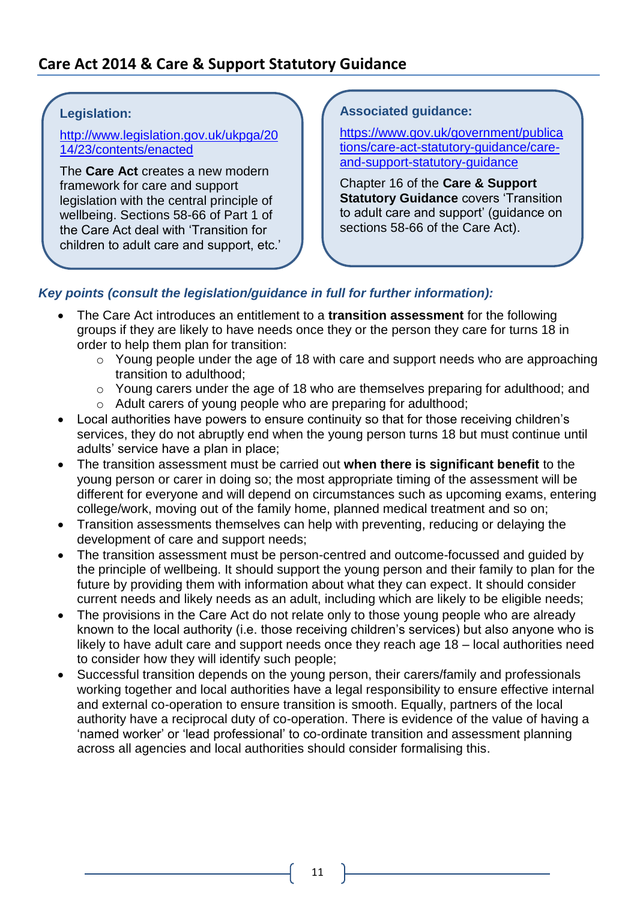### **Care Act 2014 & Care & Support Statutory Guidance**

#### **Legislation:**

[http://www.legislation.gov.uk/ukpga/20](http://www.legislation.gov.uk/ukpga/2014/23/contents/enacted) [14/23/contents/enacted](http://www.legislation.gov.uk/ukpga/2014/23/contents/enacted)

The **Care Act** creates a new modern framework for care and support legislation with the central principle of wellbeing. Sections 58-66 of Part 1 of the Care Act deal with 'Transition for children to adult care and support, etc.' **Associated guidance:** 

[https://www.gov.uk/government/publica](https://www.gov.uk/government/publications/care-act-statutory-guidance/care-and-support-statutory-guidance) [tions/care-act-statutory-guidance/care](https://www.gov.uk/government/publications/care-act-statutory-guidance/care-and-support-statutory-guidance)[and-support-statutory-guidance](https://www.gov.uk/government/publications/care-act-statutory-guidance/care-and-support-statutory-guidance)

Chapter 16 of the **Care & Support Statutory Guidance** covers 'Transition to adult care and support' (guidance on sections 58-66 of the Care Act).

#### *Key points (consult the legislation/guidance in full for further information):*

- The Care Act introduces an entitlement to a **transition assessment** for the following groups if they are likely to have needs once they or the person they care for turns 18 in order to help them plan for transition:
	- $\circ$  Young people under the age of 18 with care and support needs who are approaching transition to adulthood;
	- o Young carers under the age of 18 who are themselves preparing for adulthood; and
	- o Adult carers of young people who are preparing for adulthood;
- Local authorities have powers to ensure continuity so that for those receiving children's services, they do not abruptly end when the young person turns 18 but must continue until adults' service have a plan in place;
- The transition assessment must be carried out **when there is significant benefit** to the young person or carer in doing so; the most appropriate timing of the assessment will be different for everyone and will depend on circumstances such as upcoming exams, entering college/work, moving out of the family home, planned medical treatment and so on;
- Transition assessments themselves can help with preventing, reducing or delaying the development of care and support needs;
- The transition assessment must be person-centred and outcome-focussed and quided by the principle of wellbeing. It should support the young person and their family to plan for the future by providing them with information about what they can expect. It should consider current needs and likely needs as an adult, including which are likely to be eligible needs;
- The provisions in the Care Act do not relate only to those young people who are already known to the local authority (i.e. those receiving children's services) but also anyone who is likely to have adult care and support needs once they reach age 18 – local authorities need to consider how they will identify such people;
- Successful transition depends on the young person, their carers/family and professionals working together and local authorities have a legal responsibility to ensure effective internal and external co-operation to ensure transition is smooth. Equally, partners of the local authority have a reciprocal duty of co-operation. There is evidence of the value of having a 'named worker' or 'lead professional' to co-ordinate transition and assessment planning across all agencies and local authorities should consider formalising this.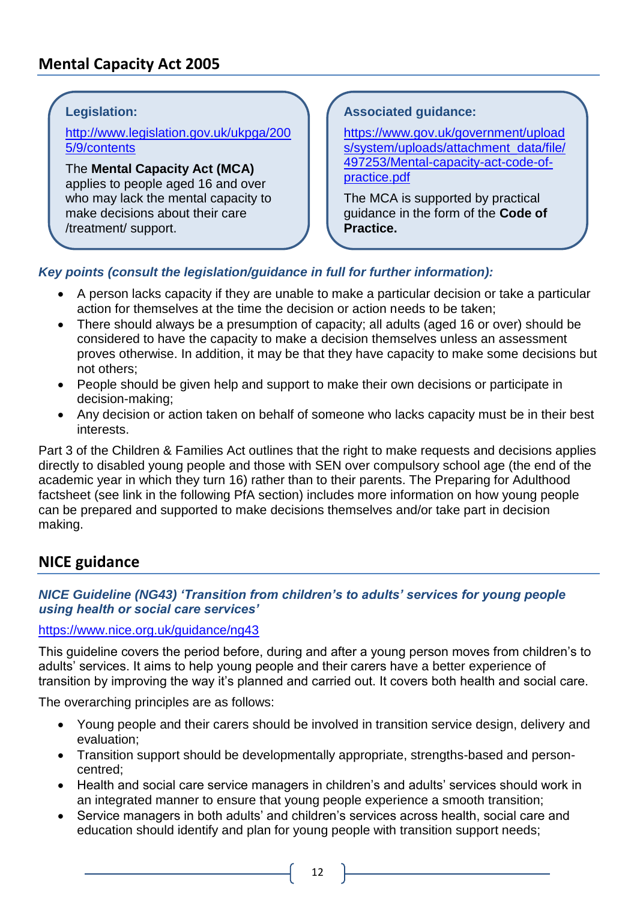# **Mental Capacity Act 2005**

#### **Legislation:**

[http://www.legislation.gov.uk/ukpga/200](http://www.legislation.gov.uk/ukpga/2005/9/contents) [5/9/contents](http://www.legislation.gov.uk/ukpga/2005/9/contents)

The **Mental Capacity Act (MCA)** applies to people aged 16 and over who may lack the mental capacity to make decisions about their care /treatment/ support.

#### **Associated guidance:**

[https://www.gov.uk/government/upload](https://www.gov.uk/government/uploads/system/uploads/attachment_data/file/497253/Mental-capacity-act-code-of-practice.pdf) [s/system/uploads/attachment\\_data/file/](https://www.gov.uk/government/uploads/system/uploads/attachment_data/file/497253/Mental-capacity-act-code-of-practice.pdf) [497253/Mental-capacity-act-code-of](https://www.gov.uk/government/uploads/system/uploads/attachment_data/file/497253/Mental-capacity-act-code-of-practice.pdf)[practice.pdf](https://www.gov.uk/government/uploads/system/uploads/attachment_data/file/497253/Mental-capacity-act-code-of-practice.pdf)

The MCA is supported by practical guidance in the form of the **Code of Practice.**

#### *Key points (consult the legislation/guidance in full for further information):*

- A person lacks capacity if they are unable to make a particular decision or take a particular action for themselves at the time the decision or action needs to be taken;
- There should always be a presumption of capacity; all adults (aged 16 or over) should be considered to have the capacity to make a decision themselves unless an assessment proves otherwise. In addition, it may be that they have capacity to make some decisions but not others;
- People should be given help and support to make their own decisions or participate in decision-making;
- Any decision or action taken on behalf of someone who lacks capacity must be in their best interests.

Part 3 of the Children & Families Act outlines that the right to make requests and decisions applies directly to disabled young people and those with SEN over compulsory school age (the end of the academic year in which they turn 16) rather than to their parents. The Preparing for Adulthood factsheet (see link in the following PfA section) includes more information on how young people can be prepared and supported to make decisions themselves and/or take part in decision making.

### **NICE guidance**

#### *NICE Guideline (NG43) 'Transition from children's to adults' services for young people using health or social care services'*

#### <https://www.nice.org.uk/guidance/ng43>

This guideline covers the period before, during and after a young person moves from children's to adults' services. It aims to help young people and their carers have a better experience of transition by improving the way it's planned and carried out. It covers both health and social care.

The overarching principles are as follows:

- Young people and their carers should be involved in transition service design, delivery and evaluation;
- Transition support should be developmentally appropriate, strengths-based and personcentred;
- Health and social care service managers in children's and adults' services should work in an integrated manner to ensure that young people experience a smooth transition;
- Service managers in both adults' and children's services across health, social care and education should identify and plan for young people with transition support needs;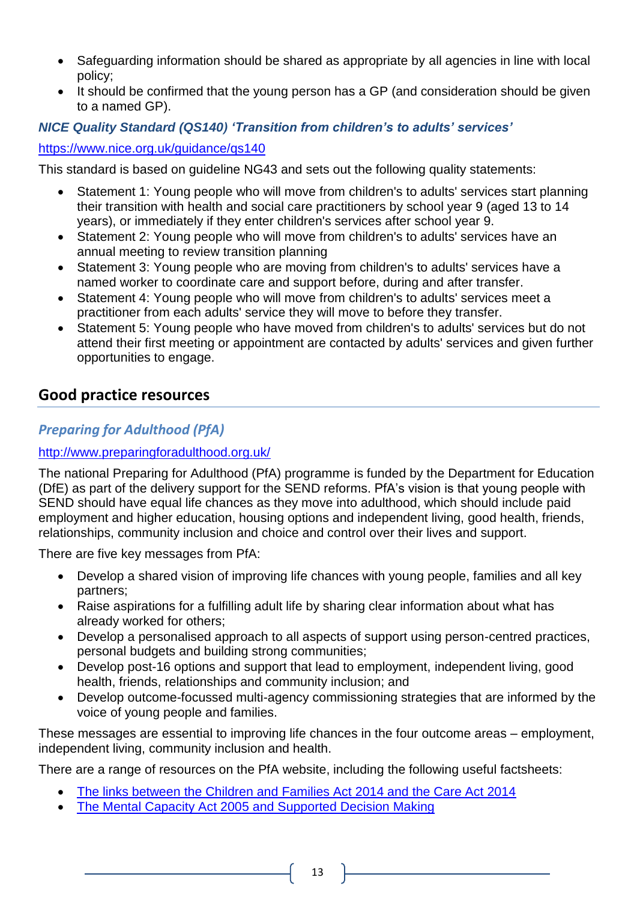- Safeguarding information should be shared as appropriate by all agencies in line with local policy;
- It should be confirmed that the young person has a GP (and consideration should be given to a named GP).

#### *NICE Quality Standard (QS140) 'Transition from children's to adults' services'*

#### <https://www.nice.org.uk/guidance/qs140>

This standard is based on guideline NG43 and sets out the following quality statements:

- Statement 1: Young people who will move from children's to adults' services start planning their transition with health and social care practitioners by school year 9 (aged 13 to 14 years), or immediately if they enter children's services after school year 9.
- Statement 2: Young people who will move from children's to adults' services have an annual meeting to review transition planning
- Statement 3: Young people who are moving from children's to adults' services have a named worker to coordinate care and support before, during and after transfer.
- Statement 4: Young people who will move from children's to adults' services meet a practitioner from each adults' service they will move to before they transfer.
- Statement 5: Young people who have moved from children's to adults' services but do not attend their first meeting or appointment are contacted by adults' services and given further opportunities to engage.

### **Good practice resources**

### *Preparing for Adulthood (PfA)*

#### <http://www.preparingforadulthood.org.uk/>

The national Preparing for Adulthood (PfA) programme is funded by the Department for Education (DfE) as part of the delivery support for the SEND reforms. PfA's vision is that young people with SEND should have equal life chances as they move into adulthood, which should include paid employment and higher education, housing options and independent living, good health, friends, relationships, community inclusion and choice and control over their lives and support.

There are five key messages from PfA:

- Develop a shared vision of improving life chances with young people, families and all key partners;
- Raise aspirations for a fulfilling adult life by sharing clear information about what has already worked for others;
- Develop a personalised approach to all aspects of support using person-centred practices, personal budgets and building strong communities;
- Develop post-16 options and support that lead to employment, independent living, good health, friends, relationships and community inclusion; and
- Develop outcome-focussed multi-agency commissioning strategies that are informed by the voice of young people and families.

These messages are essential to improving life chances in the four outcome areas – employment, independent living, community inclusion and health.

There are a range of resources on the PfA website, including the following useful factsheets:

- The links between [the Children and Families Act 2014 and the Care Act 2014](http://www.preparingforadulthood.org.uk/media/421323/care_act_revised_march_2016_online.pdf)
- [The Mental Capacity Act 2005 and Supported Decision Making](http://www.preparingforadulthood.org.uk/media/380898/pfa_factsheet_-_mca-cb_final_versions_3-12.pdf)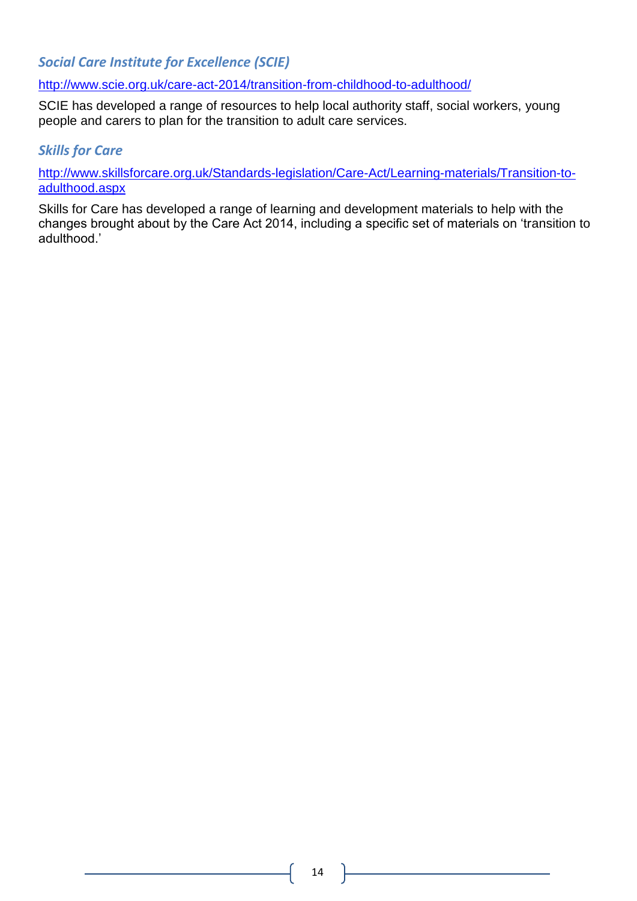*Social Care Institute for Excellence (SCIE)* 

#### <http://www.scie.org.uk/care-act-2014/transition-from-childhood-to-adulthood/>

SCIE has developed a range of resources to help local authority staff, social workers, young people and carers to plan for the transition to adult care services.

#### *Skills for Care*

[http://www.skillsforcare.org.uk/Standards-legislation/Care-Act/Learning-materials/Transition-to](http://www.skillsforcare.org.uk/Standards-legislation/Care-Act/Learning-materials/Transition-to-adulthood.aspx)[adulthood.aspx](http://www.skillsforcare.org.uk/Standards-legislation/Care-Act/Learning-materials/Transition-to-adulthood.aspx)

Skills for Care has developed a range of learning and development materials to help with the changes brought about by the Care Act 2014, including a specific set of materials on 'transition to adulthood.'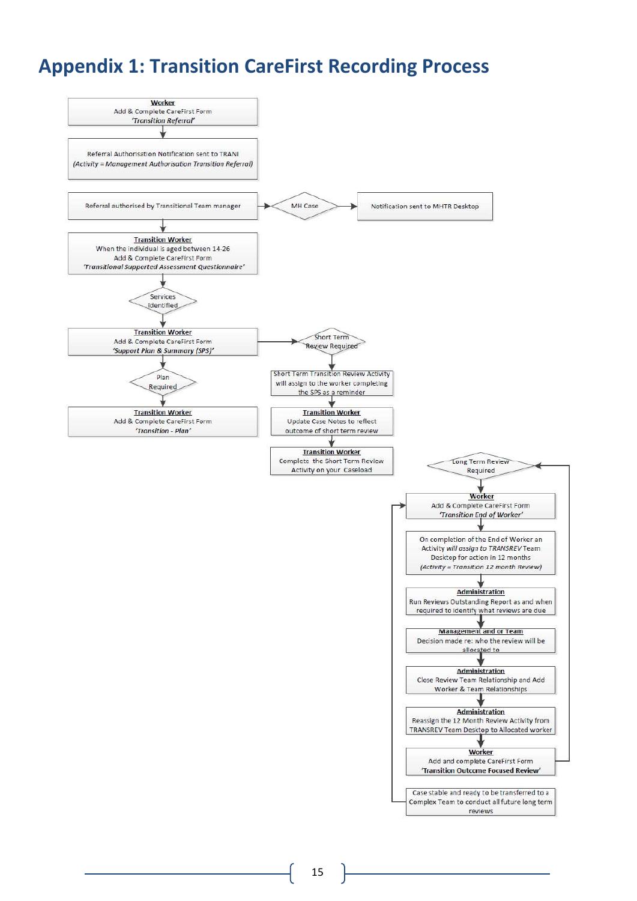# **Appendix 1: Transition CareFirst Recording Process**

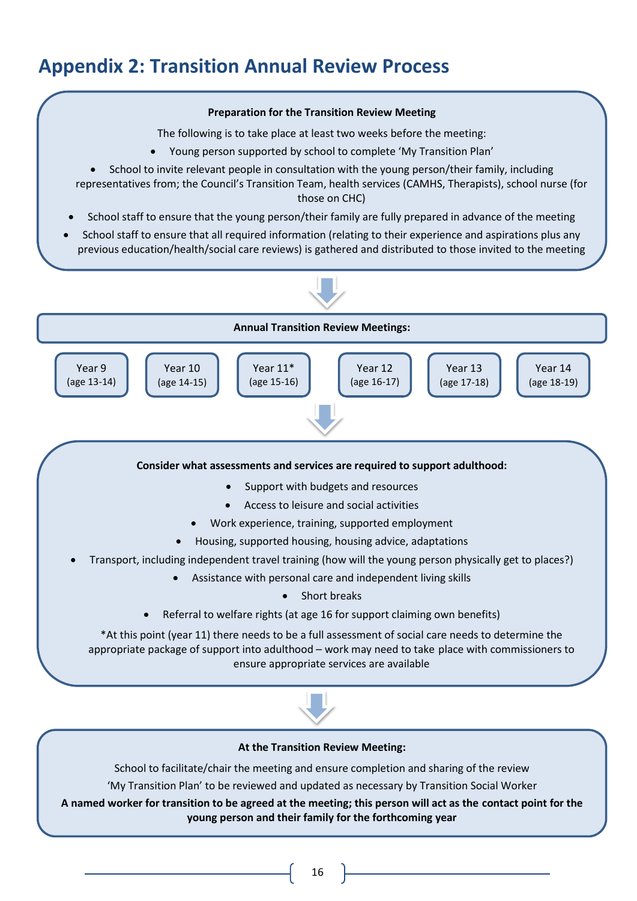# **Appendix 2: Transition Annual Review Process**



**A named worker for transition to be agreed at the meeting; this person will act as the contact point for the young person and their family for the forthcoming year**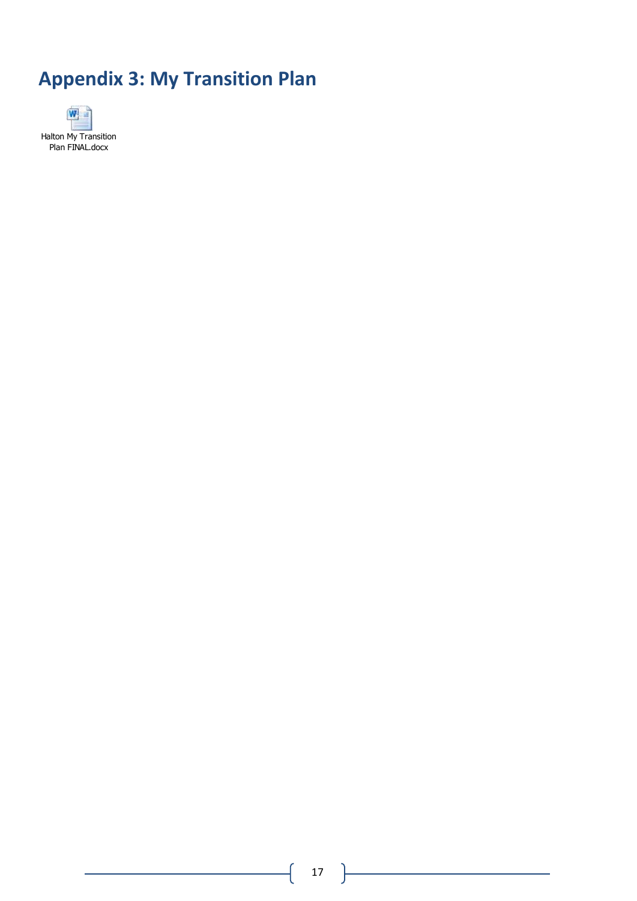# **Appendix 3: My Transition Plan**

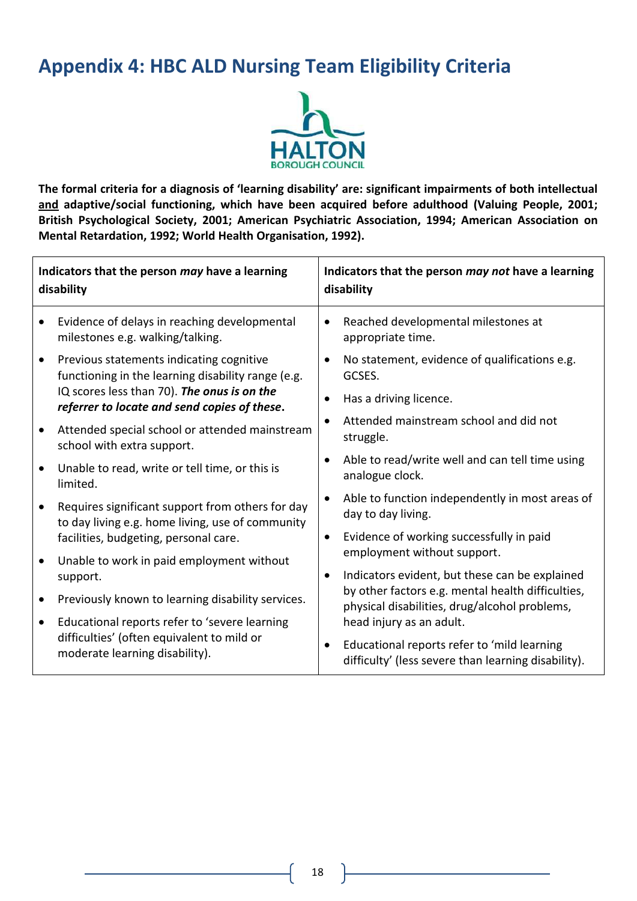# **Appendix 4: HBC ALD Nursing Team Eligibility Criteria**



**The formal criteria for a diagnosis of 'learning disability' are: significant impairments of both intellectual and adaptive/social functioning, which have been acquired before adulthood (Valuing People, 2001; British Psychological Society, 2001; American Psychiatric Association, 1994; American Association on Mental Retardation, 1992; World Health Organisation, 1992).**

| Indicators that the person may have a learning<br>disability |                                                                                                      | Indicators that the person may not have a learning<br>disability |                                                                                                     |
|--------------------------------------------------------------|------------------------------------------------------------------------------------------------------|------------------------------------------------------------------|-----------------------------------------------------------------------------------------------------|
|                                                              | Evidence of delays in reaching developmental<br>milestones e.g. walking/talking.                     | $\bullet$                                                        | Reached developmental milestones at<br>appropriate time.                                            |
|                                                              | Previous statements indicating cognitive<br>functioning in the learning disability range (e.g.       | $\bullet$                                                        | No statement, evidence of qualifications e.g.<br>GCSES.                                             |
|                                                              | IQ scores less than 70). The onus is on the<br>referrer to locate and send copies of these.          | $\bullet$                                                        | Has a driving licence.                                                                              |
|                                                              | Attended special school or attended mainstream<br>school with extra support.                         |                                                                  | Attended mainstream school and did not<br>struggle.                                                 |
|                                                              | Unable to read, write or tell time, or this is<br>limited.                                           | $\bullet$                                                        | Able to read/write well and can tell time using<br>analogue clock.                                  |
|                                                              | Requires significant support from others for day<br>to day living e.g. home living, use of community | $\bullet$                                                        | Able to function independently in most areas of<br>day to day living.                               |
|                                                              | facilities, budgeting, personal care.                                                                | $\bullet$                                                        | Evidence of working successfully in paid                                                            |
|                                                              | Unable to work in paid employment without                                                            |                                                                  | employment without support.                                                                         |
|                                                              | support.                                                                                             | $\bullet$                                                        | Indicators evident, but these can be explained<br>by other factors e.g. mental health difficulties, |
|                                                              | Previously known to learning disability services.                                                    |                                                                  | physical disabilities, drug/alcohol problems,                                                       |
| $\bullet$                                                    | Educational reports refer to 'severe learning<br>difficulties' (often equivalent to mild or          |                                                                  | head injury as an adult.                                                                            |
|                                                              | moderate learning disability).                                                                       | $\bullet$                                                        | Educational reports refer to 'mild learning<br>difficulty' (less severe than learning disability).  |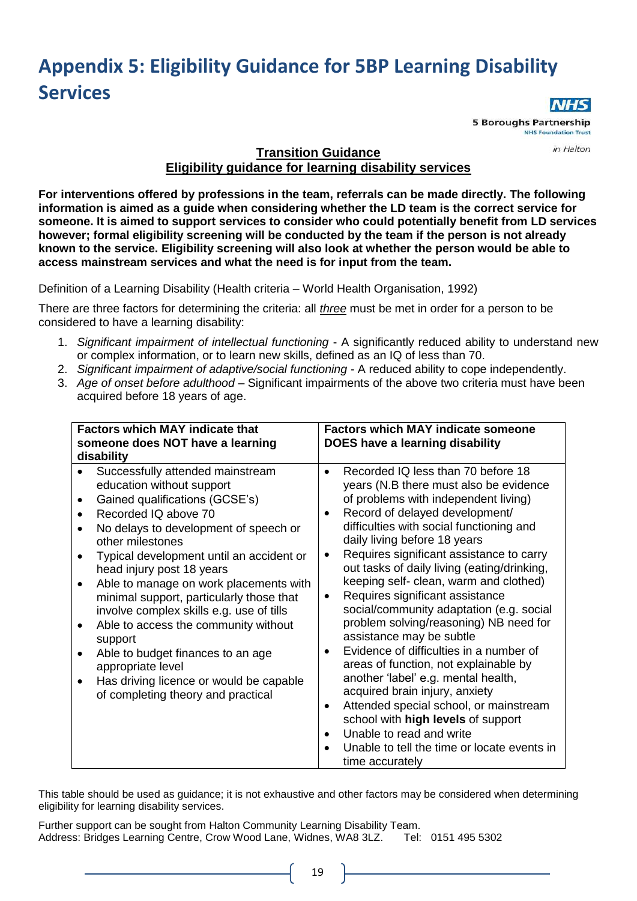# **Appendix 5: Eligibility Guidance for 5BP Learning Disability Services**

**NIHS 5 Boroughs Partnership NHS Foundation Trus** 

in Halton

#### **Transition Guidance Eligibility guidance for learning disability services**

**For interventions offered by professions in the team, referrals can be made directly. The following information is aimed as a guide when considering whether the LD team is the correct service for someone. It is aimed to support services to consider who could potentially benefit from LD services however; formal eligibility screening will be conducted by the team if the person is not already known to the service. Eligibility screening will also look at whether the person would be able to access mainstream services and what the need is for input from the team.**

Definition of a Learning Disability (Health criteria – World Health Organisation, 1992)

There are three factors for determining the criteria: all *three* must be met in order for a person to be considered to have a learning disability:

- 1. *Significant impairment of intellectual functioning* A significantly reduced ability to understand new or complex information, or to learn new skills, defined as an IQ of less than 70.
- 2. *Significant impairment of adaptive/social functioning* A reduced ability to cope independently.
- 3. *Age of onset before adulthood* Significant impairments of the above two criteria must have been acquired before 18 years of age.

| <b>Factors which MAY indicate that</b><br>someone does NOT have a learning<br>disability                                                                                                                                                                                                                                                                                                                                                                                                                                                                                                                                                                       | <b>Factors which MAY indicate someone</b><br>DOES have a learning disability                                                                                                                                                                                                                                                                                                                                                                                                                                                                                                                                                                                                                                                                                                                                                                                                                                   |
|----------------------------------------------------------------------------------------------------------------------------------------------------------------------------------------------------------------------------------------------------------------------------------------------------------------------------------------------------------------------------------------------------------------------------------------------------------------------------------------------------------------------------------------------------------------------------------------------------------------------------------------------------------------|----------------------------------------------------------------------------------------------------------------------------------------------------------------------------------------------------------------------------------------------------------------------------------------------------------------------------------------------------------------------------------------------------------------------------------------------------------------------------------------------------------------------------------------------------------------------------------------------------------------------------------------------------------------------------------------------------------------------------------------------------------------------------------------------------------------------------------------------------------------------------------------------------------------|
| Successfully attended mainstream<br>education without support<br>Gained qualifications (GCSE's)<br>Recorded IQ above 70<br>No delays to development of speech or<br>other milestones<br>Typical development until an accident or<br>$\bullet$<br>head injury post 18 years<br>Able to manage on work placements with<br>$\bullet$<br>minimal support, particularly those that<br>involve complex skills e.g. use of tills<br>Able to access the community without<br>$\bullet$<br>support<br>Able to budget finances to an age<br>$\bullet$<br>appropriate level<br>Has driving licence or would be capable<br>$\bullet$<br>of completing theory and practical | Recorded IQ less than 70 before 18<br>$\bullet$<br>years (N.B there must also be evidence<br>of problems with independent living)<br>Record of delayed development/<br>$\bullet$<br>difficulties with social functioning and<br>daily living before 18 years<br>Requires significant assistance to carry<br>out tasks of daily living (eating/drinking,<br>keeping self- clean, warm and clothed)<br>Requires significant assistance<br>$\bullet$<br>social/community adaptation (e.g. social<br>problem solving/reasoning) NB need for<br>assistance may be subtle<br>Evidence of difficulties in a number of<br>areas of function, not explainable by<br>another 'label' e.g. mental health,<br>acquired brain injury, anxiety<br>Attended special school, or mainstream<br>school with high levels of support<br>Unable to read and write<br>Unable to tell the time or locate events in<br>time accurately |

This table should be used as guidance; it is not exhaustive and other factors may be considered when determining eligibility for learning disability services.

Further support can be sought from Halton Community Learning Disability Team. Address: Bridges Learning Centre, Crow Wood Lane, Widnes, WA8 3LZ. Tel: 0151 495 5302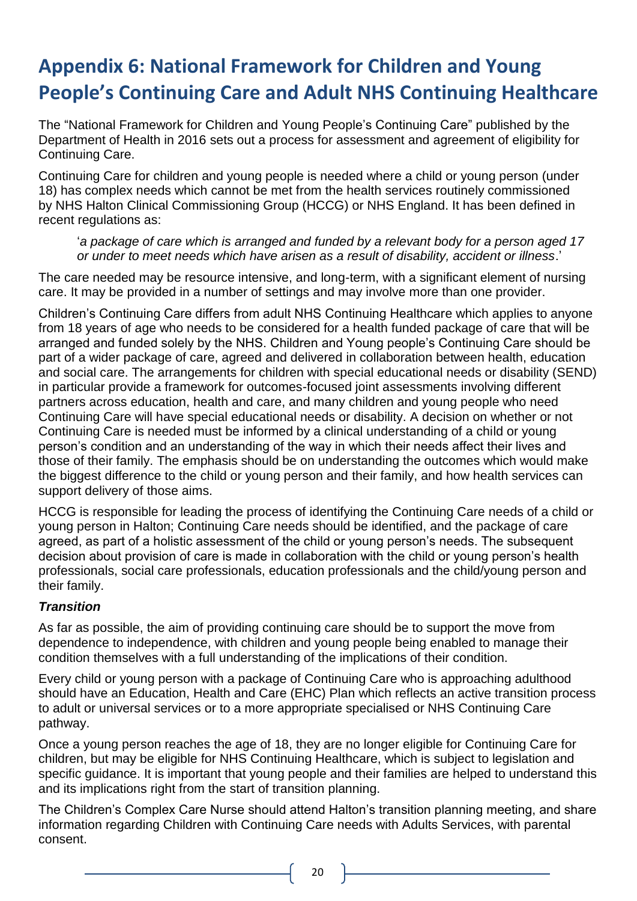# **Appendix 6: National Framework for Children and Young People's Continuing Care and Adult NHS Continuing Healthcare**

The "National Framework for Children and Young People's Continuing Care" published by the Department of Health in 2016 sets out a process for assessment and agreement of eligibility for Continuing Care.

Continuing Care for children and young people is needed where a child or young person (under 18) has complex needs which cannot be met from the health services routinely commissioned by NHS Halton Clinical Commissioning Group (HCCG) or NHS England. It has been defined in recent regulations as:

'*a package of care which is arranged and funded by a relevant body for a person aged 17 or under to meet needs which have arisen as a result of disability, accident or illness*.'

The care needed may be resource intensive, and long-term, with a significant element of nursing care. It may be provided in a number of settings and may involve more than one provider.

Children's Continuing Care differs from adult NHS Continuing Healthcare which applies to anyone from 18 years of age who needs to be considered for a health funded package of care that will be arranged and funded solely by the NHS. Children and Young people's Continuing Care should be part of a wider package of care, agreed and delivered in collaboration between health, education and social care. The arrangements for children with special educational needs or disability (SEND) in particular provide a framework for outcomes-focused joint assessments involving different partners across education, health and care, and many children and young people who need Continuing Care will have special educational needs or disability. A decision on whether or not Continuing Care is needed must be informed by a clinical understanding of a child or young person's condition and an understanding of the way in which their needs affect their lives and those of their family. The emphasis should be on understanding the outcomes which would make the biggest difference to the child or young person and their family, and how health services can support delivery of those aims.

HCCG is responsible for leading the process of identifying the Continuing Care needs of a child or young person in Halton; Continuing Care needs should be identified, and the package of care agreed, as part of a holistic assessment of the child or young person's needs. The subsequent decision about provision of care is made in collaboration with the child or young person's health professionals, social care professionals, education professionals and the child/young person and their family.

#### *Transition*

As far as possible, the aim of providing continuing care should be to support the move from dependence to independence, with children and young people being enabled to manage their condition themselves with a full understanding of the implications of their condition.

Every child or young person with a package of Continuing Care who is approaching adulthood should have an Education, Health and Care (EHC) Plan which reflects an active transition process to adult or universal services or to a more appropriate specialised or NHS Continuing Care pathway.

Once a young person reaches the age of 18, they are no longer eligible for Continuing Care for children, but may be eligible for NHS Continuing Healthcare, which is subject to legislation and specific guidance. It is important that young people and their families are helped to understand this and its implications right from the start of transition planning.

The Children's Complex Care Nurse should attend Halton's transition planning meeting, and share information regarding Children with Continuing Care needs with Adults Services, with parental consent.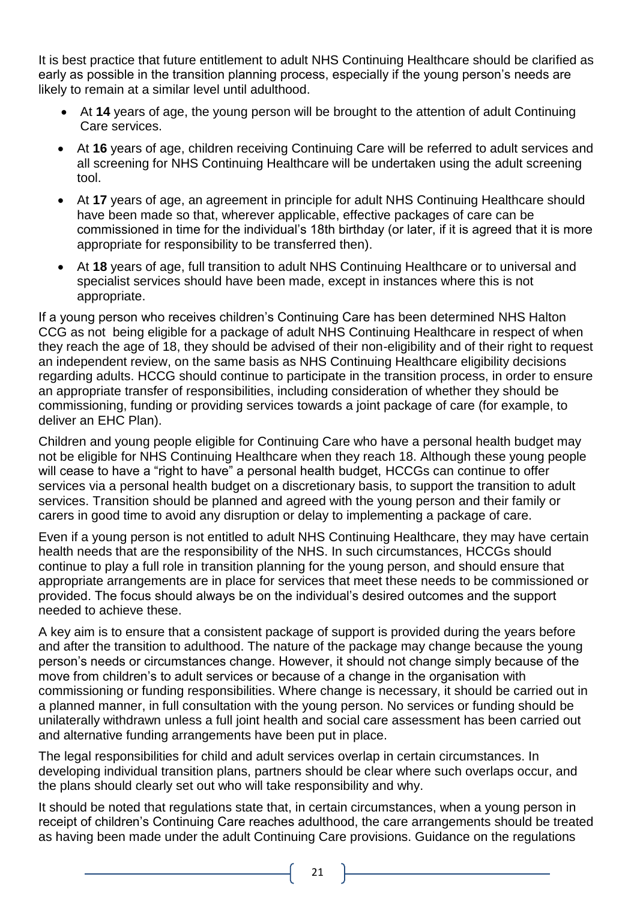It is best practice that future entitlement to adult NHS Continuing Healthcare should be clarified as early as possible in the transition planning process, especially if the young person's needs are likely to remain at a similar level until adulthood.

- At **14** years of age, the young person will be brought to the attention of adult Continuing Care services.
- At **16** years of age, children receiving Continuing Care will be referred to adult services and all screening for NHS Continuing Healthcare will be undertaken using the adult screening tool.
- At **17** years of age, an agreement in principle for adult NHS Continuing Healthcare should have been made so that, wherever applicable, effective packages of care can be commissioned in time for the individual's 18th birthday (or later, if it is agreed that it is more appropriate for responsibility to be transferred then).
- At **18** years of age, full transition to adult NHS Continuing Healthcare or to universal and specialist services should have been made, except in instances where this is not appropriate.

If a young person who receives children's Continuing Care has been determined NHS Halton CCG as not being eligible for a package of adult NHS Continuing Healthcare in respect of when they reach the age of 18, they should be advised of their non-eligibility and of their right to request an independent review, on the same basis as NHS Continuing Healthcare eligibility decisions regarding adults. HCCG should continue to participate in the transition process, in order to ensure an appropriate transfer of responsibilities, including consideration of whether they should be commissioning, funding or providing services towards a joint package of care (for example, to deliver an EHC Plan).

Children and young people eligible for Continuing Care who have a personal health budget may not be eligible for NHS Continuing Healthcare when they reach 18. Although these young people will cease to have a "right to have" a personal health budget, HCCGs can continue to offer services via a personal health budget on a discretionary basis, to support the transition to adult services. Transition should be planned and agreed with the young person and their family or carers in good time to avoid any disruption or delay to implementing a package of care.

Even if a young person is not entitled to adult NHS Continuing Healthcare, they may have certain health needs that are the responsibility of the NHS. In such circumstances, HCCGs should continue to play a full role in transition planning for the young person, and should ensure that appropriate arrangements are in place for services that meet these needs to be commissioned or provided. The focus should always be on the individual's desired outcomes and the support needed to achieve these.

A key aim is to ensure that a consistent package of support is provided during the years before and after the transition to adulthood. The nature of the package may change because the young person's needs or circumstances change. However, it should not change simply because of the move from children's to adult services or because of a change in the organisation with commissioning or funding responsibilities. Where change is necessary, it should be carried out in a planned manner, in full consultation with the young person. No services or funding should be unilaterally withdrawn unless a full joint health and social care assessment has been carried out and alternative funding arrangements have been put in place.

The legal responsibilities for child and adult services overlap in certain circumstances. In developing individual transition plans, partners should be clear where such overlaps occur, and the plans should clearly set out who will take responsibility and why.

It should be noted that regulations state that, in certain circumstances, when a young person in receipt of children's Continuing Care reaches adulthood, the care arrangements should be treated as having been made under the adult Continuing Care provisions. Guidance on the regulations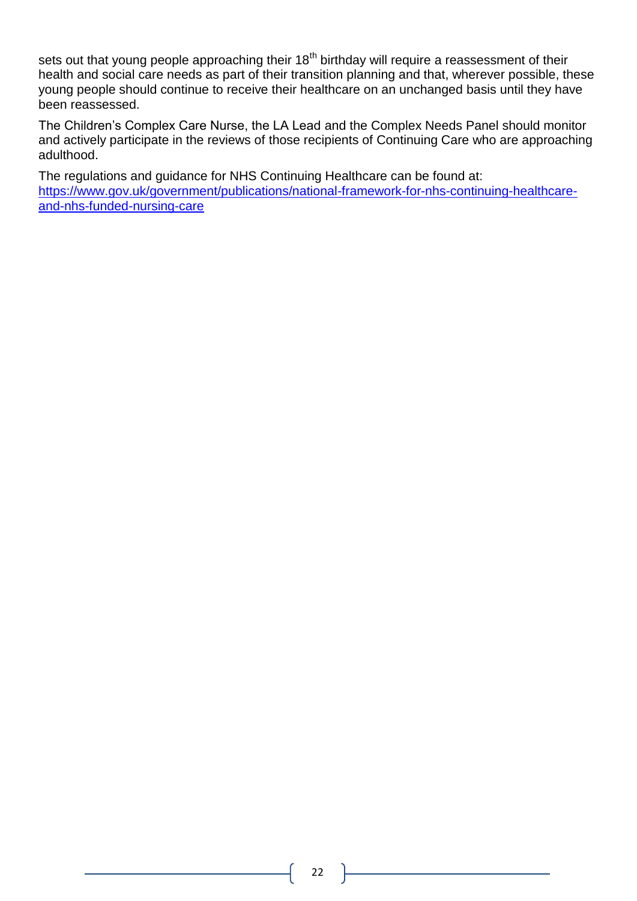sets out that young people approaching their 18<sup>th</sup> birthday will require a reassessment of their health and social care needs as part of their transition planning and that, wherever possible, these young people should continue to receive their healthcare on an unchanged basis until they have been reassessed.

The Children's Complex Care Nurse, the LA Lead and the Complex Needs Panel should monitor and actively participate in the reviews of those recipients of Continuing Care who are approaching adulthood.

The regulations and guidance for NHS Continuing Healthcare can be found at: [https://www.gov.uk/government/publications/national-framework-for-nhs-continuing-healthcare](https://www.gov.uk/government/publications/national-framework-for-nhs-continuing-healthcare-and-nhs-funded-nursing-care)[and-nhs-funded-nursing-care](https://www.gov.uk/government/publications/national-framework-for-nhs-continuing-healthcare-and-nhs-funded-nursing-care)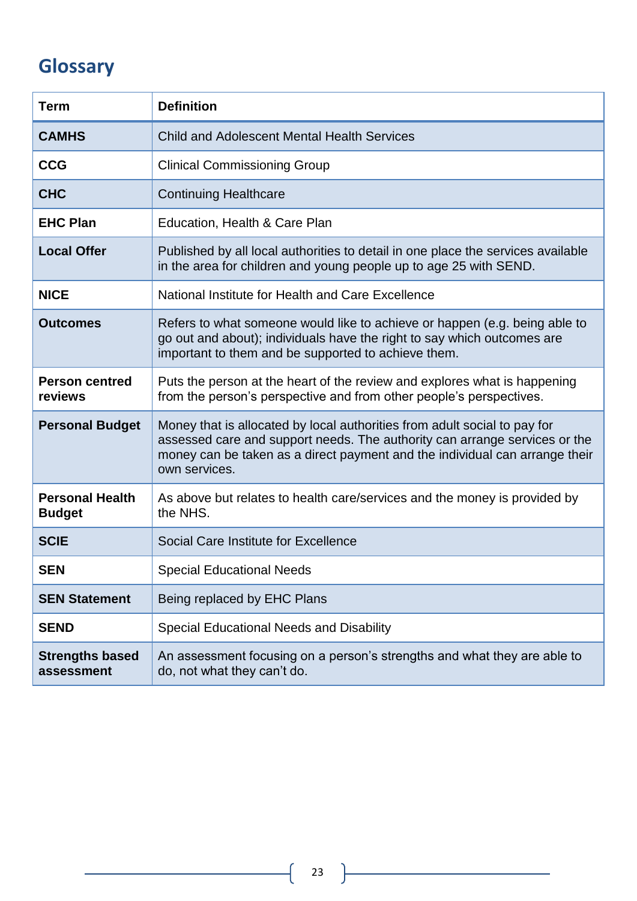# **Glossary**

| <b>Term</b>                             | <b>Definition</b>                                                                                                                                                                                                                                       |
|-----------------------------------------|---------------------------------------------------------------------------------------------------------------------------------------------------------------------------------------------------------------------------------------------------------|
| <b>CAMHS</b>                            | <b>Child and Adolescent Mental Health Services</b>                                                                                                                                                                                                      |
| <b>CCG</b>                              | <b>Clinical Commissioning Group</b>                                                                                                                                                                                                                     |
| <b>CHC</b>                              | <b>Continuing Healthcare</b>                                                                                                                                                                                                                            |
| <b>EHC Plan</b>                         | Education, Health & Care Plan                                                                                                                                                                                                                           |
| <b>Local Offer</b>                      | Published by all local authorities to detail in one place the services available<br>in the area for children and young people up to age 25 with SEND.                                                                                                   |
| <b>NICE</b>                             | National Institute for Health and Care Excellence                                                                                                                                                                                                       |
| <b>Outcomes</b>                         | Refers to what someone would like to achieve or happen (e.g. being able to<br>go out and about); individuals have the right to say which outcomes are<br>important to them and be supported to achieve them.                                            |
| <b>Person centred</b><br>reviews        | Puts the person at the heart of the review and explores what is happening<br>from the person's perspective and from other people's perspectives.                                                                                                        |
| <b>Personal Budget</b>                  | Money that is allocated by local authorities from adult social to pay for<br>assessed care and support needs. The authority can arrange services or the<br>money can be taken as a direct payment and the individual can arrange their<br>own services. |
| <b>Personal Health</b><br><b>Budget</b> | As above but relates to health care/services and the money is provided by<br>the NHS.                                                                                                                                                                   |
| <b>SCIE</b>                             | Social Care Institute for Excellence                                                                                                                                                                                                                    |
| <b>SEN</b>                              | <b>Special Educational Needs</b>                                                                                                                                                                                                                        |
| <b>SEN Statement</b>                    | Being replaced by EHC Plans                                                                                                                                                                                                                             |
| <b>SEND</b>                             | <b>Special Educational Needs and Disability</b>                                                                                                                                                                                                         |
| <b>Strengths based</b><br>assessment    | An assessment focusing on a person's strengths and what they are able to<br>do, not what they can't do.                                                                                                                                                 |

 $\overline{\mathcal{A}}$ 

 $\overline{a}$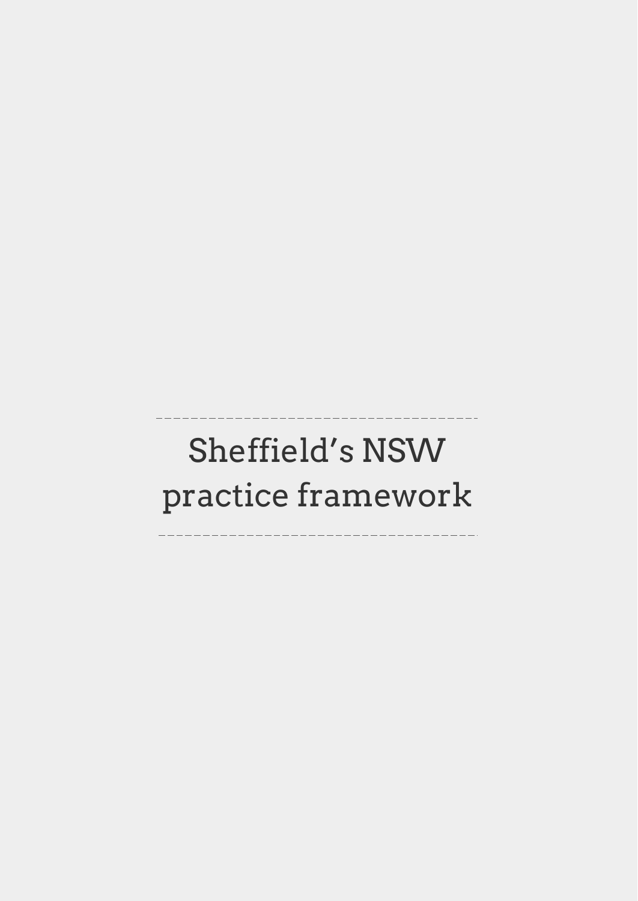# Sheffield's NSW practice framework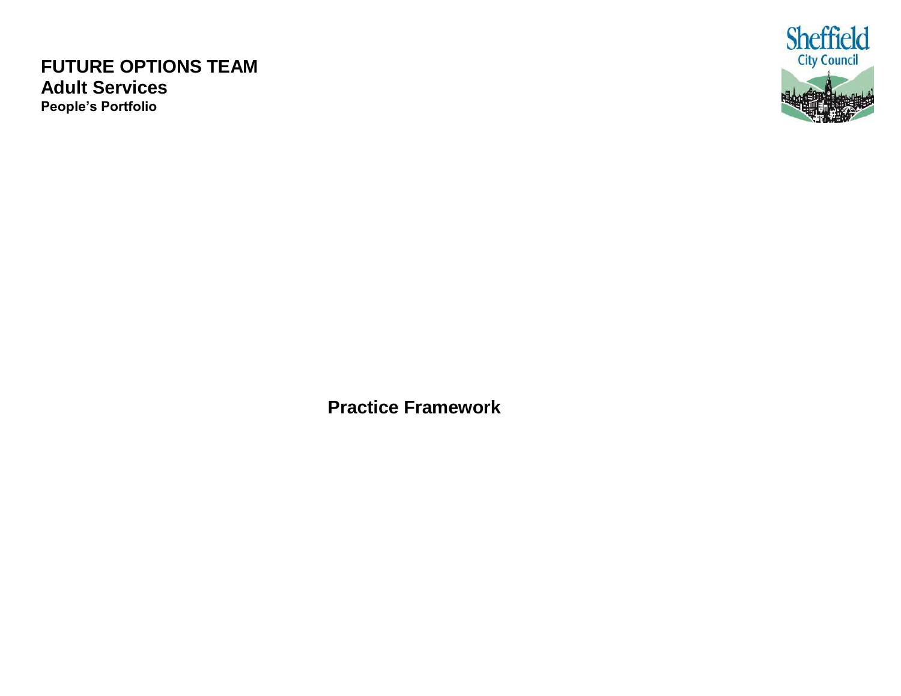# **FUTURE OPTIONS TEAM Adult Services People's Portfolio**



**Practice Framework**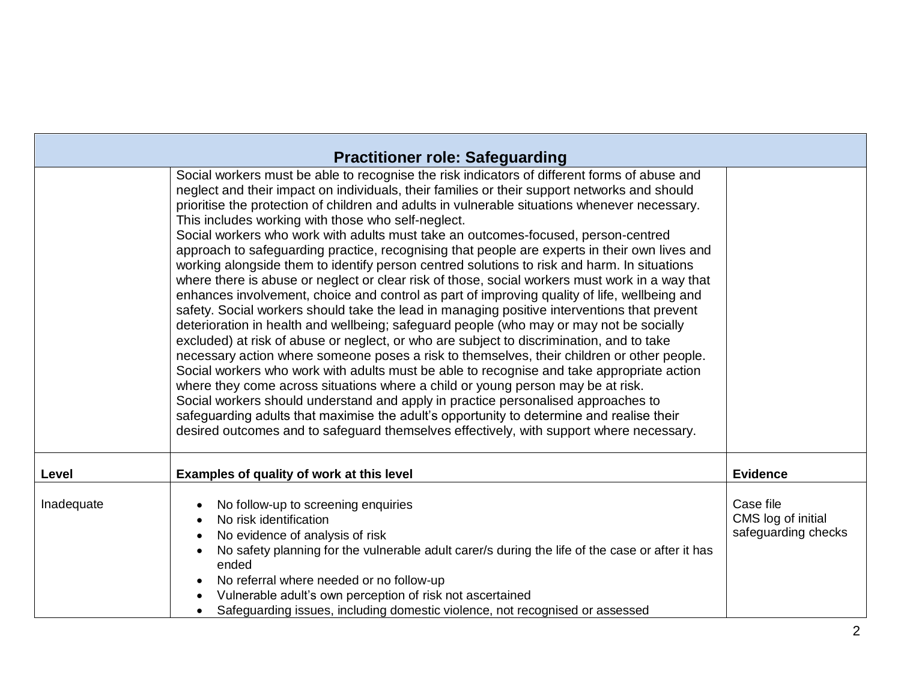|            | <b>Practitioner role: Safeguarding</b>                                                                                                                                                                                                                                                                                                                                                                                                                                                                                                                                                                                                                                                                                                                                                                                                                                                                                                                                                                                                                                                                                                                                                                                                                                                                                                                                                                                                                                                                                                                                                                                                                                                     |                                                        |
|------------|--------------------------------------------------------------------------------------------------------------------------------------------------------------------------------------------------------------------------------------------------------------------------------------------------------------------------------------------------------------------------------------------------------------------------------------------------------------------------------------------------------------------------------------------------------------------------------------------------------------------------------------------------------------------------------------------------------------------------------------------------------------------------------------------------------------------------------------------------------------------------------------------------------------------------------------------------------------------------------------------------------------------------------------------------------------------------------------------------------------------------------------------------------------------------------------------------------------------------------------------------------------------------------------------------------------------------------------------------------------------------------------------------------------------------------------------------------------------------------------------------------------------------------------------------------------------------------------------------------------------------------------------------------------------------------------------|--------------------------------------------------------|
|            | Social workers must be able to recognise the risk indicators of different forms of abuse and<br>neglect and their impact on individuals, their families or their support networks and should<br>prioritise the protection of children and adults in vulnerable situations whenever necessary.<br>This includes working with those who self-neglect.<br>Social workers who work with adults must take an outcomes-focused, person-centred<br>approach to safeguarding practice, recognising that people are experts in their own lives and<br>working alongside them to identify person centred solutions to risk and harm. In situations<br>where there is abuse or neglect or clear risk of those, social workers must work in a way that<br>enhances involvement, choice and control as part of improving quality of life, wellbeing and<br>safety. Social workers should take the lead in managing positive interventions that prevent<br>deterioration in health and wellbeing; safeguard people (who may or may not be socially<br>excluded) at risk of abuse or neglect, or who are subject to discrimination, and to take<br>necessary action where someone poses a risk to themselves, their children or other people.<br>Social workers who work with adults must be able to recognise and take appropriate action<br>where they come across situations where a child or young person may be at risk.<br>Social workers should understand and apply in practice personalised approaches to<br>safeguarding adults that maximise the adult's opportunity to determine and realise their<br>desired outcomes and to safeguard themselves effectively, with support where necessary. |                                                        |
| Level      | Examples of quality of work at this level                                                                                                                                                                                                                                                                                                                                                                                                                                                                                                                                                                                                                                                                                                                                                                                                                                                                                                                                                                                                                                                                                                                                                                                                                                                                                                                                                                                                                                                                                                                                                                                                                                                  | <b>Evidence</b>                                        |
| Inadequate | No follow-up to screening enquiries<br>No risk identification<br>No evidence of analysis of risk<br>No safety planning for the vulnerable adult carer/s during the life of the case or after it has<br>ended<br>No referral where needed or no follow-up<br>Vulnerable adult's own perception of risk not ascertained<br>Safeguarding issues, including domestic violence, not recognised or assessed                                                                                                                                                                                                                                                                                                                                                                                                                                                                                                                                                                                                                                                                                                                                                                                                                                                                                                                                                                                                                                                                                                                                                                                                                                                                                      | Case file<br>CMS log of initial<br>safeguarding checks |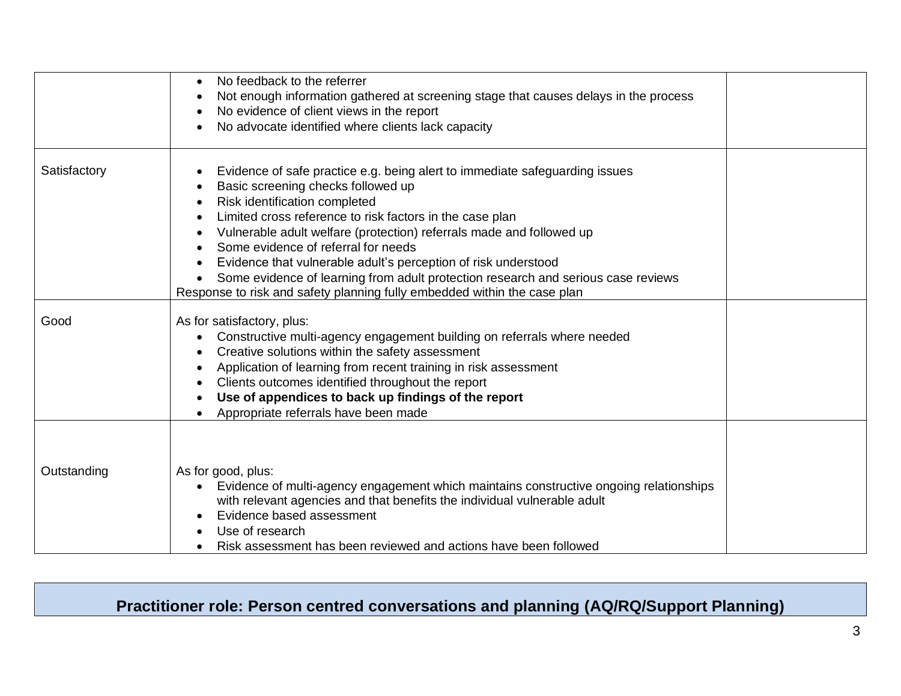|              | No feedback to the referrer<br>Not enough information gathered at screening stage that causes delays in the process<br>No evidence of client views in the report<br>No advocate identified where clients lack capacity                                                                                                                                                                                                                                                                                                                                           |  |
|--------------|------------------------------------------------------------------------------------------------------------------------------------------------------------------------------------------------------------------------------------------------------------------------------------------------------------------------------------------------------------------------------------------------------------------------------------------------------------------------------------------------------------------------------------------------------------------|--|
| Satisfactory | Evidence of safe practice e.g. being alert to immediate safeguarding issues<br>Basic screening checks followed up<br>Risk identification completed<br>Limited cross reference to risk factors in the case plan<br>Vulnerable adult welfare (protection) referrals made and followed up<br>Some evidence of referral for needs<br>Evidence that vulnerable adult's perception of risk understood<br>Some evidence of learning from adult protection research and serious case reviews<br>Response to risk and safety planning fully embedded within the case plan |  |
| Good         | As for satisfactory, plus:<br>Constructive multi-agency engagement building on referrals where needed<br>Creative solutions within the safety assessment<br>Application of learning from recent training in risk assessment<br>Clients outcomes identified throughout the report<br>Use of appendices to back up findings of the report<br>Appropriate referrals have been made                                                                                                                                                                                  |  |
| Outstanding  | As for good, plus:<br>Evidence of multi-agency engagement which maintains constructive ongoing relationships<br>with relevant agencies and that benefits the individual vulnerable adult<br>Evidence based assessment<br>Use of research<br>Risk assessment has been reviewed and actions have been followed                                                                                                                                                                                                                                                     |  |

# **Practitioner role: Person centred conversations and planning (AQ/RQ/Support Planning)**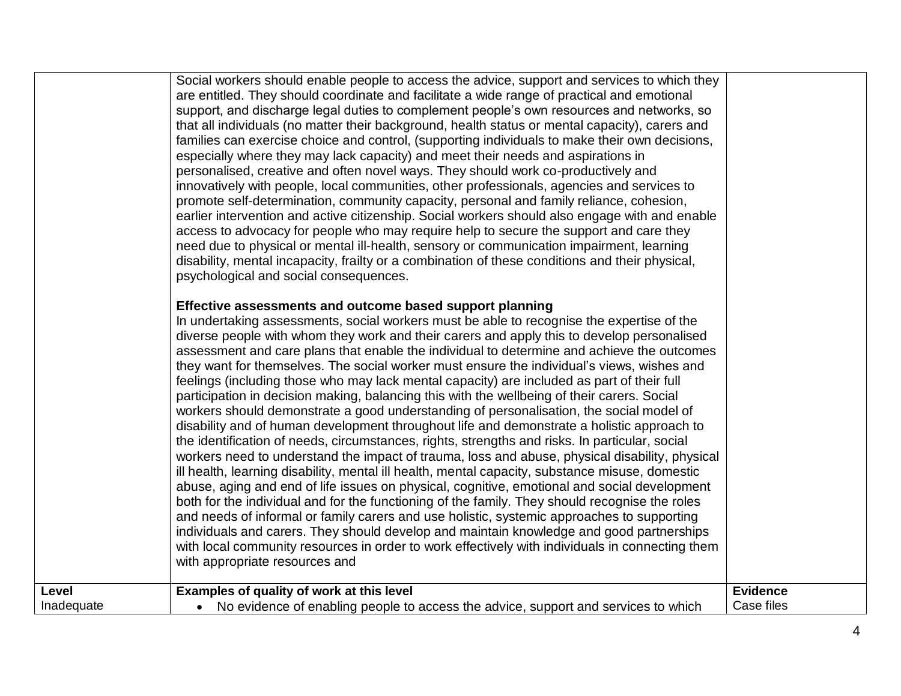|            | Social workers should enable people to access the advice, support and services to which they<br>are entitled. They should coordinate and facilitate a wide range of practical and emotional<br>support, and discharge legal duties to complement people's own resources and networks, so<br>that all individuals (no matter their background, health status or mental capacity), carers and<br>families can exercise choice and control, (supporting individuals to make their own decisions,<br>especially where they may lack capacity) and meet their needs and aspirations in<br>personalised, creative and often novel ways. They should work co-productively and<br>innovatively with people, local communities, other professionals, agencies and services to<br>promote self-determination, community capacity, personal and family reliance, cohesion,<br>earlier intervention and active citizenship. Social workers should also engage with and enable<br>access to advocacy for people who may require help to secure the support and care they<br>need due to physical or mental ill-health, sensory or communication impairment, learning<br>disability, mental incapacity, frailty or a combination of these conditions and their physical,<br>psychological and social consequences.                                                                                                                                                                                                                                                                                                                                                                          |                 |
|------------|-------------------------------------------------------------------------------------------------------------------------------------------------------------------------------------------------------------------------------------------------------------------------------------------------------------------------------------------------------------------------------------------------------------------------------------------------------------------------------------------------------------------------------------------------------------------------------------------------------------------------------------------------------------------------------------------------------------------------------------------------------------------------------------------------------------------------------------------------------------------------------------------------------------------------------------------------------------------------------------------------------------------------------------------------------------------------------------------------------------------------------------------------------------------------------------------------------------------------------------------------------------------------------------------------------------------------------------------------------------------------------------------------------------------------------------------------------------------------------------------------------------------------------------------------------------------------------------------------------------------------------------------------------------------------------|-----------------|
|            | Effective assessments and outcome based support planning<br>In undertaking assessments, social workers must be able to recognise the expertise of the<br>diverse people with whom they work and their carers and apply this to develop personalised<br>assessment and care plans that enable the individual to determine and achieve the outcomes<br>they want for themselves. The social worker must ensure the individual's views, wishes and<br>feelings (including those who may lack mental capacity) are included as part of their full<br>participation in decision making, balancing this with the wellbeing of their carers. Social<br>workers should demonstrate a good understanding of personalisation, the social model of<br>disability and of human development throughout life and demonstrate a holistic approach to<br>the identification of needs, circumstances, rights, strengths and risks. In particular, social<br>workers need to understand the impact of trauma, loss and abuse, physical disability, physical<br>ill health, learning disability, mental ill health, mental capacity, substance misuse, domestic<br>abuse, aging and end of life issues on physical, cognitive, emotional and social development<br>both for the individual and for the functioning of the family. They should recognise the roles<br>and needs of informal or family carers and use holistic, systemic approaches to supporting<br>individuals and carers. They should develop and maintain knowledge and good partnerships<br>with local community resources in order to work effectively with individuals in connecting them<br>with appropriate resources and |                 |
| Level      | Examples of quality of work at this level                                                                                                                                                                                                                                                                                                                                                                                                                                                                                                                                                                                                                                                                                                                                                                                                                                                                                                                                                                                                                                                                                                                                                                                                                                                                                                                                                                                                                                                                                                                                                                                                                                     | <b>Evidence</b> |
| Inadequate | No evidence of enabling people to access the advice, support and services to which<br>$\bullet$                                                                                                                                                                                                                                                                                                                                                                                                                                                                                                                                                                                                                                                                                                                                                                                                                                                                                                                                                                                                                                                                                                                                                                                                                                                                                                                                                                                                                                                                                                                                                                               | Case files      |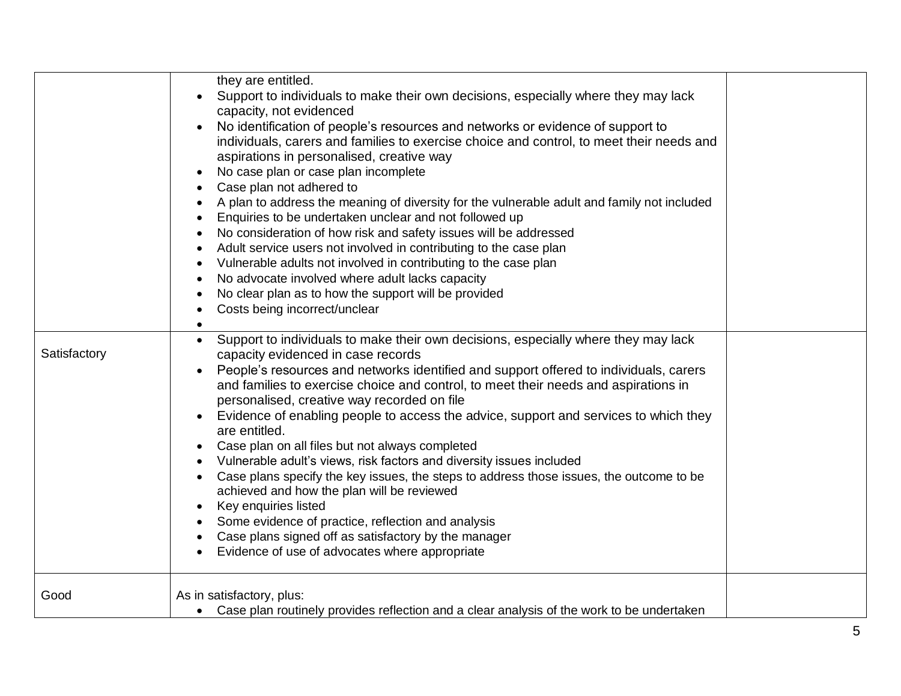|              | they are entitled.<br>Support to individuals to make their own decisions, especially where they may lack<br>capacity, not evidenced<br>No identification of people's resources and networks or evidence of support to<br>individuals, carers and families to exercise choice and control, to meet their needs and<br>aspirations in personalised, creative way<br>No case plan or case plan incomplete<br>Case plan not adhered to                                                                                                                                                                                                                                                                                                                                                                                                                                                                                                                                  |  |
|--------------|---------------------------------------------------------------------------------------------------------------------------------------------------------------------------------------------------------------------------------------------------------------------------------------------------------------------------------------------------------------------------------------------------------------------------------------------------------------------------------------------------------------------------------------------------------------------------------------------------------------------------------------------------------------------------------------------------------------------------------------------------------------------------------------------------------------------------------------------------------------------------------------------------------------------------------------------------------------------|--|
|              | A plan to address the meaning of diversity for the vulnerable adult and family not included                                                                                                                                                                                                                                                                                                                                                                                                                                                                                                                                                                                                                                                                                                                                                                                                                                                                         |  |
|              | Enquiries to be undertaken unclear and not followed up<br>$\bullet$                                                                                                                                                                                                                                                                                                                                                                                                                                                                                                                                                                                                                                                                                                                                                                                                                                                                                                 |  |
|              | No consideration of how risk and safety issues will be addressed                                                                                                                                                                                                                                                                                                                                                                                                                                                                                                                                                                                                                                                                                                                                                                                                                                                                                                    |  |
|              | Adult service users not involved in contributing to the case plan<br>Vulnerable adults not involved in contributing to the case plan                                                                                                                                                                                                                                                                                                                                                                                                                                                                                                                                                                                                                                                                                                                                                                                                                                |  |
|              | No advocate involved where adult lacks capacity                                                                                                                                                                                                                                                                                                                                                                                                                                                                                                                                                                                                                                                                                                                                                                                                                                                                                                                     |  |
|              | No clear plan as to how the support will be provided                                                                                                                                                                                                                                                                                                                                                                                                                                                                                                                                                                                                                                                                                                                                                                                                                                                                                                                |  |
|              | Costs being incorrect/unclear                                                                                                                                                                                                                                                                                                                                                                                                                                                                                                                                                                                                                                                                                                                                                                                                                                                                                                                                       |  |
| Satisfactory | $\bullet$<br>Support to individuals to make their own decisions, especially where they may lack<br>$\bullet$<br>capacity evidenced in case records<br>People's resources and networks identified and support offered to individuals, carers<br>and families to exercise choice and control, to meet their needs and aspirations in<br>personalised, creative way recorded on file<br>Evidence of enabling people to access the advice, support and services to which they<br>are entitled.<br>Case plan on all files but not always completed<br>$\bullet$<br>Vulnerable adult's views, risk factors and diversity issues included<br>Case plans specify the key issues, the steps to address those issues, the outcome to be<br>achieved and how the plan will be reviewed<br>Key enquiries listed<br>Some evidence of practice, reflection and analysis<br>Case plans signed off as satisfactory by the manager<br>Evidence of use of advocates where appropriate |  |
| Good         | As in satisfactory, plus:<br>• Case plan routinely provides reflection and a clear analysis of the work to be undertaken                                                                                                                                                                                                                                                                                                                                                                                                                                                                                                                                                                                                                                                                                                                                                                                                                                            |  |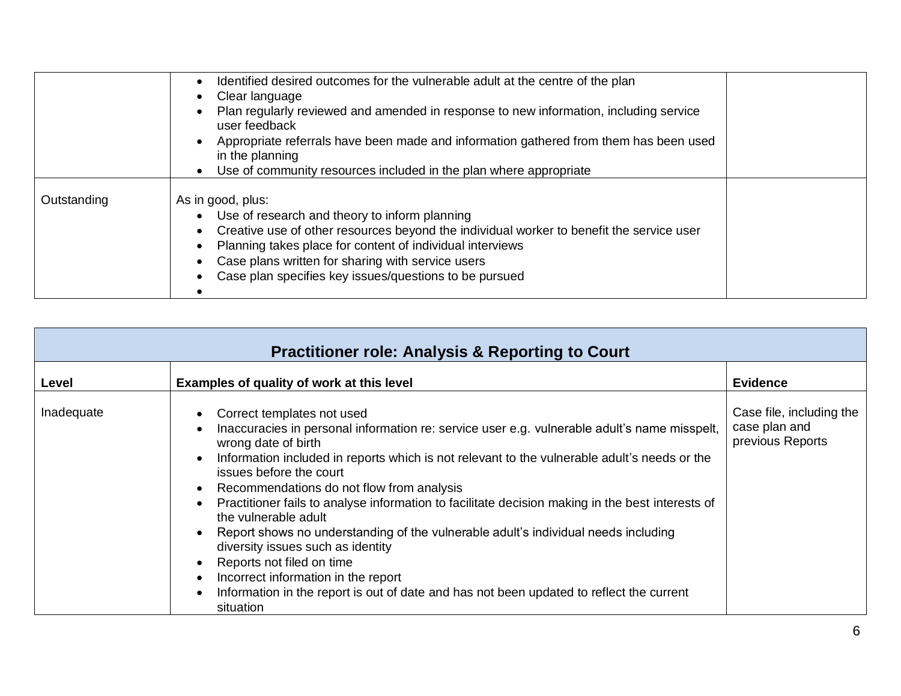|             | Identified desired outcomes for the vulnerable adult at the centre of the plan<br>Clear language<br>Plan regularly reviewed and amended in response to new information, including service<br>user feedback<br>Appropriate referrals have been made and information gathered from them has been used<br>in the planning<br>Use of community resources included in the plan where appropriate |  |
|-------------|---------------------------------------------------------------------------------------------------------------------------------------------------------------------------------------------------------------------------------------------------------------------------------------------------------------------------------------------------------------------------------------------|--|
| Outstanding | As in good, plus:<br>Use of research and theory to inform planning<br>Creative use of other resources beyond the individual worker to benefit the service user<br>Planning takes place for content of individual interviews<br>Case plans written for sharing with service users<br>Case plan specifies key issues/questions to be pursued                                                  |  |

| <b>Practitioner role: Analysis &amp; Reporting to Court</b> |                                                                                                                                                                                                                                                                                                                                                                                                                                                                                                                                                                                                                                                                                                                                                               |                                                               |  |
|-------------------------------------------------------------|---------------------------------------------------------------------------------------------------------------------------------------------------------------------------------------------------------------------------------------------------------------------------------------------------------------------------------------------------------------------------------------------------------------------------------------------------------------------------------------------------------------------------------------------------------------------------------------------------------------------------------------------------------------------------------------------------------------------------------------------------------------|---------------------------------------------------------------|--|
| Level                                                       | Examples of quality of work at this level                                                                                                                                                                                                                                                                                                                                                                                                                                                                                                                                                                                                                                                                                                                     | <b>Evidence</b>                                               |  |
| Inadequate                                                  | Correct templates not used<br>Inaccuracies in personal information re: service user e.g. vulnerable adult's name misspelt,<br>wrong date of birth<br>Information included in reports which is not relevant to the vulnerable adult's needs or the<br>issues before the court<br>Recommendations do not flow from analysis<br>Practitioner fails to analyse information to facilitate decision making in the best interests of<br>the vulnerable adult<br>Report shows no understanding of the vulnerable adult's individual needs including<br>diversity issues such as identity<br>Reports not filed on time<br>Incorrect information in the report<br>Information in the report is out of date and has not been updated to reflect the current<br>situation | Case file, including the<br>case plan and<br>previous Reports |  |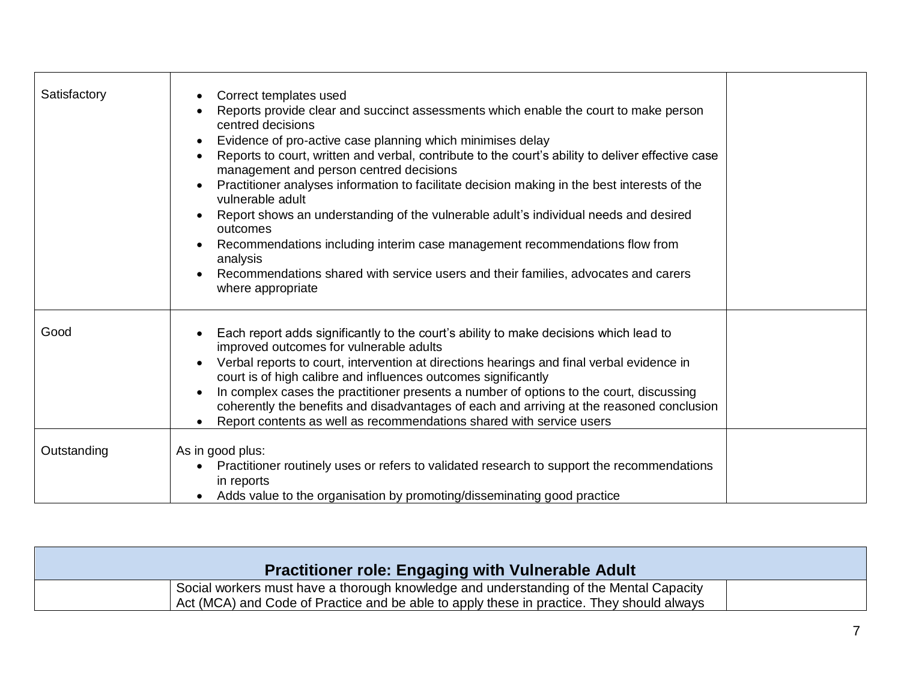| Satisfactory | Correct templates used<br>Reports provide clear and succinct assessments which enable the court to make person<br>centred decisions<br>Evidence of pro-active case planning which minimises delay<br>Reports to court, written and verbal, contribute to the court's ability to deliver effective case<br>management and person centred decisions<br>Practitioner analyses information to facilitate decision making in the best interests of the<br>vulnerable adult<br>Report shows an understanding of the vulnerable adult's individual needs and desired<br>outcomes<br>Recommendations including interim case management recommendations flow from<br>analysis<br>Recommendations shared with service users and their families, advocates and carers<br>where appropriate |  |
|--------------|---------------------------------------------------------------------------------------------------------------------------------------------------------------------------------------------------------------------------------------------------------------------------------------------------------------------------------------------------------------------------------------------------------------------------------------------------------------------------------------------------------------------------------------------------------------------------------------------------------------------------------------------------------------------------------------------------------------------------------------------------------------------------------|--|
| Good         | Each report adds significantly to the court's ability to make decisions which lead to<br>improved outcomes for vulnerable adults<br>Verbal reports to court, intervention at directions hearings and final verbal evidence in<br>court is of high calibre and influences outcomes significantly<br>In complex cases the practitioner presents a number of options to the court, discussing<br>coherently the benefits and disadvantages of each and arriving at the reasoned conclusion<br>Report contents as well as recommendations shared with service users                                                                                                                                                                                                                 |  |
| Outstanding  | As in good plus:<br>Practitioner routinely uses or refers to validated research to support the recommendations<br>in reports<br>Adds value to the organisation by promoting/disseminating good practice                                                                                                                                                                                                                                                                                                                                                                                                                                                                                                                                                                         |  |

| <b>Practitioner role: Engaging with Vulnerable Adult</b>                                                                                                                            |  |
|-------------------------------------------------------------------------------------------------------------------------------------------------------------------------------------|--|
| Social workers must have a thorough knowledge and understanding of the Mental Capacity<br>Act (MCA) and Code of Practice and be able to apply these in practice. They should always |  |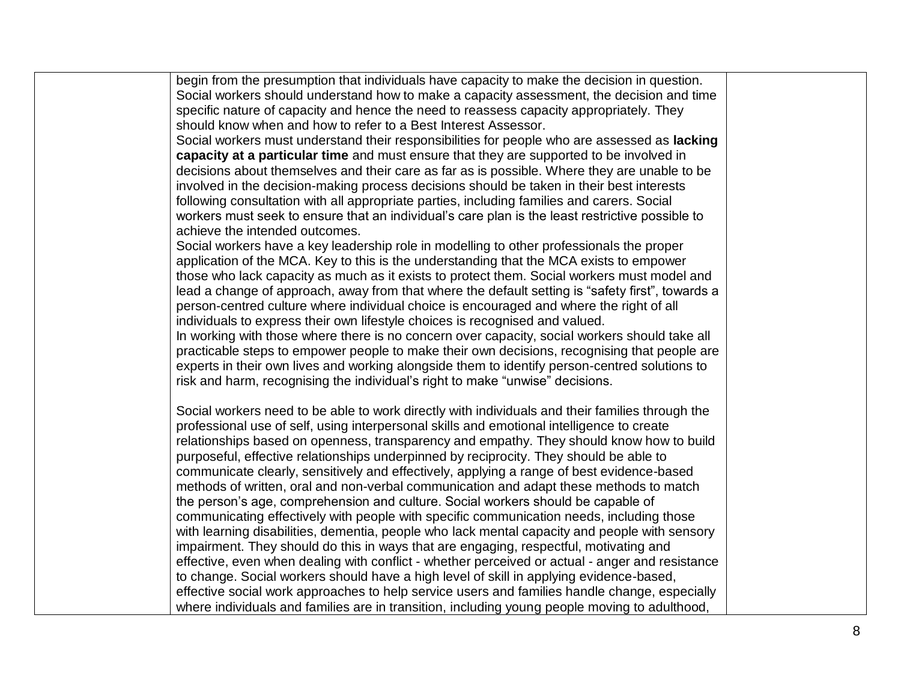| begin from the presumption that individuals have capacity to make the decision in question.      |  |
|--------------------------------------------------------------------------------------------------|--|
| Social workers should understand how to make a capacity assessment, the decision and time        |  |
| specific nature of capacity and hence the need to reassess capacity appropriately. They          |  |
| should know when and how to refer to a Best Interest Assessor.                                   |  |
| Social workers must understand their responsibilities for people who are assessed as lacking     |  |
| capacity at a particular time and must ensure that they are supported to be involved in          |  |
| decisions about themselves and their care as far as is possible. Where they are unable to be     |  |
| involved in the decision-making process decisions should be taken in their best interests        |  |
| following consultation with all appropriate parties, including families and carers. Social       |  |
| workers must seek to ensure that an individual's care plan is the least restrictive possible to  |  |
| achieve the intended outcomes.                                                                   |  |
| Social workers have a key leadership role in modelling to other professionals the proper         |  |
| application of the MCA. Key to this is the understanding that the MCA exists to empower          |  |
| those who lack capacity as much as it exists to protect them. Social workers must model and      |  |
| lead a change of approach, away from that where the default setting is "safety first", towards a |  |
| person-centred culture where individual choice is encouraged and where the right of all          |  |
| individuals to express their own lifestyle choices is recognised and valued.                     |  |
| In working with those where there is no concern over capacity, social workers should take all    |  |
| practicable steps to empower people to make their own decisions, recognising that people are     |  |
| experts in their own lives and working alongside them to identify person-centred solutions to    |  |
| risk and harm, recognising the individual's right to make "unwise" decisions.                    |  |
|                                                                                                  |  |
| Social workers need to be able to work directly with individuals and their families through the  |  |
| professional use of self, using interpersonal skills and emotional intelligence to create        |  |
| relationships based on openness, transparency and empathy. They should know how to build         |  |
| purposeful, effective relationships underpinned by reciprocity. They should be able to           |  |
| communicate clearly, sensitively and effectively, applying a range of best evidence-based        |  |
| methods of written, oral and non-verbal communication and adapt these methods to match           |  |
| the person's age, comprehension and culture. Social workers should be capable of                 |  |
| communicating effectively with people with specific communication needs, including those         |  |
| with learning disabilities, dementia, people who lack mental capacity and people with sensory    |  |
| impairment. They should do this in ways that are engaging, respectful, motivating and            |  |
| effective, even when dealing with conflict - whether perceived or actual - anger and resistance  |  |
| to change. Social workers should have a high level of skill in applying evidence-based,          |  |
| effective social work approaches to help service users and families handle change, especially    |  |
| where individuals and families are in transition, including young people moving to adulthood,    |  |
|                                                                                                  |  |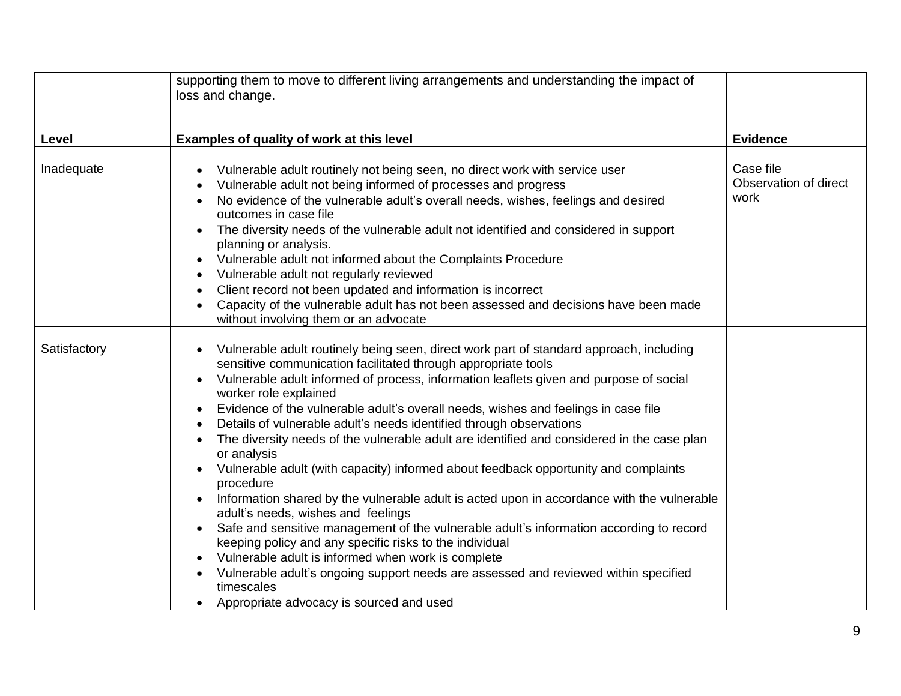|              | supporting them to move to different living arrangements and understanding the impact of<br>loss and change.                                                                                                                                                                                                                                                                                                                                                                                                                                                                                                                                                                                                                                                                                                                                                                                                                                                                                                                                                                                                                                                                                           |                                            |
|--------------|--------------------------------------------------------------------------------------------------------------------------------------------------------------------------------------------------------------------------------------------------------------------------------------------------------------------------------------------------------------------------------------------------------------------------------------------------------------------------------------------------------------------------------------------------------------------------------------------------------------------------------------------------------------------------------------------------------------------------------------------------------------------------------------------------------------------------------------------------------------------------------------------------------------------------------------------------------------------------------------------------------------------------------------------------------------------------------------------------------------------------------------------------------------------------------------------------------|--------------------------------------------|
| Level        | Examples of quality of work at this level                                                                                                                                                                                                                                                                                                                                                                                                                                                                                                                                                                                                                                                                                                                                                                                                                                                                                                                                                                                                                                                                                                                                                              | <b>Evidence</b>                            |
| Inadequate   | Vulnerable adult routinely not being seen, no direct work with service user<br>$\bullet$<br>Vulnerable adult not being informed of processes and progress<br>No evidence of the vulnerable adult's overall needs, wishes, feelings and desired<br>outcomes in case file<br>The diversity needs of the vulnerable adult not identified and considered in support<br>planning or analysis.<br>Vulnerable adult not informed about the Complaints Procedure<br>$\bullet$<br>Vulnerable adult not regularly reviewed<br>Client record not been updated and information is incorrect<br>Capacity of the vulnerable adult has not been assessed and decisions have been made<br>without involving them or an advocate                                                                                                                                                                                                                                                                                                                                                                                                                                                                                        | Case file<br>Observation of direct<br>work |
| Satisfactory | Vulnerable adult routinely being seen, direct work part of standard approach, including<br>sensitive communication facilitated through appropriate tools<br>Vulnerable adult informed of process, information leaflets given and purpose of social<br>$\bullet$<br>worker role explained<br>Evidence of the vulnerable adult's overall needs, wishes and feelings in case file<br>٠<br>Details of vulnerable adult's needs identified through observations<br>The diversity needs of the vulnerable adult are identified and considered in the case plan<br>or analysis<br>Vulnerable adult (with capacity) informed about feedback opportunity and complaints<br>$\bullet$<br>procedure<br>Information shared by the vulnerable adult is acted upon in accordance with the vulnerable<br>adult's needs, wishes and feelings<br>Safe and sensitive management of the vulnerable adult's information according to record<br>$\bullet$<br>keeping policy and any specific risks to the individual<br>Vulnerable adult is informed when work is complete<br>Vulnerable adult's ongoing support needs are assessed and reviewed within specified<br>timescales<br>Appropriate advocacy is sourced and used |                                            |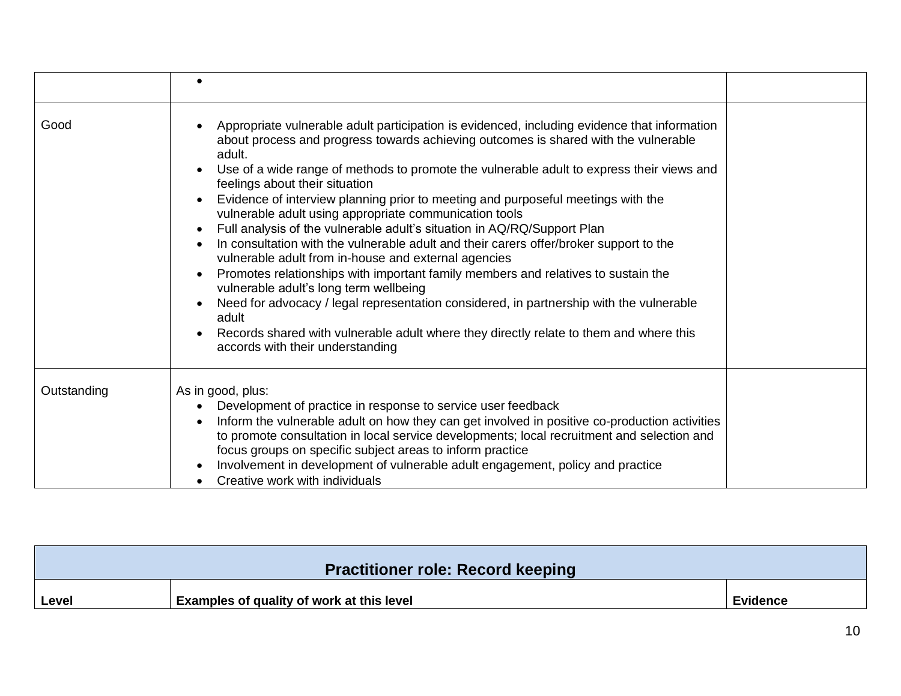| Good        | Appropriate vulnerable adult participation is evidenced, including evidence that information<br>about process and progress towards achieving outcomes is shared with the vulnerable<br>adult.<br>Use of a wide range of methods to promote the vulnerable adult to express their views and<br>feelings about their situation<br>Evidence of interview planning prior to meeting and purposeful meetings with the<br>vulnerable adult using appropriate communication tools<br>Full analysis of the vulnerable adult's situation in AQ/RQ/Support Plan<br>In consultation with the vulnerable adult and their carers offer/broker support to the<br>vulnerable adult from in-house and external agencies<br>Promotes relationships with important family members and relatives to sustain the<br>vulnerable adult's long term wellbeing<br>Need for advocacy / legal representation considered, in partnership with the vulnerable<br>adult<br>Records shared with vulnerable adult where they directly relate to them and where this<br>accords with their understanding |  |
|-------------|--------------------------------------------------------------------------------------------------------------------------------------------------------------------------------------------------------------------------------------------------------------------------------------------------------------------------------------------------------------------------------------------------------------------------------------------------------------------------------------------------------------------------------------------------------------------------------------------------------------------------------------------------------------------------------------------------------------------------------------------------------------------------------------------------------------------------------------------------------------------------------------------------------------------------------------------------------------------------------------------------------------------------------------------------------------------------|--|
| Outstanding | As in good, plus:<br>Development of practice in response to service user feedback<br>Inform the vulnerable adult on how they can get involved in positive co-production activities<br>to promote consultation in local service developments; local recruitment and selection and<br>focus groups on specific subject areas to inform practice<br>Involvement in development of vulnerable adult engagement, policy and practice<br>Creative work with individuals                                                                                                                                                                                                                                                                                                                                                                                                                                                                                                                                                                                                        |  |

| <b>Practitioner role: Record keeping</b> |                                           |                 |  |  |
|------------------------------------------|-------------------------------------------|-----------------|--|--|
| Level                                    | Examples of quality of work at this level | <b>Evidence</b> |  |  |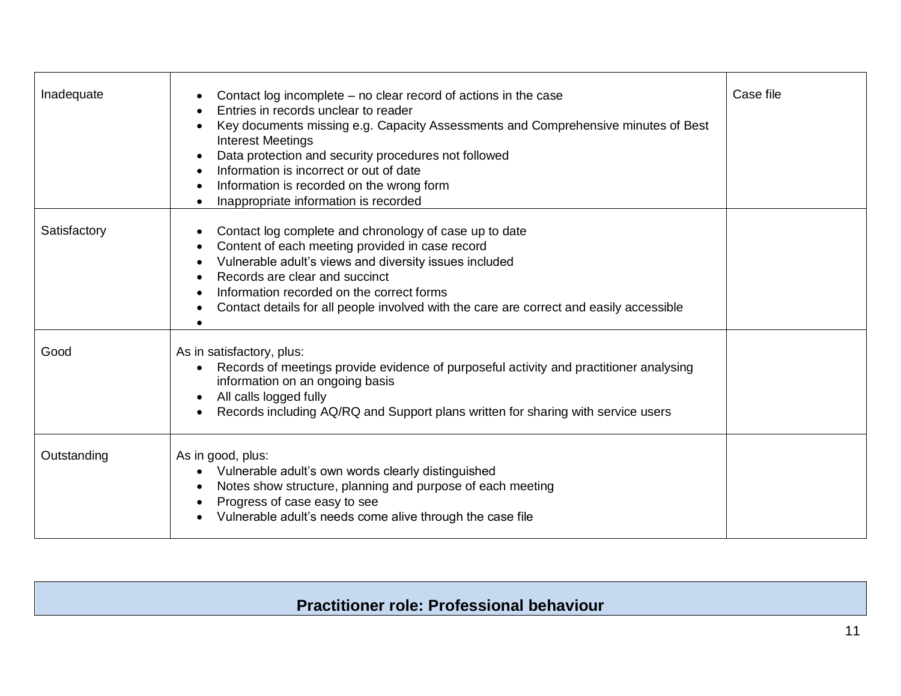| Inadequate   | Contact log incomplete – no clear record of actions in the case<br>Entries in records unclear to reader<br>Key documents missing e.g. Capacity Assessments and Comprehensive minutes of Best<br><b>Interest Meetings</b><br>Data protection and security procedures not followed<br>$\bullet$<br>Information is incorrect or out of date<br>Information is recorded on the wrong form<br>Inappropriate information is recorded | Case file |
|--------------|--------------------------------------------------------------------------------------------------------------------------------------------------------------------------------------------------------------------------------------------------------------------------------------------------------------------------------------------------------------------------------------------------------------------------------|-----------|
| Satisfactory | Contact log complete and chronology of case up to date<br>$\bullet$<br>Content of each meeting provided in case record<br>Vulnerable adult's views and diversity issues included<br>Records are clear and succinct<br>Information recorded on the correct forms<br>Contact details for all people involved with the care are correct and easily accessible                                                                     |           |
| Good         | As in satisfactory, plus:<br>Records of meetings provide evidence of purposeful activity and practitioner analysing<br>information on an ongoing basis<br>All calls logged fully<br>Records including AQ/RQ and Support plans written for sharing with service users                                                                                                                                                           |           |
| Outstanding  | As in good, plus:<br>Vulnerable adult's own words clearly distinguished<br>Notes show structure, planning and purpose of each meeting<br>Progress of case easy to see<br>Vulnerable adult's needs come alive through the case file                                                                                                                                                                                             |           |

# **Practitioner role: Professional behaviour**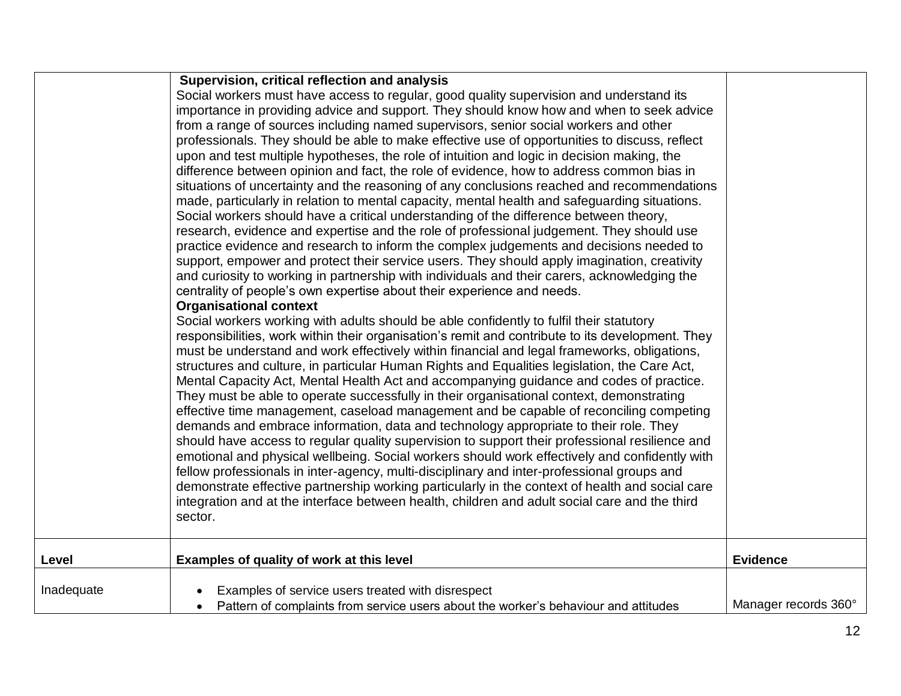|            | Supervision, critical reflection and analysis                                                                                                                                               |                      |
|------------|---------------------------------------------------------------------------------------------------------------------------------------------------------------------------------------------|----------------------|
|            | Social workers must have access to regular, good quality supervision and understand its                                                                                                     |                      |
|            | importance in providing advice and support. They should know how and when to seek advice                                                                                                    |                      |
|            | from a range of sources including named supervisors, senior social workers and other<br>professionals. They should be able to make effective use of opportunities to discuss, reflect       |                      |
|            | upon and test multiple hypotheses, the role of intuition and logic in decision making, the                                                                                                  |                      |
|            | difference between opinion and fact, the role of evidence, how to address common bias in                                                                                                    |                      |
|            | situations of uncertainty and the reasoning of any conclusions reached and recommendations                                                                                                  |                      |
|            | made, particularly in relation to mental capacity, mental health and safeguarding situations.                                                                                               |                      |
|            | Social workers should have a critical understanding of the difference between theory,                                                                                                       |                      |
|            | research, evidence and expertise and the role of professional judgement. They should use                                                                                                    |                      |
|            | practice evidence and research to inform the complex judgements and decisions needed to                                                                                                     |                      |
|            | support, empower and protect their service users. They should apply imagination, creativity                                                                                                 |                      |
|            | and curiosity to working in partnership with individuals and their carers, acknowledging the                                                                                                |                      |
|            | centrality of people's own expertise about their experience and needs.                                                                                                                      |                      |
|            | <b>Organisational context</b>                                                                                                                                                               |                      |
|            | Social workers working with adults should be able confidently to fulfil their statutory<br>responsibilities, work within their organisation's remit and contribute to its development. They |                      |
|            | must be understand and work effectively within financial and legal frameworks, obligations,                                                                                                 |                      |
|            | structures and culture, in particular Human Rights and Equalities legislation, the Care Act,                                                                                                |                      |
|            | Mental Capacity Act, Mental Health Act and accompanying guidance and codes of practice.                                                                                                     |                      |
|            | They must be able to operate successfully in their organisational context, demonstrating                                                                                                    |                      |
|            | effective time management, caseload management and be capable of reconciling competing                                                                                                      |                      |
|            | demands and embrace information, data and technology appropriate to their role. They                                                                                                        |                      |
|            | should have access to regular quality supervision to support their professional resilience and                                                                                              |                      |
|            | emotional and physical wellbeing. Social workers should work effectively and confidently with                                                                                               |                      |
|            | fellow professionals in inter-agency, multi-disciplinary and inter-professional groups and                                                                                                  |                      |
|            | demonstrate effective partnership working particularly in the context of health and social care                                                                                             |                      |
|            | integration and at the interface between health, children and adult social care and the third<br>sector.                                                                                    |                      |
|            |                                                                                                                                                                                             |                      |
| Level      | Examples of quality of work at this level                                                                                                                                                   | <b>Evidence</b>      |
|            |                                                                                                                                                                                             |                      |
| Inadequate | Examples of service users treated with disrespect                                                                                                                                           |                      |
|            | Pattern of complaints from service users about the worker's behaviour and attitudes<br>$\bullet$                                                                                            | Manager records 360° |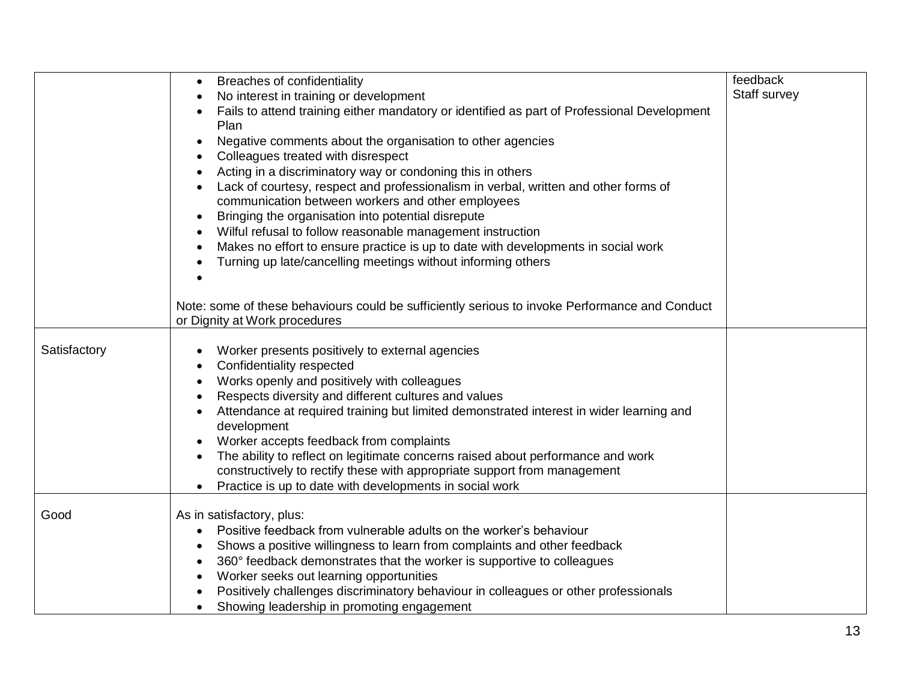|              | Breaches of confidentiality                                                                    | feedback     |
|--------------|------------------------------------------------------------------------------------------------|--------------|
|              | No interest in training or development                                                         | Staff survey |
|              | Fails to attend training either mandatory or identified as part of Professional Development    |              |
|              | Plan                                                                                           |              |
|              | Negative comments about the organisation to other agencies                                     |              |
|              | Colleagues treated with disrespect                                                             |              |
|              | Acting in a discriminatory way or condoning this in others                                     |              |
|              | Lack of courtesy, respect and professionalism in verbal, written and other forms of            |              |
|              | communication between workers and other employees                                              |              |
|              | Bringing the organisation into potential disrepute<br>$\bullet$                                |              |
|              | Wilful refusal to follow reasonable management instruction                                     |              |
|              | Makes no effort to ensure practice is up to date with developments in social work              |              |
|              | Turning up late/cancelling meetings without informing others                                   |              |
|              |                                                                                                |              |
|              |                                                                                                |              |
|              | Note: some of these behaviours could be sufficiently serious to invoke Performance and Conduct |              |
|              | or Dignity at Work procedures                                                                  |              |
|              |                                                                                                |              |
| Satisfactory | Worker presents positively to external agencies<br>$\bullet$                                   |              |
|              | Confidentiality respected<br>٠                                                                 |              |
|              | Works openly and positively with colleagues                                                    |              |
|              | Respects diversity and different cultures and values                                           |              |
|              | Attendance at required training but limited demonstrated interest in wider learning and        |              |
|              | development                                                                                    |              |
|              | Worker accepts feedback from complaints                                                        |              |
|              | The ability to reflect on legitimate concerns raised about performance and work                |              |
|              | constructively to rectify these with appropriate support from management                       |              |
|              | Practice is up to date with developments in social work                                        |              |
|              |                                                                                                |              |
| Good         | As in satisfactory, plus:                                                                      |              |
|              | Positive feedback from vulnerable adults on the worker's behaviour                             |              |
|              | Shows a positive willingness to learn from complaints and other feedback                       |              |
|              | 360° feedback demonstrates that the worker is supportive to colleagues                         |              |
|              | Worker seeks out learning opportunities<br>$\bullet$                                           |              |
|              | Positively challenges discriminatory behaviour in colleagues or other professionals            |              |
|              | Showing leadership in promoting engagement                                                     |              |
|              |                                                                                                |              |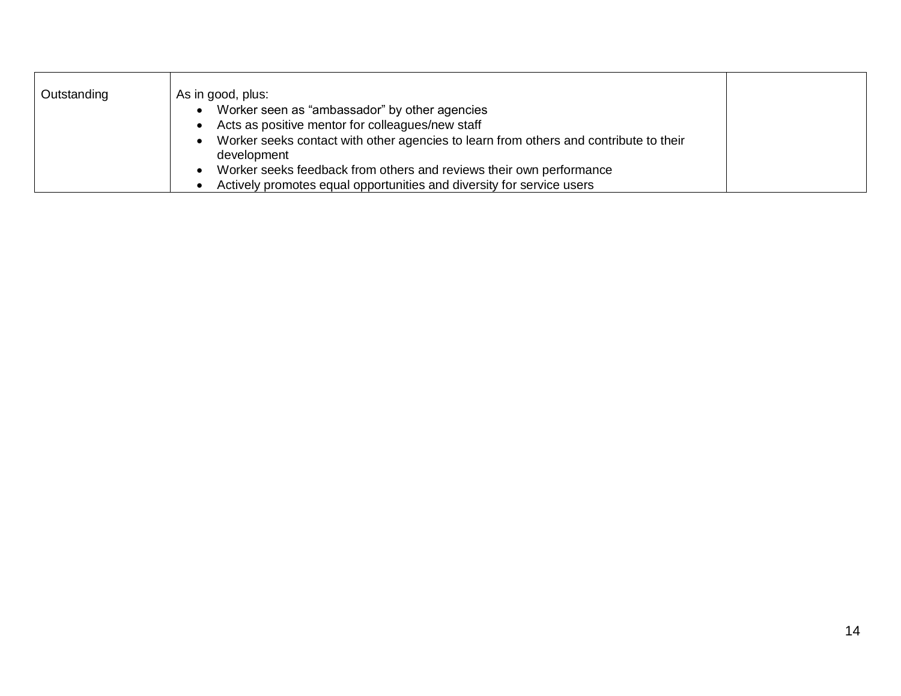| Outstanding | As in good, plus:                                                                                  |  |
|-------------|----------------------------------------------------------------------------------------------------|--|
|             | Worker seen as "ambassador" by other agencies<br>$\bullet$                                         |  |
|             | Acts as positive mentor for colleagues/new staff<br>$\bullet$                                      |  |
|             | Worker seeks contact with other agencies to learn from others and contribute to their<br>$\bullet$ |  |
|             | development                                                                                        |  |
|             | Worker seeks feedback from others and reviews their own performance<br>$\bullet$                   |  |
|             | Actively promotes equal opportunities and diversity for service users                              |  |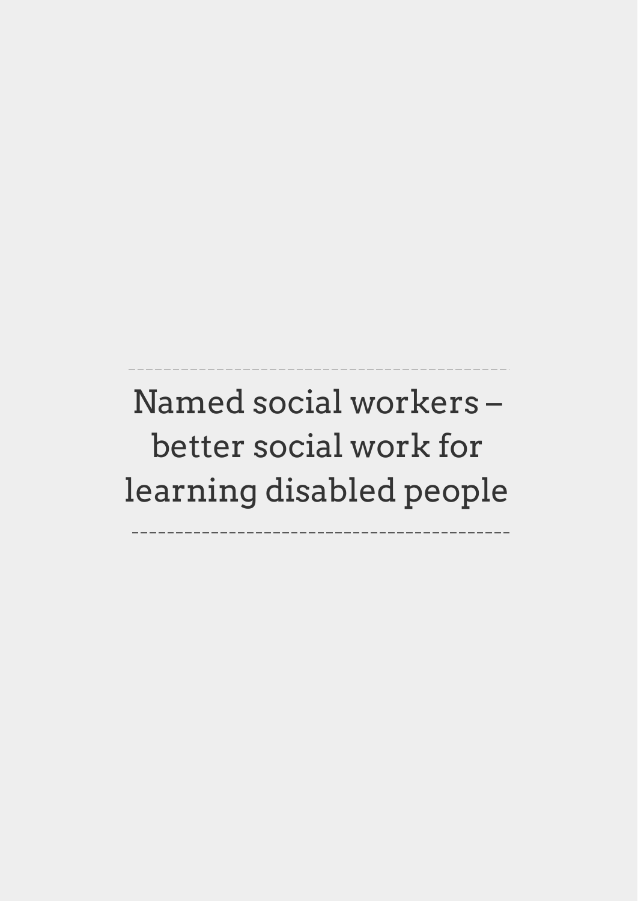## Named social workers – better social work for learning disabled people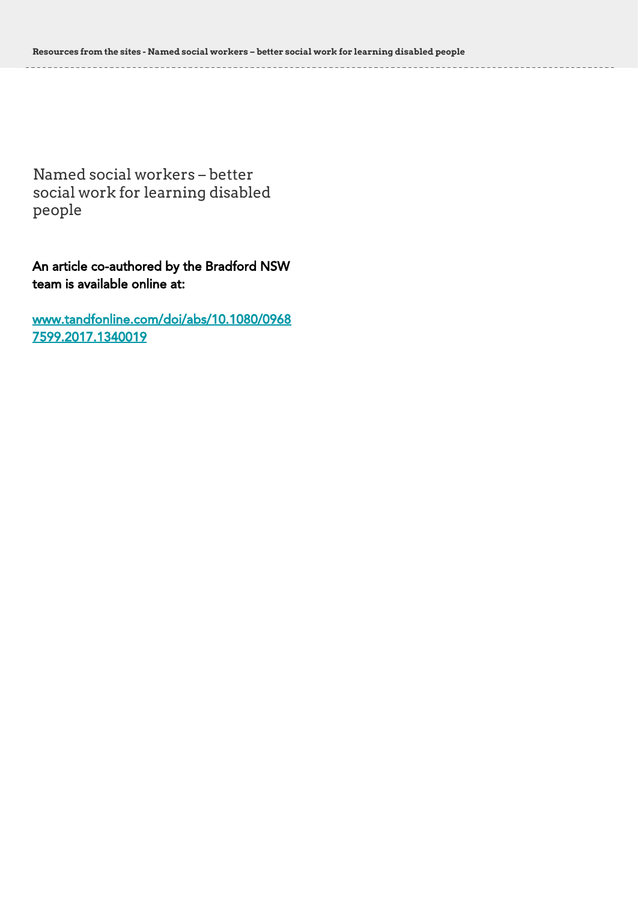Named social workers – better social work for learning disabled people

An article co-authored by the Bradford NSW team is available online at:

[www.tandfonline.com/doi/abs/10.1080/0968](https://www.tandfonline.com/doi/abs/10.1080/09687599.2017.1340019) [7599.2017.1340019](https://www.tandfonline.com/doi/abs/10.1080/09687599.2017.1340019)